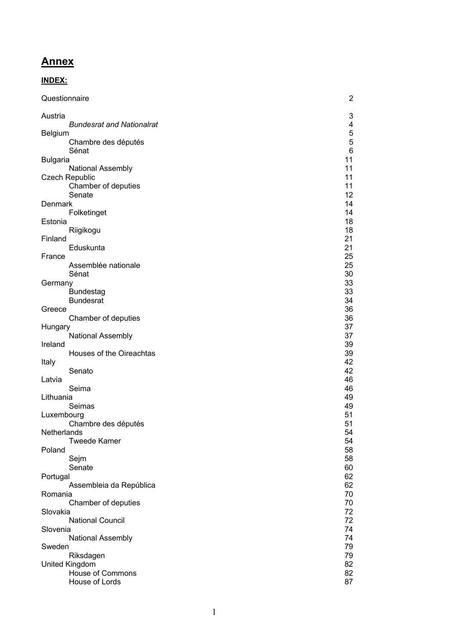# **Annex**

# **INDEX:**

| Questionnaire                       | 2                          |
|-------------------------------------|----------------------------|
| Austria                             | 3                          |
| <b>Bundesrat and Nationalrat</b>    | 4                          |
| Belgium<br>Chambre des députés      | $\mathbf 5$<br>$\mathbf 5$ |
| Sénat                               | $\,6\,$                    |
| <b>Bulgaria</b>                     | 11                         |
| National Assembly                   | 11                         |
| <b>Czech Republic</b>               | 11                         |
| Chamber of deputies                 | 11                         |
| Senate                              | 12                         |
| Denmark                             | 14<br>14                   |
| Folketinget<br>Estonia              | 18                         |
| Riigikogu                           | 18                         |
| Finland                             | 21                         |
| Eduskunta                           | 21                         |
| France                              | 25                         |
| Assemblée nationale                 | 25                         |
| Sénat                               | 30<br>33                   |
| Germany<br><b>Bundestag</b>         | 33                         |
| <b>Bundesrat</b>                    | 34                         |
| Greece                              | 36                         |
| Chamber of deputies                 | 36                         |
| Hungary                             | 37                         |
| National Assembly                   | 37                         |
| Ireland<br>Houses of the Oireachtas | 39<br>39                   |
| Italy                               | 42                         |
| Senato                              | 42                         |
| Latvia                              | 46                         |
| Seima                               | 46                         |
| Lithuania                           | 49                         |
| Seimas                              | 49                         |
| Luxembourg                          | 51<br>51                   |
| Chambre des députés<br>Netherlands  | 54                         |
| <b>Tweede Kamer</b>                 | 54                         |
| Poland                              | 58                         |
| Sejm                                | 58                         |
| Senate                              | 60                         |
| Portugal                            | 62                         |
| Assembleia da República<br>Romania  | 62<br>70                   |
| Chamber of deputies                 | 70                         |
| Slovakia                            | 72                         |
| <b>National Council</b>             | 72                         |
| Slovenia                            | 74                         |
| National Assembly                   | 74                         |
| Sweden<br>Riksdagen                 | 79<br>79                   |
| United Kingdom                      | 82                         |
| <b>House of Commons</b>             | 82                         |
| House of Lords                      | 87                         |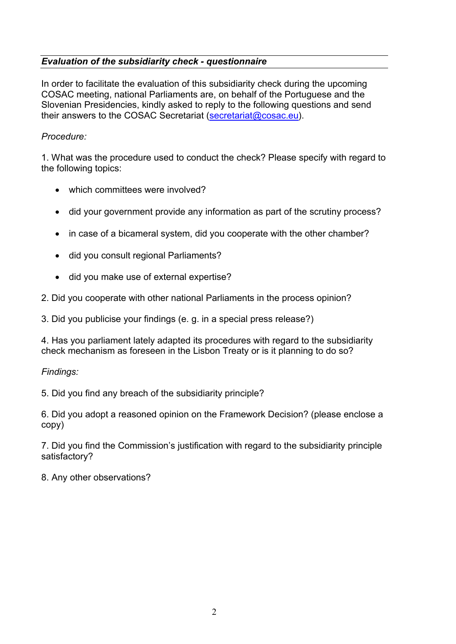# *Evaluation of the subsidiarity check - questionnaire*

In order to facilitate the evaluation of this subsidiarity check during the upcoming COSAC meeting, national Parliaments are, on behalf of the Portuguese and the Slovenian Presidencies, kindly asked to reply to the following questions and send their answers to the COSAC Secretariat (secretariat@cosac.eu).

# *Procedure:*

1. What was the procedure used to conduct the check? Please specify with regard to the following topics:

- which committees were involved?
- did your government provide any information as part of the scrutiny process?
- in case of a bicameral system, did you cooperate with the other chamber?
- did you consult regional Parliaments?
- did you make use of external expertise?
- 2. Did you cooperate with other national Parliaments in the process opinion?

3. Did you publicise your findings (e. g. in a special press release?)

4. Has you parliament lately adapted its procedures with regard to the subsidiarity check mechanism as foreseen in the Lisbon Treaty or is it planning to do so?

*Findings:*

5. Did you find any breach of the subsidiarity principle?

6. Did you adopt a reasoned opinion on the Framework Decision? (please enclose a copy)

7. Did you find the Commission's justification with regard to the subsidiarity principle satisfactory?

8. Any other observations?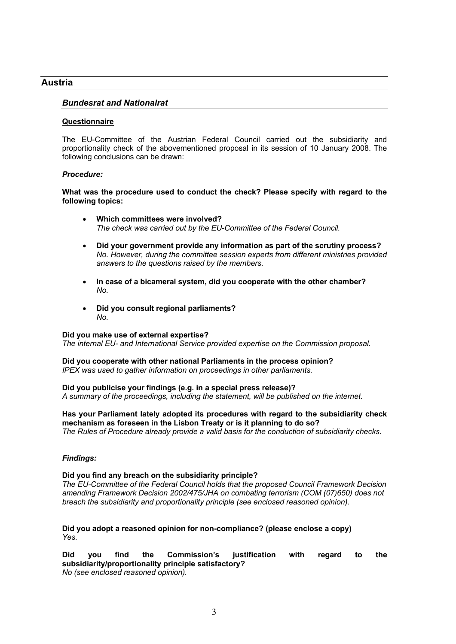## **Austria**

## *Bundesrat and Nationalrat*

#### **Questionnaire**

The EU-Committee of the Austrian Federal Council carried out the subsidiarity and proportionality check of the abovementioned proposal in its session of 10 January 2008. The following conclusions can be drawn:

#### *Procedure:*

**What was the procedure used to conduct the check? Please specify with regard to the following topics:**

- **Which committees were involved?** *The check was carried out by the EU-Committee of the Federal Council.*
- **Did your government provide any information as part of the scrutiny process?** *No. However, during the committee session experts from different ministries provided answers to the questions raised by the members.*
- **In case of a bicameral system, did you cooperate with the other chamber?** *No.*
- **Did you consult regional parliaments?** *No.*

#### **Did you make use of external expertise?**

*The internal EU- and International Service provided expertise on the Commission proposal.*

**Did you cooperate with other national Parliaments in the process opinion?** *IPEX was used to gather information on proceedings in other parliaments.*

#### **Did you publicise your findings (e.g. in a special press release)?**

*A summary of the proceedings, including the statement, will be published on the internet.*

**Has your Parliament lately adopted its procedures with regard to the subsidiarity check mechanism as foreseen in the Lisbon Treaty or is it planning to do so?** *The Rules of Procedure already provide a valid basis for the conduction of subsidiarity checks.* 

#### *Findings:*

#### **Did you find any breach on the subsidiarity principle?**

*The EU-Committee of the Federal Council holds that the proposed Council Framework Decision amending Framework Decision 2002/475/JHA on combating terrorism (COM (07)650) does not breach the subsidiarity and proportionality principle (see enclosed reasoned opinion).*

**Did you adopt a reasoned opinion for non-compliance? (please enclose a copy)** *Yes.*

**Did you find the Commission's justification with regard to the subsidiarity/proportionality principle satisfactory?** *No (see enclosed reasoned opinion).*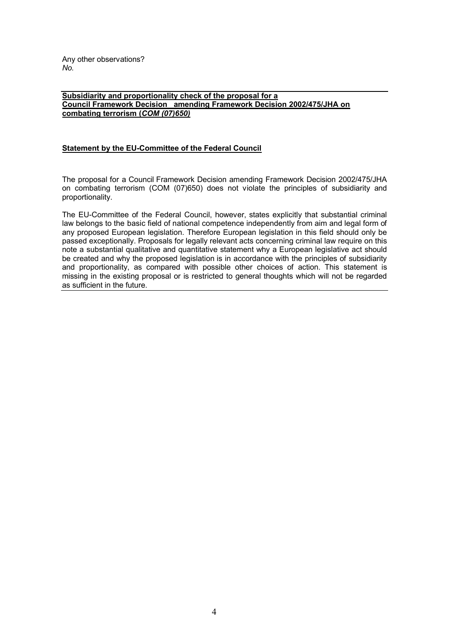Any other observations? *No.*

**Subsidiarity and proportionality check of the proposal for a Council Framework Decision amending Framework Decision 2002/475/JHA on combating terrorism (***COM (07)650)*

## **Statement by the EU-Committee of the Federal Council**

The proposal for a Council Framework Decision amending Framework Decision 2002/475/JHA on combating terrorism (COM (07)650) does not violate the principles of subsidiarity and proportionality.

The EU-Committee of the Federal Council, however, states explicitly that substantial criminal law belongs to the basic field of national competence independently from aim and legal form of any proposed European legislation. Therefore European legislation in this field should only be passed exceptionally. Proposals for legally relevant acts concerning criminal law require on this note a substantial qualitative and quantitative statement why a European legislative act should be created and why the proposed legislation is in accordance with the principles of subsidiarity and proportionality, as compared with possible other choices of action. This statement is missing in the existing proposal or is restricted to general thoughts which will not be regarded as sufficient in the future.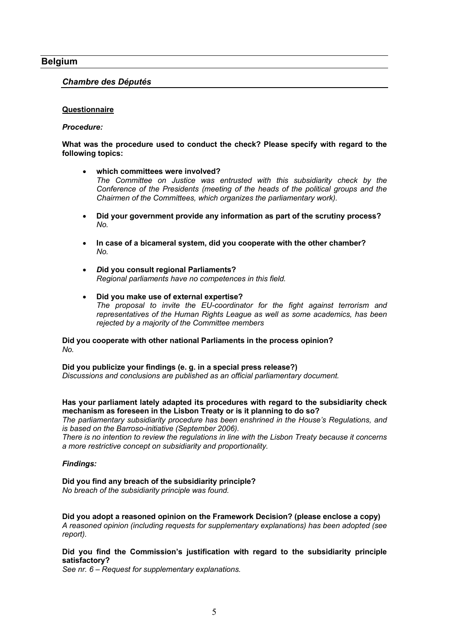## **Belgium**

## *Chambre des Députés*

#### **Questionnaire**

#### *Procedure:*

## **What was the procedure used to conduct the check? Please specify with regard to the following topics:**

- **which committees were involved?** *The Committee on Justice was entrusted with this subsidiarity check by the Conference of the Presidents (meeting of the heads of the political groups and the Chairmen of the Committees, which organizes the parliamentary work).*
- **Did your government provide any information as part of the scrutiny process?** *No.*
- **In case of a bicameral system, did you cooperate with the other chamber?** *No.*
- *D***id you consult regional Parliaments?** *Regional parliaments have no competences in this field.*
- **Did you make use of external expertise?** *The proposal to invite the EU-coordinator for the fight against terrorism and representatives of the Human Rights League as well as some academics, has been rejected by a majority of the Committee members*

#### **Did you cooperate with other national Parliaments in the process opinion?** *No.*

**Did you publicize your findings (e. g. in a special press release?)** *Discussions and conclusions are published as an official parliamentary document.*

## **Has your parliament lately adapted its procedures with regard to the subsidiarity check mechanism as foreseen in the Lisbon Treaty or is it planning to do so?**

*The parliamentary subsidiarity procedure has been enshrined in the House's Regulations, and is based on the Barroso-initiative (September 2006).*

*There is no intention to review the regulations in line with the Lisbon Treaty because it concerns a more restrictive concept on subsidiarity and proportionality.* 

#### *Findings:*

**Did you find any breach of the subsidiarity principle?** *No breach of the subsidiarity principle was found.*

**Did you adopt a reasoned opinion on the Framework Decision? (please enclose a copy)** *A reasoned opinion (including requests for supplementary explanations) has been adopted (see report).*

## **Did you find the Commission's justification with regard to the subsidiarity principle satisfactory?**

*See nr. 6 – Request for supplementary explanations.*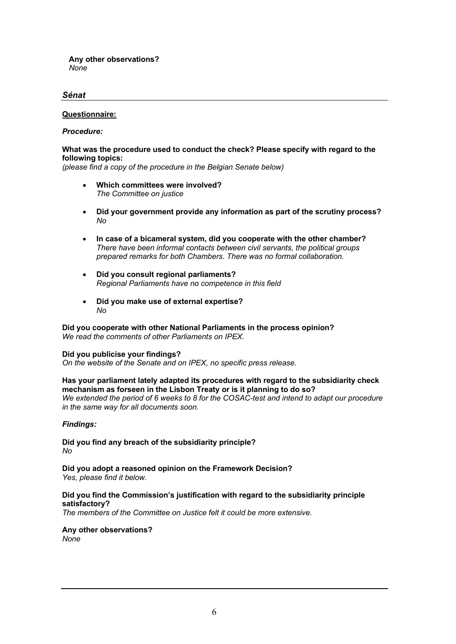**Any other observations?** *None*

## *Sénat*

## **Questionnaire:**

#### *Procedure:*

## **What was the procedure used to conduct the check? Please specify with regard to the following topics:**

*(please find a copy of the procedure in the Belgian Senate below)*

- **Which committees were involved?**  *The Committee on justice*
- **Did your government provide any information as part of the scrutiny process?**  *No*
- **In case of a bicameral system, did you cooperate with the other chamber?**  *There have been informal contacts between civil servants, the political groups prepared remarks for both Chambers. There was no formal collaboration.*
- **Did you consult regional parliaments?**  *Regional Parliaments have no competence in this field*
- **Did you make use of external expertise?**  *No*

## **Did you cooperate with other National Parliaments in the process opinion?**  *We read the comments of other Parliaments on IPEX.*

## **Did you publicise your findings?**

*On the website of the Senate and on IPEX, no specific press release.*

#### **Has your parliament lately adapted its procedures with regard to the subsidiarity check mechanism as forseen in the Lisbon Treaty or is it planning to do so?**  We extended the period of 6 weeks to 8 for the COSAC-test and intend to adapt our procedure *in the same way for all documents soon.*

## *Findings:*

**Did you find any breach of the subsidiarity principle?** *No*

**Did you adopt a reasoned opinion on the Framework Decision?**  *Yes, please find it below.*

## **Did you find the Commission's justification with regard to the subsidiarity principle satisfactory?**

*The members of the Committee on Justice felt it could be more extensive.*

**Any other observations?** *None*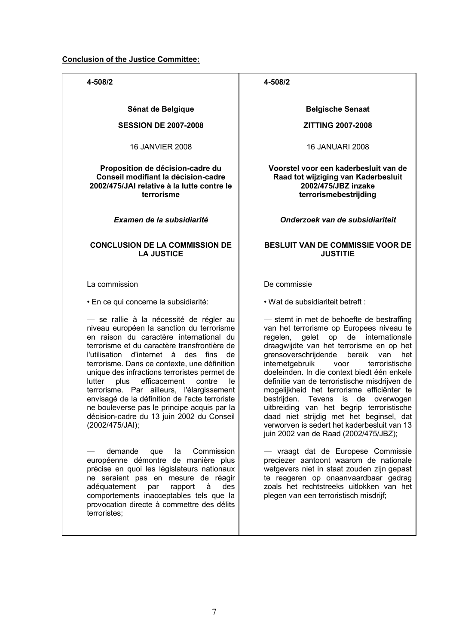## **Conclusion of the Justice Committee:**

**4-508/2**

**Sénat de Belgique**

## **SESSION DE 2007-2008**

16 JANVIER 2008

#### **Proposition de décision-cadre du Conseil modifiant la décision-cadre 2002/475/JAI relative à la lutte contre le terrorisme**

*Examen de la subsidiarité*

## **CONCLUSION DE LA COMMISSION DE LA JUSTICE**

La commission

• En ce qui concerne la subsidiarité:

— se rallie à la nécessité de régler au niveau européen la sanction du terrorisme en raison du caractère international du terrorisme et du caractère transfrontière de l'utilisation d'internet à des fins de terrorisme. Dans ce contexte, une définition unique des infractions terroristes permet de lutter plus efficacement contre le terrorisme. Par ailleurs, l'élargissement envisagé de la définition de l'acte terroriste ne bouleverse pas le principe acquis par la décision-cadre du 13 juin 2002 du Conseil (2002/475/JAI);

— demande que la Commission européenne démontre de manière plus précise en quoi les législateurs nationaux ne seraient pas en mesure de réagir adéquatement par rapport à des comportements inacceptables tels que la provocation directe à commettre des délits terroristes;

## **4-508/2**

**Belgische Senaat**

## **ZITTING 2007-2008**

16 JANUARI 2008

**Voorstel voor een kaderbesluit van de Raad tot wijziging van Kaderbesluit 2002/475/JBZ inzake terrorismebestrijding**

## *Onderzoek van de subsidiariteit*

## **BESLUIT VAN DE COMMISSIE VOOR DE JUSTITIE**

De commissie

• Wat de subsidiariteit betreft :

— stemt in met de behoefte de bestraffing van het terrorisme op Europees niveau te regelen, gelet op de internationale draagwijdte van het terrorisme en op het grensoverschrijdende bereik van het<br>internetgebruik voor terroristische internetgebruik voor doeleinden. In die context biedt één enkele definitie van de terroristische misdrijven de mogelijkheid het terrorisme efficiënter te bestrijden. Tevens is de overwogen uitbreiding van het begrip terroristische daad niet strijdig met het beginsel, dat verworven is sedert het kaderbesluit van 13 juin 2002 van de Raad (2002/475/JBZ);

— vraagt dat de Europese Commissie preciezer aantoont waarom de nationale wetgevers niet in staat zouden zijn gepast te reageren op onaanvaardbaar gedrag zoals het rechtstreeks uitlokken van het plegen van een terroristisch misdrijf;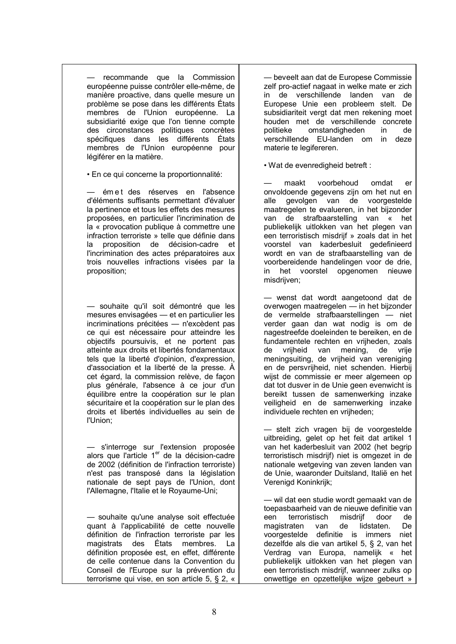recommande que la Commission européenne puisse contrôler elle-même, de manière proactive, dans quelle mesure un problème se pose dans les différents États membres de l'Union européenne. La subsidiarité exige que l'on tienne compte des circonstances politiques concrètes spécifiques dans les différents États membres de l'Union européenne pour légiférer en la matière.

• En ce qui concerne la proportionnalité:

— émet des réserves en l'absence d'éléments suffisants permettant d'évaluer la pertinence et tous les effets des mesures proposées, en particulier l'incrimination de la « provocation publique à commettre une infraction terroriste » telle que définie dans la proposition de décision-cadre et l'incrimination des actes préparatoires aux trois nouvelles infractions visées par la proposition;

— souhaite qu'il soit démontré que les mesures envisagées — et en particulier les incriminations précitées — n'excèdent pas ce qui est nécessaire pour atteindre les objectifs poursuivis, et ne portent pas atteinte aux droits et libertés fondamentaux tels que la liberté d'opinion, d'expression, d'association et la liberté de la presse. À cet égard, la commission relève, de façon plus générale, l'absence à ce jour d'un équilibre entre la coopération sur le plan sécuritaire et la coopération sur le plan des droits et libertés individuelles au sein de l'Union;

— s'interroge sur l'extension proposée alors que l'article 1<sup>er</sup> de la décision-cadre de 2002 (définition de l'infraction terroriste) n'est pas transposé dans la législation nationale de sept pays de l'Union, dont l'Allemagne, l'Italie et le Royaume-Uni;

— souhaite qu'une analyse soit effectuée quant à l'applicabilité de cette nouvelle définition de l'infraction terroriste par les magistrats des États membres. La définition proposée est, en effet, différente de celle contenue dans la Convention du Conseil de l'Europe sur la prévention du terrorisme qui vise, en son article 5, § 2, «

— beveelt aan dat de Europese Commissie zelf pro-actief nagaat in welke mate er zich in de verschillende landen van de Europese Unie een probleem stelt. De subsidiariteit vergt dat men rekening moet houden met de verschillende concrete politieke omstandigheden in de verschillende EU-landen om in deze materie te legifereren.

• Wat de evenredigheid betreft :

— maakt voorbehoud omdat er onvoldoende gegevens zijn om het nut en alle gevolgen van de voorgestelde maatregelen te evalueren, in het bijzonder van de strafbaarstelling van « het publiekelijk uitlokken van het plegen van een terroristisch misdrijf » zoals dat in het voorstel van kaderbesluit gedefinieerd wordt en van de strafbaarstelling van de voorbereidende handelingen voor de drie, in het voorstel opgenomen nieuwe misdrijven;

— wenst dat wordt aangetoond dat de overwogen maatregelen — in het bijzonder de vermelde strafbaarstellingen — niet verder gaan dan wat nodig is om de nagestreefde doeleinden te bereiken, en de fundamentele rechten en vrijheden, zoals de vrijheid van mening, de vrije meningsuiting, de vrijheid van vereniging en de persvrijheid, niet schenden. Hierbij wijst de commissie er meer algemeen op dat tot dusver in de Unie geen evenwicht is bereikt tussen de samenwerking inzake veiligheid en de samenwerking inzake individuele rechten en vrijheden;

— stelt zich vragen bij de voorgestelde uitbreiding, gelet op het feit dat artikel 1 van het kaderbesluit van 2002 (het begrip terroristisch misdrijf) niet is omgezet in de nationale wetgeving van zeven landen van de Unie, waaronder Duitsland, Italië en het Verenigd Koninkrijk;

— wil dat een studie wordt gemaakt van de toepasbaarheid van de nieuwe definitie van een terroristisch misdrijf door de magistraten van de lidstaten. De voorgestelde definitie is immers niet dezelfde als die van artikel 5, § 2, van het Verdrag van Europa, namelijk « het publiekelijk uitlokken van het plegen van een terroristisch misdrijf, wanneer zulks op onwettige en opzettelijke wijze gebeurt »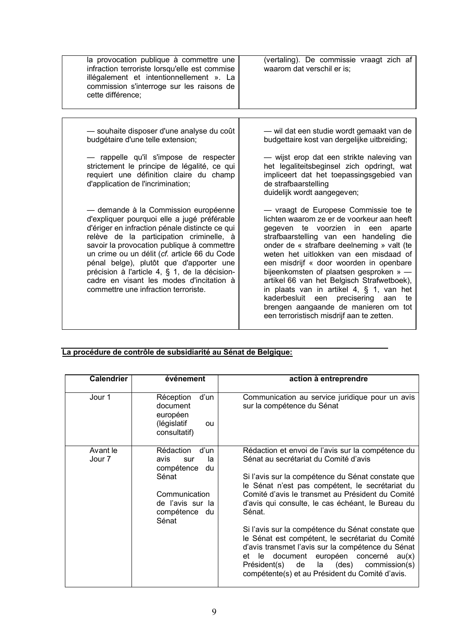| la provocation publique à commettre une<br>infraction terroriste lorsqu'elle est commise<br>illégalement et intentionnellement ». La<br>commission s'interroge sur les raisons de<br>cette différence:                                                                                                                                                                                                                                                          | (vertaling). De commissie vraagt zich af<br>waarom dat verschil er is;                                                                                                                                                                                                                                                                                                                                                                                                                                                                                                           |
|-----------------------------------------------------------------------------------------------------------------------------------------------------------------------------------------------------------------------------------------------------------------------------------------------------------------------------------------------------------------------------------------------------------------------------------------------------------------|----------------------------------------------------------------------------------------------------------------------------------------------------------------------------------------------------------------------------------------------------------------------------------------------------------------------------------------------------------------------------------------------------------------------------------------------------------------------------------------------------------------------------------------------------------------------------------|
|                                                                                                                                                                                                                                                                                                                                                                                                                                                                 |                                                                                                                                                                                                                                                                                                                                                                                                                                                                                                                                                                                  |
| - souhaite disposer d'une analyse du coût<br>budgétaire d'une telle extension;<br>- rappelle qu'il s'impose de respecter                                                                                                                                                                                                                                                                                                                                        | — wil dat een studie wordt gemaakt van de<br>budgettaire kost van dergelijke uitbreiding;<br>- wijst erop dat een strikte naleving van                                                                                                                                                                                                                                                                                                                                                                                                                                           |
| strictement le principe de légalité, ce qui<br>requiert une définition claire du champ<br>d'application de l'incrimination;                                                                                                                                                                                                                                                                                                                                     | het legaliteitsbeginsel zich opdringt, wat<br>impliceert dat het toepassingsgebied van<br>de strafbaarstelling<br>duidelijk wordt aangegeven;                                                                                                                                                                                                                                                                                                                                                                                                                                    |
| - demande à la Commission européenne<br>d'expliquer pourquoi elle a jugé préférable<br>d'ériger en infraction pénale distincte ce qui<br>relève de la participation criminelle, à<br>savoir la provocation publique à commettre<br>un crime ou un délit (cf. article 66 du Code<br>pénal belge), plutôt que d'apporter une<br>précision à l'article 4, § 1, de la décision-<br>cadre en visant les modes d'incitation à<br>commettre une infraction terroriste. | - vraagt de Europese Commissie toe te<br>lichten waarom ze er de voorkeur aan heeft<br>gegeven te voorzien in een aparte<br>strafbaarstelling van een handeling die<br>onder de « strafbare deelneming » valt (te<br>weten het uitlokken van een misdaad of<br>een misdrijf « door woorden in openbare<br>bijeenkomsten of plaatsen gesproken » -<br>artikel 66 van het Belgisch Strafwetboek),<br>in plaats van in artikel 4, § 1, van het<br>kaderbesluit een<br>precisering<br>te<br>aan<br>brengen aangaande de manieren om tot<br>een terroristisch misdrijf aan te zetten. |

# **La procédure de contrôle de subsidiarité au Sénat de Belgique:**

| <b>Calendrier</b>  | événement                                                                                                                          | action à entreprendre                                                                                                                                                                                                                                                                                                                                                                                                                                                                                                                                                                                                                            |
|--------------------|------------------------------------------------------------------------------------------------------------------------------------|--------------------------------------------------------------------------------------------------------------------------------------------------------------------------------------------------------------------------------------------------------------------------------------------------------------------------------------------------------------------------------------------------------------------------------------------------------------------------------------------------------------------------------------------------------------------------------------------------------------------------------------------------|
| Jour 1             | d'un<br>Réception<br>document<br>européen<br>(législatif<br>ou<br>consultatif)                                                     | Communication au service juridique pour un avis<br>sur la compétence du Sénat                                                                                                                                                                                                                                                                                                                                                                                                                                                                                                                                                                    |
| Avant le<br>Jour 7 | d'un<br>Rédaction<br>la<br>avis<br>sur<br>compétence<br>du<br>Sénat<br>Communication<br>de l'avis sur la<br>compétence du<br>Sénat | Rédaction et envoi de l'avis sur la compétence du<br>Sénat au secrétariat du Comité d'avis<br>Si l'avis sur la compétence du Sénat constate que<br>le Sénat n'est pas compétent, le secrétariat du<br>Comité d'avis le transmet au Président du Comité<br>d'avis qui consulte, le cas échéant, le Bureau du<br>Sénat.<br>Si l'avis sur la compétence du Sénat constate que<br>le Sénat est compétent, le secrétariat du Comité<br>d'avis transmet l'avis sur la compétence du Sénat<br>document européen<br>et<br>concerné $au(x)$<br>le l<br>(des)<br>Président(s) de<br>la<br>commission(s)<br>compétente(s) et au Président du Comité d'avis. |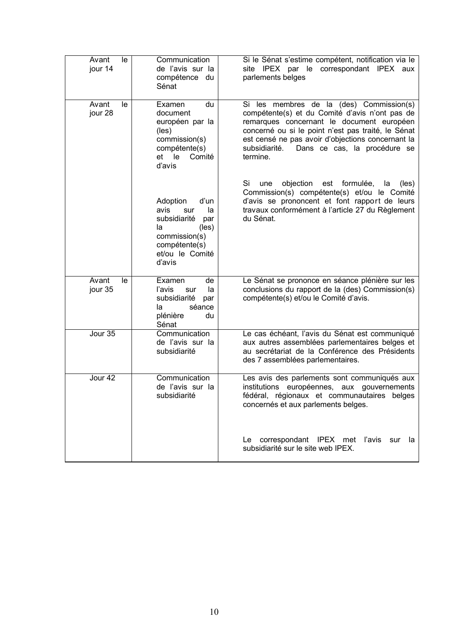| le<br>Avant<br>jour 14 | Communication<br>de l'avis sur la<br>compétence du<br>Sénat                                                                                | Si le Sénat s'estime compétent, notification via le<br>site IPEX par le correspondant IPEX aux<br>parlements belges                                                                                                                                                                                             |
|------------------------|--------------------------------------------------------------------------------------------------------------------------------------------|-----------------------------------------------------------------------------------------------------------------------------------------------------------------------------------------------------------------------------------------------------------------------------------------------------------------|
| Avant<br>le<br>jour 28 | Examen<br>du<br>document<br>européen par la<br>(les)<br>commission(s)<br>compétente(s)<br>et le<br>Comité<br>d'avis                        | Si les membres de la (des) Commission(s)<br>compétente(s) et du Comité d'avis n'ont pas de<br>remarques concernant le document européen<br>concerné ou si le point n'est pas traité, le Sénat<br>est censé ne pas avoir d'objections concernant la<br>Dans ce cas, la procédure se<br>subsidiarité.<br>termine. |
|                        | Adoption<br>d'un<br>avis<br>la<br>sur<br>subsidiarité<br>par<br>(les)<br>la<br>commission(s)<br>compétente(s)<br>et/ou le Comité<br>d'avis | Si<br>objection<br>formulée,<br>une<br>est<br>la<br>(les)<br>Commission(s) compétente(s) et/ou le Comité<br>d'avis se prononcent et font rapport de leurs<br>travaux conformément à l'article 27 du Règlement<br>du Sénat.                                                                                      |
| Avant<br>le<br>jour 35 | Examen<br>de<br>l'avis<br>sur<br>la<br>subsidiarité<br>par<br>séance<br>la<br>plénière<br>du<br>Sénat                                      | Le Sénat se prononce en séance plénière sur les<br>conclusions du rapport de la (des) Commission(s)<br>compétente(s) et/ou le Comité d'avis.                                                                                                                                                                    |
| Jour 35                | Communication<br>de l'avis sur la<br>subsidiarité                                                                                          | Le cas échéant, l'avis du Sénat est communiqué<br>aux autres assemblées parlementaires belges et<br>au secrétariat de la Conférence des Présidents<br>des 7 assemblées parlementaires.                                                                                                                          |
| Jour 42                | Communication<br>de l'avis sur la<br>subsidiarité                                                                                          | Les avis des parlements sont communiqués aux<br>institutions européennes, aux gouvernements<br>fédéral, régionaux et communautaires belges<br>concernés et aux parlements belges.                                                                                                                               |
|                        |                                                                                                                                            | correspondant IPEX met l'avis<br>sur<br>la<br>Le<br>subsidiarité sur le site web IPEX.                                                                                                                                                                                                                          |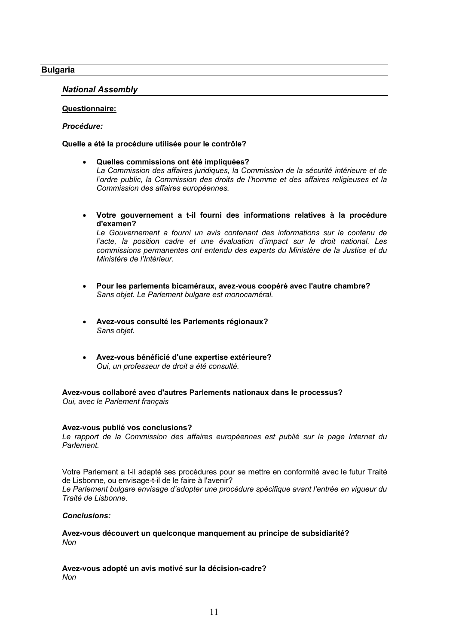## **Bulgaria**

## *National Assembly*

#### **Questionnaire:**

## *Procédure:*

## **Quelle a été la procédure utilisée pour le contrôle?**

- **Quelles commissions ont été impliquées?** *La Commission des affaires juridiques, la Commission de la sécurité intérieure et de l'ordre public, la Commission des droits de l'homme et des affaires religieuses et la Commission des affaires européennes.*
- **Votre gouvernement a t-il fourni des informations relatives à la procédure d'examen?**

Le Gouvernement a fourni un avis contenant des informations sur le contenu de *l'acte, la position cadre et une évaluation d'impact sur le droit national. Les commissions permanentes ont entendu des experts du Ministère de la Justice et du Ministère de l'Intérieur.*

- **Pour les parlements bicaméraux, avez-vous coopéré avec l'autre chambre?** *Sans objet. Le Parlement bulgare est monocaméral.*
- **Avez-vous consulté les Parlements régionaux?** *Sans objet.*
- **Avez-vous bénéficié d'une expertise extérieure?** *Oui, un professeur de droit a été consulté.*

**Avez-vous collaboré avec d'autres Parlements nationaux dans le processus?** *Oui, avec le Parlement français*

#### **Avez-vous publié vos conclusions?**

*Le rapport de la Commission des affaires européennes est publié sur la page Internet du Parlement.*

Votre Parlement a t-il adapté ses procédures pour se mettre en conformité avec le futur Traité de Lisbonne, ou envisage-t-il de le faire à l'avenir?

*Le Parlement bulgare envisage d'adopter une procédure spécifique avant l'entrée en vigueur du Traité de Lisbonne.*

#### *Conclusions:*

#### **Avez-vous découvert un quelconque manquement au principe de subsidiarité?** *Non*

**Avez-vous adopté un avis motivé sur la décision-cadre?**  *Non*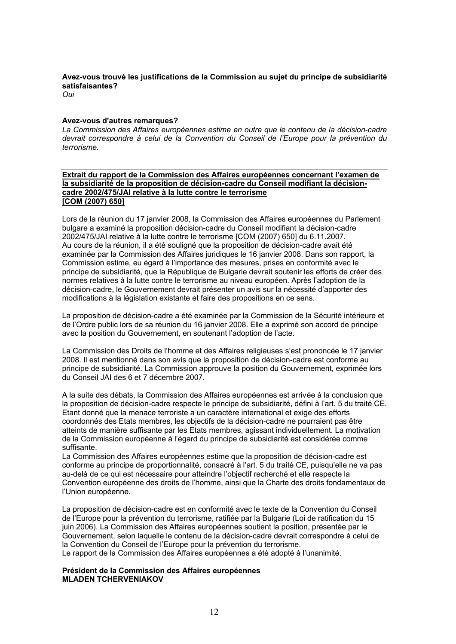## **Avez-vous trouvé les justifications de la Commission au sujet du principe de subsidiarité satisfaisantes?**

*Oui*

#### **Avez-vous d'autres remarques?**

*La Commission des Affaires européennes estime en outre que le contenu de la décision-cadre devrait correspondre à celui de la Convention du Conseil de l'Europe pour la prévention du terrorisme.*

**Extrait du rapport de la Commission des Affaires européennes concernant l'examen de la subsidiarité de la proposition de décision-cadre du Conseil modifiant la décisioncadre 2002/475/JAI relative à la lutte contre le terrorisme [COM (2007) 650]**

Lors de la réunion du 17 janvier 2008, la Commission des Affaires européennes du Parlement bulgare a examiné la proposition décision-cadre du Conseil modifiant la décision-cadre 2002/475/JAI relative à la lutte contre le terrorisme [COM (2007) 650] du 6.11.2007. Au cours de la réunion, il a été souligné que la proposition de décision-cadre avait été examinée par la Commission des Affaires juridiques le 16 janvier 2008. Dans son rapport, la Commission estime, eu égard à l'importance des mesures, prises en conformité avec le principe de subsidiarité, que la République de Bulgarie devrait soutenir les efforts de créer des normes relatives à la lutte contre le terrorisme au niveau européen. Après l'adoption de la décision-cadre, le Gouvernement devrait présenter un avis sur la nécessité d'apporter des modifications à la législation existante et faire des propositions en ce sens.

La proposition de décision-cadre a été examinée par la Commission de la Sécurité intérieure et de l'Ordre public lors de sa réunion du 16 janvier 2008. Elle a exprimé son accord de principe avec la position du Gouvernement, en soutenant l'adoption de l'acte.

La Commission des Droits de l'homme et des Affaires religieuses s'est prononcée le 17 janvier 2008. Il est mentionné dans son avis que la proposition de décision-cadre est conforme au principe de subsidiarité. La Commission approuve la position du Gouvernement, exprimée lors du Conseil JAI des 6 et 7 décembre 2007.

A la suite des débats, la Commission des Affaires européennes est arrivée à la conclusion que la proposition de décision-cadre respecte le principe de subsidiarité, défini à l'art. 5 du traité CE. Etant donné que la menace terroriste a un caractère international et exige des efforts coordonnés des Etats membres, les objectifs de la décision-cadre ne pourraient pas être atteints de manière suffisante par les Etats membres, agissant individuellement. La motivation de la Commission européenne à l'égard du principe de subsidiarité est considérée comme suffisante.

La Commission des Affaires européennes estime que la proposition de décision-cadre est conforme au principe de proportionnalité, consacré à l'art. 5 du traité CE, puisqu'elle ne va pas au-delà de ce qui est nécessaire pour atteindre l'objectif recherché et elle respecte la Convention européenne des droits de l'homme, ainsi que la Charte des droits fondamentaux de l'Union européenne.

La proposition de décision-cadre est en conformité avec le texte de la Convention du Conseil de l'Europe pour la prévention du terrorisme, ratifiée par la Bulgarie (Loi de ratification du 15 juin 2006). La Commission des Affaires européennes soutient la position, présentée par le Gouvernement, selon laquelle le contenu de la décision-cadre devrait correspondre à celui de la Convention du Conseil de l'Europe pour la prévention du terrorisme. Le rapport de la Commission des Affaires européennes a été adopté à l'unanimité.

#### **Président de la Commission des Affaires européennes MLADEN TCHERVENIAKOV**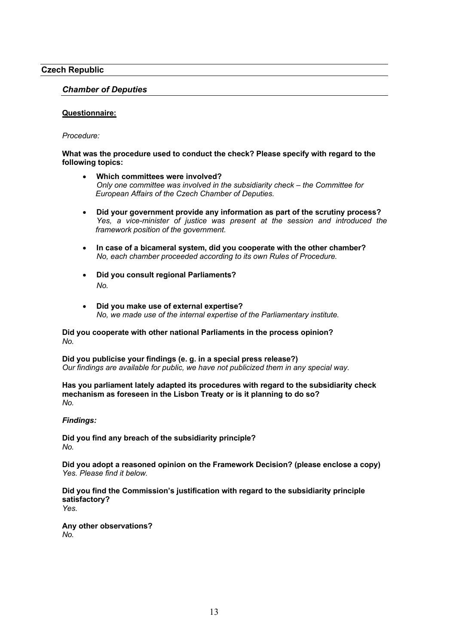## **Czech Republic**

## *Chamber of Deputies*

#### **Questionnaire:**

#### *Procedure:*

#### **What was the procedure used to conduct the check? Please specify with regard to the following topics:**

- **Which committees were involved?** *Only one committee was involved in the subsidiarity check – the Committee for European Affairs of the Czech Chamber of Deputies.*
- **Did your government provide any information as part of the scrutiny process?** *Yes, a vice-minister of justice was present at the session and introduced the framework position of the government.*
- **In case of a bicameral system, did you cooperate with the other chamber?** *No, each chamber proceeded according to its own Rules of Procedure.*
- **Did you consult regional Parliaments?** *No.*
- **Did you make use of external expertise?** *No, we made use of the internal expertise of the Parliamentary institute.*

#### **Did you cooperate with other national Parliaments in the process opinion?** *No.*

**Did you publicise your findings (e. g. in a special press release?)** *Our findings are available for public, we have not publicized them in any special way.*

**Has you parliament lately adapted its procedures with regard to the subsidiarity check mechanism as foreseen in the Lisbon Treaty or is it planning to do so?** *No.*

#### *Findings:*

**Did you find any breach of the subsidiarity principle?** *No.*

**Did you adopt a reasoned opinion on the Framework Decision? (please enclose a copy)** *Yes. Please find it below.* 

**Did you find the Commission's justification with regard to the subsidiarity principle satisfactory?** *Yes.*

**Any other observations?** *No.*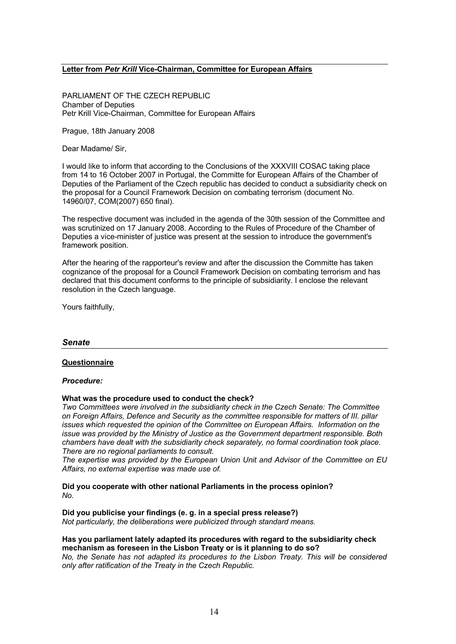## **Letter from** *Petr Krill* **Vice-Chairman, Committee for European Affairs**

PARLIAMENT OF THE CZECH REPUBLIC Chamber of Deputies Petr Krill Vice-Chairman, Committee for European Affairs

Prague, 18th January 2008

Dear Madame/ Sir,

I would like to inform that according to the Conclusions of the XXXVIII COSAC taking place from 14 to 16 October 2007 in Portugal, the Committe for European Affairs of the Chamber of Deputies of the Parliament of the Czech republic has decided to conduct a subsidiarity check on the proposal for a Council Framework Decision on combating terrorism (document No. 14960/07, COM(2007) 650 final).

The respective document was included in the agenda of the 30th session of the Committee and was scrutinized on 17 January 2008. According to the Rules of Procedure of the Chamber of Deputies a vice-minister of justice was present at the session to introduce the government's framework position.

After the hearing of the rapporteur's review and after the discussion the Committe has taken cognizance of the proposal for a Council Framework Decision on combating terrorism and has declared that this document conforms to the principle of subsidiarity. I enclose the relevant resolution in the Czech language.

Yours faithfully,

#### *Senate*

#### **Questionnaire**

#### *Procedure:*

#### **What was the procedure used to conduct the check?**

*Two Committees were involved in the subsidiarity check in the Czech Senate: The Committee on Foreign Affairs, Defence and Security as the committee responsible for matters of III. pillar issues which requested the opinion of the Committee on European Affairs. Information on the issue was provided by the Ministry of Justice as the Government department responsible. Both chambers have dealt with the subsidiarity check separately, no formal coordination took place. There are no regional parliaments to consult.* 

*The expertise was provided by the European Union Unit and Advisor of the Committee on EU Affairs, no external expertise was made use of.*

**Did you cooperate with other national Parliaments in the process opinion?** *No.*

**Did you publicise your findings (e. g. in a special press release?)** *Not particularly, the deliberations were publicized through standard means.*

#### **Has you parliament lately adapted its procedures with regard to the subsidiarity check mechanism as foreseen in the Lisbon Treaty or is it planning to do so?**

*No, the Senate has not adapted its procedures to the Lisbon Treaty. This will be considered only after ratification of the Treaty in the Czech Republic.*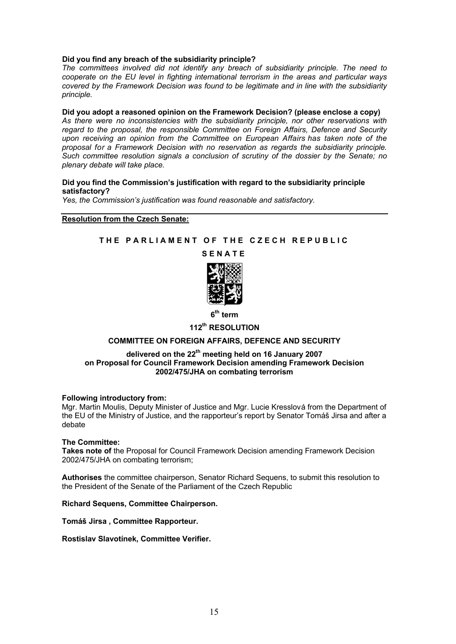#### **Did you find any breach of the subsidiarity principle?**

*The committees involved did not identify any breach of subsidiarity principle. The need to cooperate on the EU level in fighting international terrorism in the areas and particular ways covered by the Framework Decision was found to be legitimate and in line with the subsidiarity principle.*

## **Did you adopt a reasoned opinion on the Framework Decision? (please enclose a copy)**

*As there were no inconsistencies with the subsidiarity principle, nor other reservations with regard to the proposal, the responsible Committee on Foreign Affairs, Defence and Security upon receiving an opinion from the Committee on European Affairs has taken note of the proposal for a Framework Decision with no reservation as regards the subsidiarity principle. Such committee resolution signals a conclusion of scrutiny of the dossier by the Senate; no plenary debate will take place.*

#### **Did you find the Commission's justification with regard to the subsidiarity principle satisfactory?**

*Yes, the Commission's justification was found reasonable and satisfactory.*

#### **Resolution from the Czech Senate:**

## **THE PARLIAMENT OF THE CZECH REPUBLIC**

#### **SENATE**



**6 th term** 

## **112th RESOLUTION**

## **COMMITTEE ON FOREIGN AFFAIRS, DEFENCE AND SECURITY**

#### **delivered on the 22th meeting held on 16 January 2007 on Proposal for Council Framework Decision amending Framework Decision 2002/475/JHA on combating terrorism**

#### **Following introductory from:**

Mgr. Martin Moulis, Deputy Minister of Justice and Mgr. Lucie Kresslová from the Department of the EU of the Ministry of Justice, and the rapporteur's report by Senator Tomáš Jirsa and after a debate

#### **The Committee:**

**Takes note of** the Proposal for Council Framework Decision amending Framework Decision 2002/475/JHA on combating terrorism;

**Authorises** the committee chairperson, Senator Richard Sequens, to submit this resolution to the President of the Senate of the Parliament of the Czech Republic

#### **Richard Sequens, Committee Chairperson.**

**Tomáš Jirsa , Committee Rapporteur.**

**Rostislav Slavotínek, Committee Verifier.**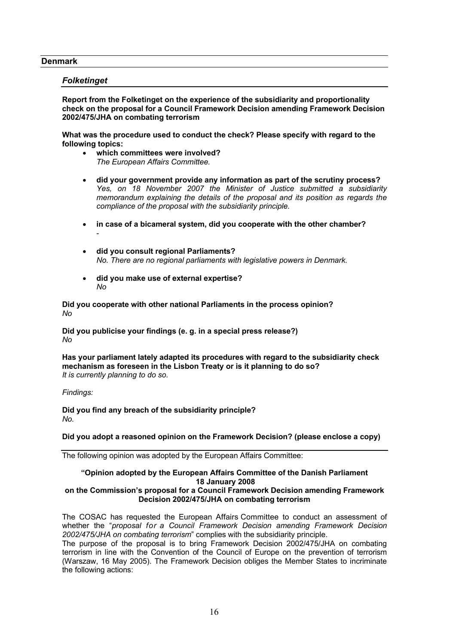#### **Denmark**

## *Folketinget*

-

**Report from the Folketinget on the experience of the subsidiarity and proportionality check on the proposal for a Council Framework Decision amending Framework Decision 2002/475/JHA on combating terrorism** 

**What was the procedure used to conduct the check? Please specify with regard to the following topics:**

- **which committees were involved?** *The European Affairs Committee.*
- **did your government provide any information as part of the scrutiny process?** *Yes, on 18 November 2007 the Minister of Justice submitted a subsidiarity memorandum explaining the details of the proposal and its position as regards the compliance of the proposal with the subsidiarity principle.*
- **in case of a bicameral system, did you cooperate with the other chamber?**
- **did you consult regional Parliaments?** *No. There are no regional parliaments with legislative powers in Denmark.*
- **did you make use of external expertise?** *No*

**Did you cooperate with other national Parliaments in the process opinion?** *No*

**Did you publicise your findings (e. g. in a special press release?)** *No*

**Has your parliament lately adapted its procedures with regard to the subsidiarity check mechanism as foreseen in the Lisbon Treaty or is it planning to do so?** *It is currently planning to do so.*

*Findings:*

**Did you find any breach of the subsidiarity principle?** *No.* 

## **Did you adopt a reasoned opinion on the Framework Decision? (please enclose a copy)**

The following opinion was adopted by the European Affairs Committee:

#### **"Opinion adopted by the European Affairs Committee of the Danish Parliament 18 January 2008**

#### **on the Commission's proposal for a Council Framework Decision amending Framework Decision 2002/475/JHA on combating terrorism**

The COSAC has requested the European Affairs Committee to conduct an assessment of whether the "*proposal for a Council Framework Decision amending Framework Decision 2002/475/JHA on combating terrorism*" complies with the subsidiarity principle.

The purpose of the proposal is to bring Framework Decision 2002/475/JHA on combating terrorism in line with the Convention of the Council of Europe on the prevention of terrorism (Warszaw, 16 May 2005). The Framework Decision obliges the Member States to incriminate the following actions: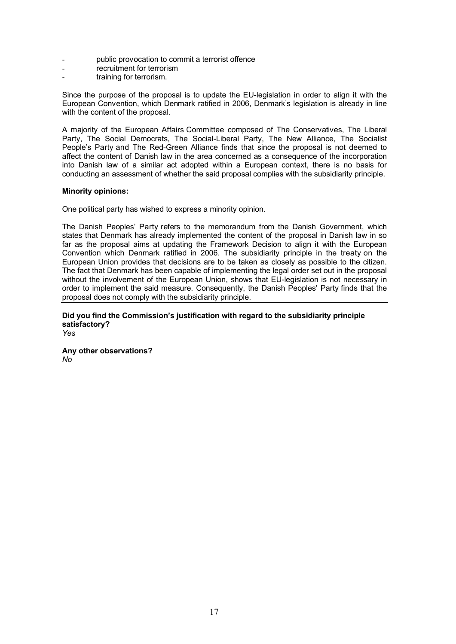- public provocation to commit a terrorist offence
- recruitment for terrorism
- training for terrorism.

Since the purpose of the proposal is to update the EU-legislation in order to align it with the European Convention, which Denmark ratified in 2006, Denmark's legislation is already in line with the content of the proposal.

A majority of the European Affairs Committee composed of The Conservatives, The Liberal Party, The Social Democrats, The Social-Liberal Party, The New Alliance, The Socialist People's Party and The Red-Green Alliance finds that since the proposal is not deemed to affect the content of Danish law in the area concerned as a consequence of the incorporation into Danish law of a similar act adopted within a European context, there is no basis for conducting an assessment of whether the said proposal complies with the subsidiarity principle.

## **Minority opinions:**

One political party has wished to express a minority opinion.

The Danish Peoples' Party refers to the memorandum from the Danish Government, which states that Denmark has already implemented the content of the proposal in Danish law in so far as the proposal aims at updating the Framework Decision to align it with the European Convention which Denmark ratified in 2006. The subsidiarity principle in the treaty on the European Union provides that decisions are to be taken as closely as possible to the citizen. The fact that Denmark has been capable of implementing the legal order set out in the proposal without the involvement of the European Union, shows that EU-legislation is not necessary in order to implement the said measure. Consequently, the Danish Peoples' Party finds that the proposal does not comply with the subsidiarity principle.

**Did you find the Commission's justification with regard to the subsidiarity principle satisfactory?** *Yes*

**Any other observations?** *No*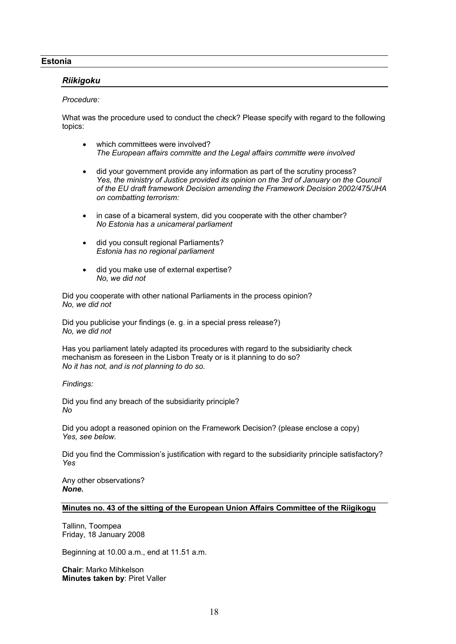## **Estonia**

## *Riikigoku*

#### *Procedure:*

What was the procedure used to conduct the check? Please specify with regard to the following topics:

- which committees were involved? *The European affairs committe and the Legal affairs committe were involved*
- did your government provide any information as part of the scrutiny process? *Yes, the ministry of Justice provided its opinion on the 3rd of January on the Council of the EU draft framework Decision amending the Framework Decision 2002/475/JHA on combatting terrorism:*
- in case of a bicameral system, did you cooperate with the other chamber? *No Estonia has a unicameral parliament*
- did you consult regional Parliaments? *Estonia has no regional parliament*
- did you make use of external expertise? *No, we did not*

Did you cooperate with other national Parliaments in the process opinion? *No, we did not*

Did you publicise your findings (e. g. in a special press release?) *No, we did not*

Has you parliament lately adapted its procedures with regard to the subsidiarity check mechanism as foreseen in the Lisbon Treaty or is it planning to do so? *No it has not, and is not planning to do so.*

*Findings:*

Did you find any breach of the subsidiarity principle? *No*

Did you adopt a reasoned opinion on the Framework Decision? (please enclose a copy) *Yes, see below.*

Did you find the Commission's justification with regard to the subsidiarity principle satisfactory? *Yes*

Any other observations? *None.*

## **Minutes no. 43 of the sitting of the European Union Affairs Committee of the Riigikogu**

Tallinn, Toompea Friday, 18 January 2008

Beginning at 10.00 a.m., end at 11.51 a.m.

**Chair**: Marko Mihkelson **Minutes taken by**: Piret Valler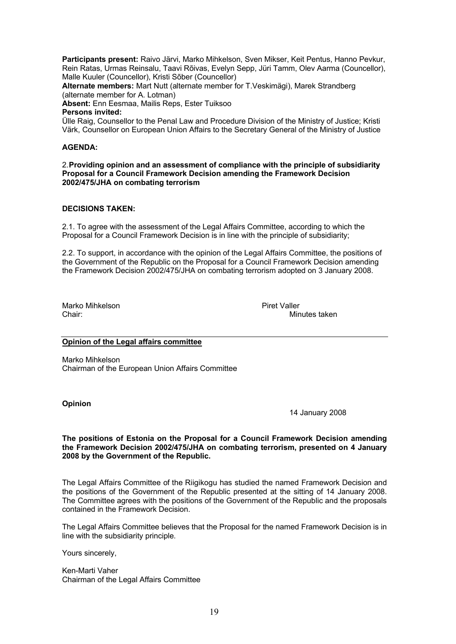**Participants present:** Raivo Järvi, Marko Mihkelson, Sven Mikser, Keit Pentus, Hanno Pevkur, Rein Ratas, Urmas Reinsalu, Taavi Rõivas, Evelyn Sepp, Jüri Tamm, Olev Aarma (Councellor), Malle Kuuler (Councellor), Kristi Sõber (Councellor)

**Alternate members:** Mart Nutt (alternate member for T.Veskimägi), Marek Strandberg (alternate member for A. Lotman)

**Absent:** Enn Eesmaa, Mailis Reps, Ester Tuiksoo

#### **Persons invited:**

Ülle Raig, Counsellor to the Penal Law and Procedure Division of the Ministry of Justice; Kristi Värk, Counsellor on European Union Affairs to the Secretary General of the Ministry of Justice

#### **AGENDA:**

2.**Providing opinion and an assessment of compliance with the principle of subsidiarity Proposal for a Council Framework Decision amending the Framework Decision 2002/475/JHA on combating terrorism**

## **DECISIONS TAKEN:**

2.1. To agree with the assessment of the Legal Affairs Committee, according to which the Proposal for a Council Framework Decision is in line with the principle of subsidiarity;

2.2. To support, in accordance with the opinion of the Legal Affairs Committee, the positions of the Government of the Republic on the Proposal for a Council Framework Decision amending the Framework Decision 2002/475/JHA on combating terrorism adopted on 3 January 2008.

Marko Mihkelson **Piret Valler**<br>Chair<sup>.</sup> Min

Minutes taken

## **Opinion of the Legal affairs committee**

Marko Mihkelson Chairman of the European Union Affairs Committee

#### **Opinion**

14 January 2008

#### **The positions of Estonia on the Proposal for a Council Framework Decision amending the Framework Decision 2002/475/JHA on combating terrorism, presented on 4 January 2008 by the Government of the Republic.**

The Legal Affairs Committee of the Riigikogu has studied the named Framework Decision and the positions of the Government of the Republic presented at the sitting of 14 January 2008. The Committee agrees with the positions of the Government of the Republic and the proposals contained in the Framework Decision.

The Legal Affairs Committee believes that the Proposal for the named Framework Decision is in line with the subsidiarity principle.

Yours sincerely,

Ken-Marti Vaher Chairman of the Legal Affairs Committee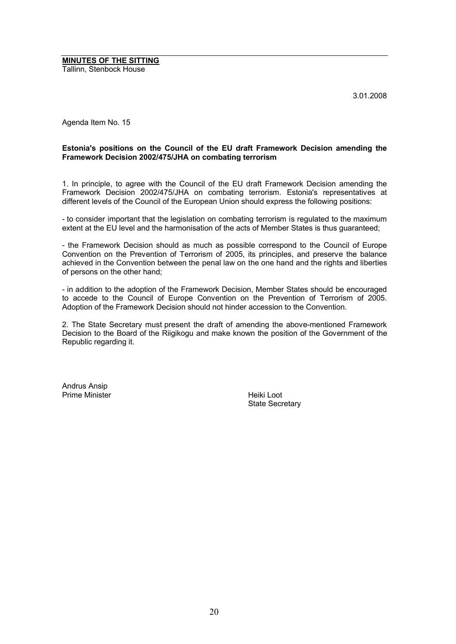**MINUTES OF THE SITTING** Tallinn, Stenbock House

3.01.2008

Agenda Item No. 15

### **Estonia's positions on the Council of the EU draft Framework Decision amending the Framework Decision 2002/475/JHA on combating terrorism**

1. In principle, to agree with the Council of the EU draft Framework Decision amending the Framework Decision 2002/475/JHA on combating terrorism. Estonia's representatives at different levels of the Council of the European Union should express the following positions:

- to consider important that the legislation on combating terrorism is regulated to the maximum extent at the EU level and the harmonisation of the acts of Member States is thus guaranteed;

- the Framework Decision should as much as possible correspond to the Council of Europe Convention on the Prevention of Terrorism of 2005, its principles, and preserve the balance achieved in the Convention between the penal law on the one hand and the rights and liberties of persons on the other hand;

- in addition to the adoption of the Framework Decision, Member States should be encouraged to accede to the Council of Europe Convention on the Prevention of Terrorism of 2005. Adoption of the Framework Decision should not hinder accession to the Convention.

2. The State Secretary must present the draft of amending the above-mentioned Framework Decision to the Board of the Riigikogu and make known the position of the Government of the Republic regarding it.

Andrus Ansip Prime Minister **Heiki** Loot

State Secretary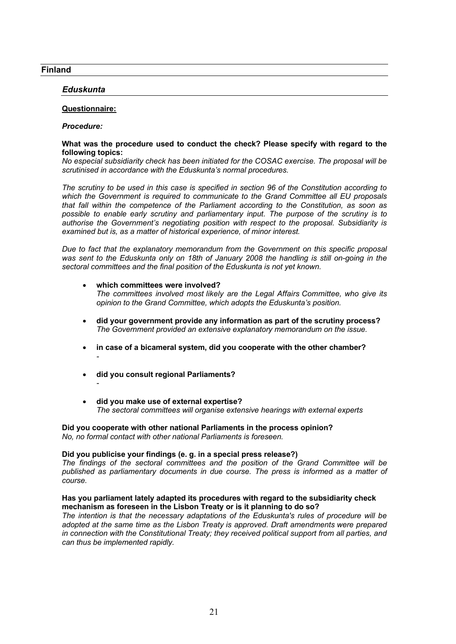## **Finland**

## *Eduskunta*

#### **Questionnaire:**

*-*

#### *Procedure:*

#### **What was the procedure used to conduct the check? Please specify with regard to the following topics:**

*No especial subsidiarity check has been initiated for the COSAC exercise. The proposal will be scrutinised in accordance with the Eduskunta's normal procedures.*

*The scrutiny to be used in this case is specified in section 96 of the Constitution according to which the Government is required to communicate to the Grand Committee all EU proposals that fall within the competence of the Parliament according to the Constitution, as soon as possible to enable early scrutiny and parliamentary input. The purpose of the scrutiny is to authorise the Government's negotiating position with respect to the proposal. Subsidiarity is examined but is, as a matter of historical experience, of minor interest.*

*Due to fact that the explanatory memorandum from the Government on this specific proposal was sent to the Eduskunta only on 18th of January 2008 the handling is still on-going in the sectoral committees and the final position of the Eduskunta is not yet known.* 

#### **which committees were involved?** *The committees involved most likely are the Legal Affairs Committee, who give its opinion to the Grand Committee, which adopts the Eduskunta's position.*

- **did your government provide any information as part of the scrutiny process?** *The Government provided an extensive explanatory memorandum on the issue.*
- **in case of a bicameral system, did you cooperate with the other chamber?** *-*
- **did you consult regional Parliaments?**
- **did you make use of external expertise?** *The sectoral committees will organise extensive hearings with external experts*

#### **Did you cooperate with other national Parliaments in the process opinion?** *No, no formal contact with other national Parliaments is foreseen.*

#### **Did you publicise your findings (e. g. in a special press release?)**

*The findings of the sectoral committees and the position of the Grand Committee will be published as parliamentary documents in due course. The press is informed as a matter of course.*

#### **Has you parliament lately adapted its procedures with regard to the subsidiarity check mechanism as foreseen in the Lisbon Treaty or is it planning to do so?**

*The intention is that the necessary adaptations of the Eduskunta's rules of procedure will be adopted at the same time as the Lisbon Treaty is approved. Draft amendments were prepared in connection with the Constitutional Treaty; they received political support from all parties, and can thus be implemented rapidly.*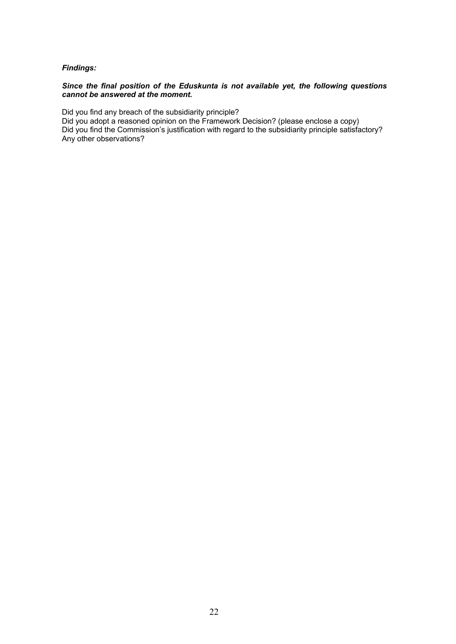## *Findings:*

## *Since the final position of the Eduskunta is not available yet, the following questions cannot be answered at the moment.*

Did you find any breach of the subsidiarity principle?

Did you adopt a reasoned opinion on the Framework Decision? (please enclose a copy) Did you find the Commission's justification with regard to the subsidiarity principle satisfactory? Any other observations?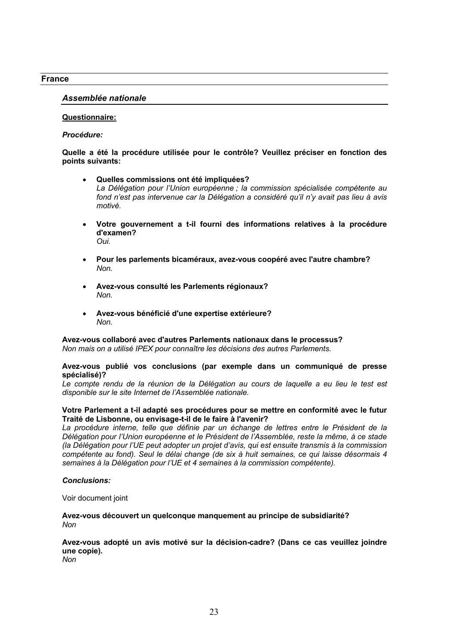#### **France**

#### *Assemblée nationale*

#### **Questionnaire:**

#### *Procédure:*

#### **Quelle a été la procédure utilisée pour le contrôle? Veuillez préciser en fonction des points suivants:**

- **Quelles commissions ont été impliquées?** *La Délégation pour l'Union européenne ; la commission spécialisée compétente au fond n'est pas intervenue car la Délégation a considéré qu'il n'y avait pas lieu à avis motivé.*
- **Votre gouvernement a t-il fourni des informations relatives à la procédure d'examen?** *Oui.*
- **Pour les parlements bicaméraux, avez-vous coopéré avec l'autre chambre?** *Non.*
- **Avez-vous consulté les Parlements régionaux?** *Non.*
- **Avez-vous bénéficié d'une expertise extérieure?** *Non.*

#### **Avez-vous collaboré avec d'autres Parlements nationaux dans le processus?** *Non mais on a utilisé IPEX pour connaître les décisions des autres Parlements.*

#### **Avez-vous publié vos conclusions (par exemple dans un communiqué de presse spécialisé)?**

Le compte rendu de la réunion de la Délégation au cours de laquelle a eu lieu le test est *disponible sur le site Internet de l'Assemblée nationale.*

#### **Votre Parlement a t-il adapté ses procédures pour se mettre en conformité avec le futur Traité de Lisbonne, ou envisage-t-il de le faire à l'avenir?**

La procédure interne, telle que définie par un échange de lettres entre le Président de la *Délégation pour l'Union européenne et le Président de l'Assemblée, reste la même, à ce stade (la Délégation pour l'UE peut adopter un projet d'avis, qui est ensuite transmis à la commission compétente au fond). Seul le délai change (de six à huit semaines, ce qui laisse désormais 4 semaines à la Délégation pour l'UE et 4 semaines à la commission compétente).*

#### *Conclusions:*

Voir document joint

**Avez-vous découvert un quelconque manquement au principe de subsidiarité?** *Non*

## **Avez-vous adopté un avis motivé sur la décision-cadre? (Dans ce cas veuillez joindre une copie).**

*Non*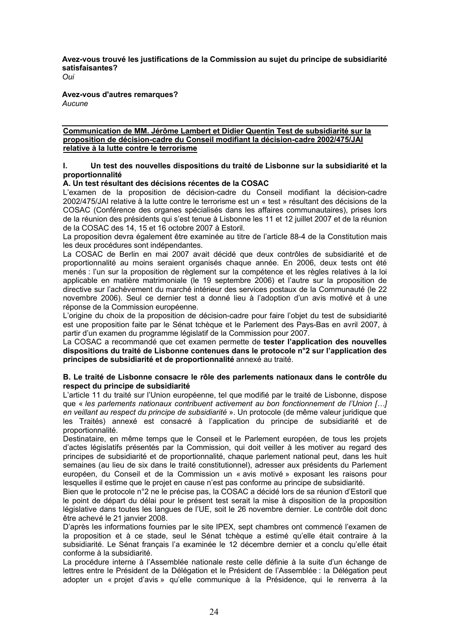**Avez-vous trouvé les justifications de la Commission au sujet du principe de subsidiarité satisfaisantes?**

*Oui*

**Avez-vous d'autres remarques?** *Aucune*

## **Communication de MM. Jérôme Lambert et Didier Quentin Test de subsidiarité sur la proposition de décision-cadre du Conseil modifiant la décision-cadre 2002/475/JAI relative à la lutte contre le terrorisme**

## **I. Un test des nouvelles dispositions du traité de Lisbonne sur la subsidiarité et la proportionnalité**

## **A. Un test résultant des décisions récentes de la COSAC**

L'examen de la proposition de décision-cadre du Conseil modifiant la décision-cadre 2002/475/JAI relative à la lutte contre le terrorisme est un « test » résultant des décisions de la COSAC (Conférence des organes spécialisés dans les affaires communautaires), prises lors de la réunion des présidents qui s'est tenue à Lisbonne les 11 et 12 juillet 2007 et de la réunion de la COSAC des 14, 15 et 16 octobre 2007 à Estoril.

La proposition devra également être examinée au titre de l'article 88-4 de la Constitution mais les deux procédures sont indépendantes.

La COSAC de Berlin en mai 2007 avait décidé que deux contrôles de subsidiarité et de proportionnalité au moins seraient organisés chaque année. En 2006, deux tests ont été menés : l'un sur la proposition de règlement sur la compétence et les règles relatives à la loi applicable en matière matrimoniale (le 19 septembre 2006) et l'autre sur la proposition de directive sur l'achèvement du marché intérieur des services postaux de la Communauté (le 22 novembre 2006). Seul ce dernier test a donné lieu à l'adoption d'un avis motivé et à une réponse de la Commission européenne.

L'origine du choix de la proposition de décision-cadre pour faire l'objet du test de subsidiarité est une proposition faite par le Sénat tchèque et le Parlement des Pays-Bas en avril 2007, à partir d'un examen du programme législatif de la Commission pour 2007.

La COSAC a recommandé que cet examen permette de **tester l'application des nouvelles dispositions du traité de Lisbonne contenues dans le protocole n°2 sur l'application des principes de subsidiarité et de proportionnalité** annexé au traité.

#### **B. Le traité de Lisbonne consacre le rôle des parlements nationaux dans le contrôle du respect du principe de subsidiarité**

L'article 11 du traité sur l'Union européenne, tel que modifié par le traité de Lisbonne, dispose que « *les parlements nationaux contribuent activement au bon fonctionnement de l'Union […] en veillant au respect du principe de subsidiarité* ». Un protocole (de même valeur juridique que les Traités) annexé est consacré à l'application du principe de subsidiarité et de proportionnalité.

Destinataire, en même temps que le Conseil et le Parlement européen, de tous les projets d'actes législatifs présentés par la Commission, qui doit veiller à les motiver au regard des principes de subsidiarité et de proportionnalité, chaque parlement national peut, dans les huit semaines (au lieu de six dans le traité constitutionnel), adresser aux présidents du Parlement européen, du Conseil et de la Commission un « avis motivé » exposant les raisons pour lesquelles il estime que le projet en cause n'est pas conforme au principe de subsidiarité.

Bien que le protocole n°2 ne le précise pas, la COSAC a décidé lors de sa réunion d'Estoril que le point de départ du délai pour le présent test serait la mise à disposition de la proposition législative dans toutes les langues de l'UE, soit le 26 novembre dernier. Le contrôle doit donc être achevé le 21 janvier 2008.

D'après les informations fournies par le site IPEX, sept chambres ont commencé l'examen de la proposition et à ce stade, seul le Sénat tchèque a estimé qu'elle était contraire à la subsidiarité. Le Sénat français l'a examinée le 12 décembre dernier et a conclu qu'elle était conforme à la subsidiarité.

La procédure interne à l'Assemblée nationale reste celle définie à la suite d'un échange de lettres entre le Président de la Délégation et le Président de l'Assemblée : la Délégation peut adopter un « projet d'avis » qu'elle communique à la Présidence, qui le renverra à la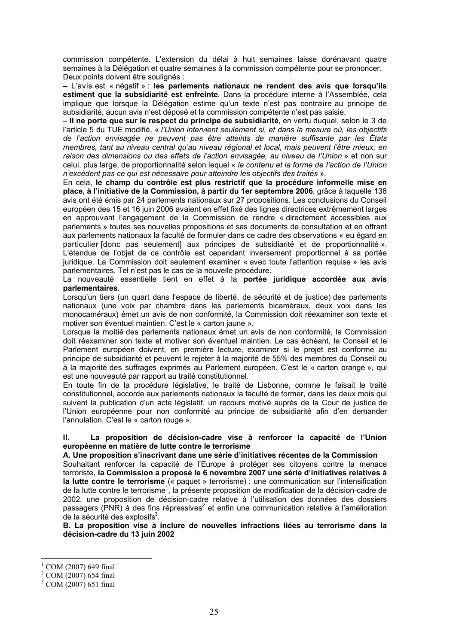commission compétente. L'extension du délai à huit semaines laisse dorénavant quatre semaines à la Délégation et quatre semaines à la commission compétente pour se prononcer. Deux points doivent être soulignés :

– L'avis est « négatif » : **les parlements nationaux ne rendent des avis que lorsqu'ils estiment que la subsidiarité est enfreinte**. Dans la procédure interne à l'Assemblée, cela implique que lorsque la Délégation estime qu'un texte n'est pas contraire au principe de subsidiarité, aucun avis n'est déposé et la commission compétente n'est pas saisie.

– **Il ne porte que sur le respect du principe de subsidiarité**, en vertu duquel, selon le 3 de l'article 5 du TUE modifié, « *l'Union intervient seulement si, et dans la mesure où, les objectifs de l'action envisagée ne peuvent pas être atteints de manière suffisante par les États membres, tant au niveau central qu'au niveau régional et local, mais peuvent l'être mieux, en raison des dimensions ou des effets de l'action envisagée, au niveau de l'Union* » et non sur celui, plus large, de proportionnalité selon lequel « *le contenu et la forme de l'action de l'Union n'excèdent pas ce qui est nécessaire pour atteindre les objectifs des traités* ».

En cela, **le champ du contrôle est plus restrictif que la procédure informelle mise en place, à l'initiative de la Commission, à partir du 1er septembre 2006**, grâce à laquelle 138 avis ont été émis par 24 parlements nationaux sur 27 propositions. Les conclusions du Conseil européen des 15 et 16 juin 2006 avaient en effet fixé des lignes directrices extrêmement larges en approuvant l'engagement de la Commission de rendre « directement accessibles aux parlements » toutes ses nouvelles propositions et ses documents de consultation et en offrant aux parlements nationaux la faculté de formuler dans ce cadre des observations « eu égard en particulier [donc pas seulement] aux principes de subsidiarité et de proportionnalité ». L'étendue de l'objet de ce contrôle est cependant inversement proportionnel à sa portée juridique. La Commission doit seulement examiner « avec toute l'attention requise » les avis parlementaires. Tel n'est pas le cas de la nouvelle procédure.

La nouveauté essentielle tient en effet à la **portée juridique accordée aux avis parlementaires**.

Lorsqu'un tiers (un quart dans l'espace de liberté, de sécurité et de justice) des parlements nationaux (une voix par chambre dans les parlements bicaméraux, deux voix dans les monocaméraux) émet un avis de non conformité, la Commission doit réexaminer son texte et motiver son éventuel maintien. C'est le « carton jaune ».

Lorsque la moitié des parlements nationaux émet un avis de non conformité, la Commission doit réexaminer son texte et motiver son éventuel maintien. Le cas échéant, le Conseil et le Parlement européen doivent, en première lecture, examiner si le projet est conforme au principe de subsidiarité et peuvent le rejeter à la majorité de 55% des membres du Conseil ou à la majorité des suffrages exprimés au Parlement européen. C'est le « carton orange », qui est une nouveauté par rapport au traité constitutionnel.

En toute fin de la procédure législative, le traité de Lisbonne, comme le faisait le traité constitutionnel, accorde aux parlements nationaux la faculté de former, dans les deux mois qui suivent la publication d'un acte législatif, un recours motivé auprès de la Cour de justice de l'Union européenne pour non conformité au principe de subsidiarité afin d'en demander l'annulation. C'est le « carton rouge ».

## **II. La proposition de décision-cadre vise à renforcer la capacité de l'Union européenne en matière de lutte contre le terrorisme**

**A. Une proposition s'inscrivant dans une série d'initiatives récentes de la Commission**  Souhaitant renforcer la capacité de l'Europe à protéger ses citoyens contre la menace terroriste, **la Commission a proposé le 6 novembre 2007 une série d'initiatives relatives à la lutte contre le terrorisme** (« paquet » terrorisme) : une communication sur l'intensification de la lutte contre le terrorisme<sup>1</sup>, la présente proposition de modification de la décision-cadre de 2002, une proposition de décision-cadre relative à l'utilisation des données des dossiers passagers (PNR) à des fins répressives<sup>2</sup> et enfin une communication relative à l'amélioration  $\mathrm d$ e la sécurité des explosifs $^3$ .

**B. La proposition vise à inclure de nouvelles infractions liées au terrorisme dans la décision-cadre du 13 juin 2002**

<u>.</u>

<sup>1</sup> COM (2007) 649 final

<sup>2</sup> COM (2007) 654 final

<sup>&</sup>lt;sup>3</sup> COM (2007) 651 final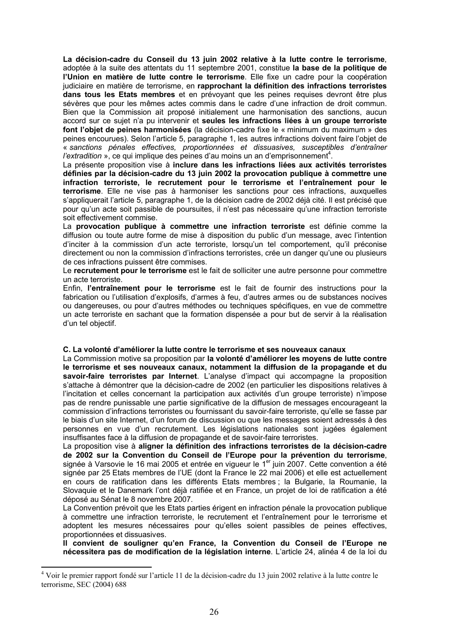**La décision-cadre du Conseil du 13 juin 2002 relative à la lutte contre le terrorisme**, adoptée à la suite des attentats du 11 septembre 2001, constitue **la base de la politique de l'Union en matière de lutte contre le terrorisme**. Elle fixe un cadre pour la coopération judiciaire en matière de terrorisme, en **rapprochant la définition des infractions terroristes dans tous les Etats membres** et en prévoyant que les peines requises devront être plus sévères que pour les mêmes actes commis dans le cadre d'une infraction de droit commun. Bien que la Commission ait proposé initialement une harmonisation des sanctions, aucun accord sur ce sujet n'a pu intervenir et **seules les infractions liées à un groupe terroriste font l'objet de peines harmonisées** (la décision-cadre fixe le « minimum du maximum » des peines encourues). Selon l'article 5, paragraphe 1, les autres infractions doivent faire l'objet de « *sanctions pénales effectives, proportionnées et dissuasives, susceptibles d'entraîner l'extradition* », ce qui implique des peines d'au moins un an d'emprisonnement<sup>4</sup>.

La présente proposition vise à **inclure dans les infractions liées aux activités terroristes définies par la décision-cadre du 13 juin 2002 la provocation publique à commettre une infraction terroriste, le recrutement pour le terrorisme et l'entraînement pour le terrorisme**. Elle ne vise pas à harmoniser les sanctions pour ces infractions, auxquelles s'appliquerait l'article 5, paragraphe 1, de la décision cadre de 2002 déjà cité. Il est précisé que pour qu'un acte soit passible de poursuites, il n'est pas nécessaire qu'une infraction terroriste soit effectivement commise.

La **provocation publique à commettre une infraction terroriste** est définie comme la diffusion ou toute autre forme de mise à disposition du public d'un message, avec l'intention d'inciter à la commission d'un acte terroriste, lorsqu'un tel comportement, qu'il préconise directement ou non la commission d'infractions terroristes, crée un danger qu'une ou plusieurs de ces infractions puissent être commises.

Le **recrutement pour le terrorisme** est le fait de solliciter une autre personne pour commettre un acte terroriste.

Enfin, **l'entraînement pour le terrorisme** est le fait de fournir des instructions pour la fabrication ou l'utilisation d'explosifs, d'armes à feu, d'autres armes ou de substances nocives ou dangereuses, ou pour d'autres méthodes ou techniques spécifiques, en vue de commettre un acte terroriste en sachant que la formation dispensée a pour but de servir à la réalisation d'un tel objectif.

#### **C. La volonté d'améliorer la lutte contre le terrorisme et ses nouveaux canaux**

La Commission motive sa proposition par **la volonté d'améliorer les moyens de lutte contre le terrorisme et ses nouveaux canaux, notamment la diffusion de la propagande et du savoir-faire terroristes par Internet**. L'analyse d'impact qui accompagne la proposition s'attache à démontrer que la décision-cadre de 2002 (en particulier les dispositions relatives à l'incitation et celles concernant la participation aux activités d'un groupe terroriste) n'impose pas de rendre punissable une partie significative de la diffusion de messages encourageant la commission d'infractions terroristes ou fournissant du savoir-faire terroriste, qu'elle se fasse par le biais d'un site Internet, d'un forum de discussion ou que les messages soient adressés à des personnes en vue d'un recrutement. Les législations nationales sont jugées également insuffisantes face à la diffusion de propagande et de savoir-faire terroristes.

La proposition vise à **aligner la définition des infractions terroristes de la décision-cadre de 2002 sur la Convention du Conseil de l'Europe pour la prévention du terrorisme**, signée à Varsovie le 16 mai 2005 et entrée en vigueur le 1<sup>er</sup> juin 2007. Cette convention a été signée par 25 Etats membres de l'UE (dont la France le 22 mai 2006) et elle est actuellement en cours de ratification dans les différents Etats membres ; la Bulgarie, la Roumanie, la Slovaquie et le Danemark l'ont déjà ratifiée et en France, un projet de loi de ratification a été déposé au Sénat le 8 novembre 2007.

La Convention prévoit que les Etats parties érigent en infraction pénale la provocation publique à commettre une infraction terroriste, le recrutement et l'entraînement pour le terrorisme et adoptent les mesures nécessaires pour qu'elles soient passibles de peines effectives, proportionnées et dissuasives.

**Il convient de souligner qu'en France, la Convention du Conseil de l'Europe ne nécessitera pas de modification de la législation interne**. L'article 24, alinéa 4 de la loi du

<u>.</u>

<sup>&</sup>lt;sup>4</sup> Voir le premier rapport fondé sur l'article 11 de la décision-cadre du 13 juin 2002 relative à la lutte contre le terrorisme, SEC (2004) 688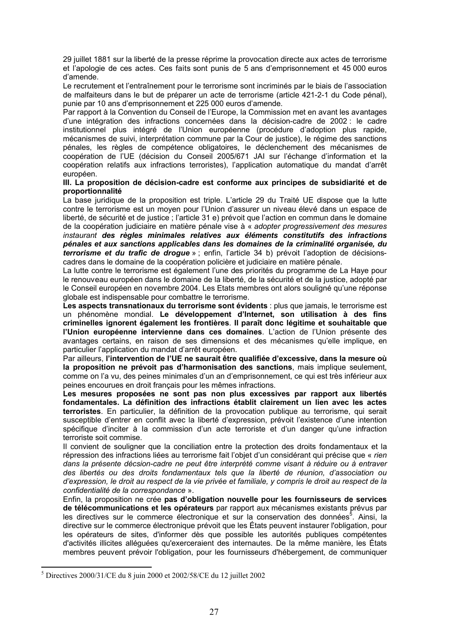29 juillet 1881 sur la liberté de la presse réprime la provocation directe aux actes de terrorisme et l'apologie de ces actes. Ces faits sont punis de 5 ans d'emprisonnement et 45 000 euros d'amende.

Le recrutement et l'entraînement pour le terrorisme sont incriminés par le biais de l'association de malfaiteurs dans le but de préparer un acte de terrorisme (article 421-2-1 du Code pénal), punie par 10 ans d'emprisonnement et 225 000 euros d'amende.

Par rapport à la Convention du Conseil de l'Europe, la Commission met en avant les avantages d'une intégration des infractions concernées dans la décision-cadre de 2002 : le cadre institutionnel plus intégré de l'Union européenne (procédure d'adoption plus rapide, mécanismes de suivi, interprétation commune par la Cour de justice), le régime des sanctions pénales, les règles de compétence obligatoires, le déclenchement des mécanismes de coopération de l'UE (décision du Conseil 2005/671 JAI sur l'échange d'information et la coopération relatifs aux infractions terroristes), l'application automatique du mandat d'arrêt européen.

#### **III. La proposition de décision-cadre est conforme aux principes de subsidiarité et de proportionnalité**

La base juridique de la proposition est triple. L'article 29 du Traité UE dispose que la lutte contre le terrorisme est un moyen pour l'Union d'assurer un niveau élevé dans un espace de liberté, de sécurité et de justice ; l'article 31 e) prévoit que l'action en commun dans le domaine de la coopération judiciaire en matière pénale vise à « *adopter progressivement des mesures instaurant des règles minimales relatives aux éléments constitutifs des infractions pénales et aux sanctions applicables dans les domaines de la criminalité organisée, du terrorisme et du trafic de drogue* » ; enfin, l'article 34 b) prévoit l'adoption de décisionscadres dans le domaine de la coopération policière et judiciaire en matière pénale.

La lutte contre le terrorisme est également l'une des priorités du programme de La Haye pour le renouveau européen dans le domaine de la liberté, de la sécurité et de la justice, adopté par le Conseil européen en novembre 2004. Les Etats membres ont alors souligné qu'une réponse globale est indispensable pour combattre le terrorisme.

**Les aspects transnationaux du terrorisme sont évidents** : plus que jamais, le terrorisme est un phénomène mondial. **Le développement d'Internet, son utilisation à des fins criminelles ignorent également les frontières**. **Il paraît donc légitime et souhaitable que l'Union européenne intervienne dans ces domaines**. L'action de l'Union présente des avantages certains, en raison de ses dimensions et des mécanismes qu'elle implique, en particulier l'application du mandat d'arrêt européen.

Par ailleurs, **l'intervention de l'UE ne saurait être qualifiée d'excessive, dans la mesure où la proposition ne prévoit pas d'harmonisation des sanctions**, mais implique seulement, comme on l'a vu, des peines minimales d'un an d'emprisonnement, ce qui est très inférieur aux peines encourues en droit français pour les mêmes infractions.

**Les mesures proposées ne sont pas non plus excessives par rapport aux libertés fondamentales. La définition des infractions établit clairement un lien avec les actes terroristes**. En particulier, la définition de la provocation publique au terrorisme, qui serait susceptible d'entrer en conflit avec la liberté d'expression, prévoit l'existence d'une intention spécifique d'inciter à la commission d'un acte terroriste et d'un danger qu'une infraction terroriste soit commise.

Il convient de souligner que la conciliation entre la protection des droits fondamentaux et la répression des infractions liées au terrorisme fait l'objet d'un considérant qui précise que « *rien dans la présente décsion-cadre ne peut être interprété comme visant à réduire ou à entraver des libertés ou des droits fondamentaux tels que la liberté de réunion, d'association ou d'expression, le droit au respect de la vie privée et familiale, y compris le droit au respect de la confidentialité de la correspondance* ».

Enfin, la proposition ne crée **pas d'obligation nouvelle pour les fournisseurs de services de télécommunications et les opérateurs** par rapport aux mécanismes existants prévus par les directives sur le commerce électronique et sur la conservation des données<sup>5</sup>. Ainsi, la directive sur le commerce électronique prévoit que les États peuvent instaurer l'obligation, pour les opérateurs de sites, d'informer dès que possible les autorités publiques compétentes d'activités illicites alléguées qu'exerceraient des internautes. De la même manière, les États membres peuvent prévoir l'obligation, pour les fournisseurs d'hébergement, de communiquer

<sup>&</sup>lt;u>.</u> 5 Directives 2000/31/CE du 8 juin 2000 et 2002/58/CE du 12 juillet 2002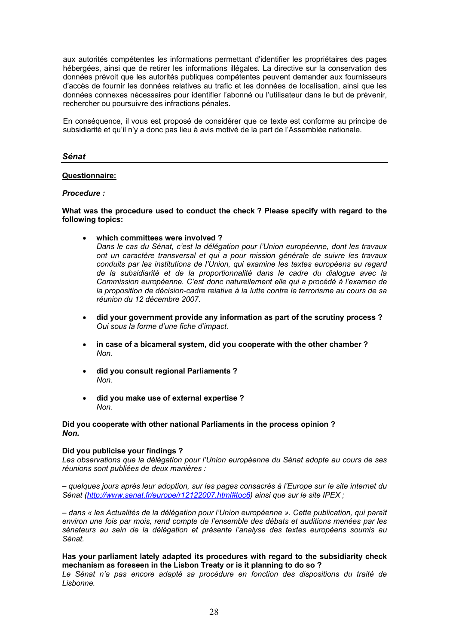aux autorités compétentes les informations permettant d'identifier les propriétaires des pages hébergées, ainsi que de retirer les informations illégales. La directive sur la conservation des données prévoit que les autorités publiques compétentes peuvent demander aux fournisseurs d'accès de fournir les données relatives au trafic et les données de localisation, ainsi que les données connexes nécessaires pour identifier l'abonné ou l'utilisateur dans le but de prévenir, rechercher ou poursuivre des infractions pénales.

En conséquence, il vous est proposé de considérer que ce texte est conforme au principe de subsidiarité et qu'il n'y a donc pas lieu à avis motivé de la part de l'Assemblée nationale.

#### *Sénat*

## **Questionnaire:**

#### *Procedure :*

#### **What was the procedure used to conduct the check ? Please specify with regard to the following topics:**

**which committees were involved ?**

*Dans le cas du Sénat, c'est la délégation pour l'Union européenne, dont les travaux ont un caractère transversal et qui a pour mission générale de suivre les travaux conduits par les institutions de l'Union, qui examine les textes européens au regard de la subsidiarité et de la proportionnalité dans le cadre du dialogue avec la Commission européenne. C'est donc naturellement elle qui a procédé à l'examen de la proposition de décision-cadre relative à la lutte contre le terrorisme au cours de sa réunion du 12 décembre 2007.*

- **did your government provide any information as part of the scrutiny process ?** *Oui sous la forme d'une fiche d'impact.*
- **in case of a bicameral system, did you cooperate with the other chamber ?** *Non.*
- **did you consult regional Parliaments ?** *Non.*
- **did you make use of external expertise ?** *Non.*

#### **Did you cooperate with other national Parliaments in the process opinion ?** *Non.*

#### **Did you publicise your findings ?**

*Les observations que la délégation pour l'Union européenne du Sénat adopte au cours de ses réunions sont publiées de deux manières :*

*– quelques jours après leur adoption, sur les pages consacrés à l'Europe sur le site internet du Sénat (http://www.senat.fr/europe/r12122007.html#toc6) ainsi que sur le site IPEX ;*

*– dans « les Actualités de la délégation pour l'Union européenne ». Cette publication, qui paraît environ une fois par mois, rend compte de l'ensemble des débats et auditions menées par les sénateurs au sein de la délégation et présente l'analyse des textes européens soumis au Sénat.*

#### **Has your parliament lately adapted its procedures with regard to the subsidiarity check mechanism as foreseen in the Lisbon Treaty or is it planning to do so ?**

*Le Sénat n'a pas encore adapté sa procédure en fonction des dispositions du traité de Lisbonne.*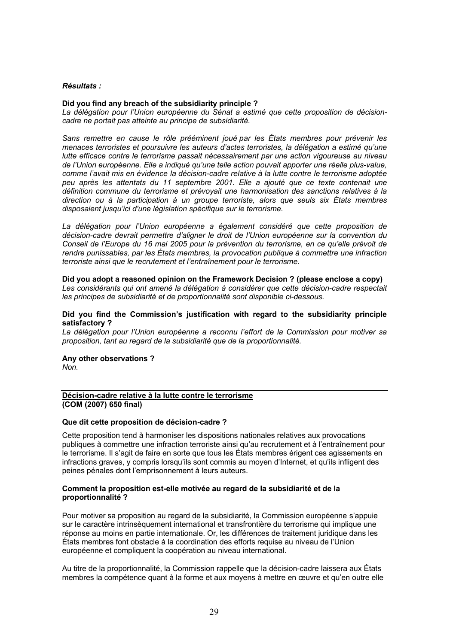#### *Résultats :*

#### **Did you find any breach of the subsidiarity principle ?**

*La délégation pour l'Union européenne du Sénat a estimé que cette proposition de décisioncadre ne portait pas atteinte au principe de subsidiarité.*

*Sans remettre en cause le rôle prééminent joué par les États membres pour prévenir les menaces terroristes et poursuivre les auteurs d'actes terroristes, la délégation a estimé qu'une lutte efficace contre le terrorisme passait nécessairement par une action vigoureuse au niveau de l'Union européenne. Elle a indiqué qu'une telle action pouvait apporter une réelle plus-value, comme l'avait mis en évidence la décision-cadre relative à la lutte contre le terrorisme adoptée peu après les attentats du 11 septembre 2001. Elle a ajouté que ce texte contenait une définition commune du terrorisme et prévoyait une harmonisation des sanctions relatives à la direction ou à la participation à un groupe terroriste, alors que seuls six États membres disposaient jusqu'ici d'une législation spécifique sur le terrorisme.*

La délégation pour l'Union européenne a également considéré que cette proposition de *décision-cadre devrait permettre d'aligner le droit de l'Union européenne sur la convention du Conseil de l'Europe du 16 mai 2005 pour la prévention du terrorisme, en ce qu'elle prévoit de rendre punissables, par les États membres, la provocation publique à commettre une infraction terroriste ainsi que le recrutement et l'entraînement pour le terrorisme.*

#### **Did you adopt a reasoned opinion on the Framework Decision ? (please enclose a copy)** *Les considérants qui ont amené la délégation à considérer que cette décision-cadre respectait les principes de subsidiarité et de proportionnalité sont disponible ci-dessous.*

#### **Did you find the Commission's justification with regard to the subsidiarity principle satisfactory ?**

*La délégation pour l'Union européenne a reconnu l'effort de la Commission pour motiver sa proposition, tant au regard de la subsidiarité que de la proportionnalité.*

#### **Any other observations ?**

*Non.*

#### **Décision-cadre relative à la lutte contre le terrorisme (COM (2007) 650 final)**

#### **Que dit cette proposition de décision-cadre ?**

Cette proposition tend à harmoniser les dispositions nationales relatives aux provocations publiques à commettre une infraction terroriste ainsi qu'au recrutement et à l'entraînement pour le terrorisme. Il s'agit de faire en sorte que tous les États membres érigent ces agissements en infractions graves, y compris lorsqu'ils sont commis au moyen d'Internet, et qu'ils infligent des peines pénales dont l'emprisonnement à leurs auteurs.

#### **Comment la proposition est-elle motivée au regard de la subsidiarité et de la proportionnalité ?**

Pour motiver sa proposition au regard de la subsidiarité, la Commission européenne s'appuie sur le caractère intrinsèquement international et transfrontière du terrorisme qui implique une réponse au moins en partie internationale. Or, les différences de traitement juridique dans les États membres font obstacle à la coordination des efforts requise au niveau de l'Union européenne et compliquent la coopération au niveau international.

Au titre de la proportionnalité, la Commission rappelle que la décision-cadre laissera aux États membres la compétence quant à la forme et aux moyens à mettre en œuvre et qu'en outre elle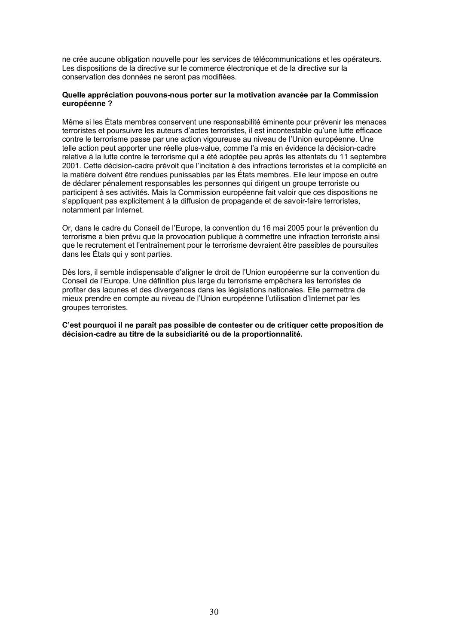ne crée aucune obligation nouvelle pour les services de télécommunications et les opérateurs. Les dispositions de la directive sur le commerce électronique et de la directive sur la conservation des données ne seront pas modifiées.

#### **Quelle appréciation pouvons-nous porter sur la motivation avancée par la Commission européenne ?**

Même si les États membres conservent une responsabilité éminente pour prévenir les menaces terroristes et poursuivre les auteurs d'actes terroristes, il est incontestable qu'une lutte efficace contre le terrorisme passe par une action vigoureuse au niveau de l'Union européenne. Une telle action peut apporter une réelle plus-value, comme l'a mis en évidence la décision-cadre relative à la lutte contre le terrorisme qui a été adoptée peu après les attentats du 11 septembre 2001. Cette décision-cadre prévoit que l'incitation à des infractions terroristes et la complicité en la matière doivent être rendues punissables par les États membres. Elle leur impose en outre de déclarer pénalement responsables les personnes qui dirigent un groupe terroriste ou participent à ses activités. Mais la Commission européenne fait valoir que ces dispositions ne s'appliquent pas explicitement à la diffusion de propagande et de savoir-faire terroristes, notamment par Internet.

Or, dans le cadre du Conseil de l'Europe, la convention du 16 mai 2005 pour la prévention du terrorisme a bien prévu que la provocation publique à commettre une infraction terroriste ainsi que le recrutement et l'entraînement pour le terrorisme devraient être passibles de poursuites dans les États qui y sont parties.

Dès lors, il semble indispensable d'aligner le droit de l'Union européenne sur la convention du Conseil de l'Europe. Une définition plus large du terrorisme empêchera les terroristes de profiter des lacunes et des divergences dans les législations nationales. Elle permettra de mieux prendre en compte au niveau de l'Union européenne l'utilisation d'Internet par les groupes terroristes.

**C'est pourquoi il ne paraît pas possible de contester ou de critiquer cette proposition de décision-cadre au titre de la subsidiarité ou de la proportionnalité.**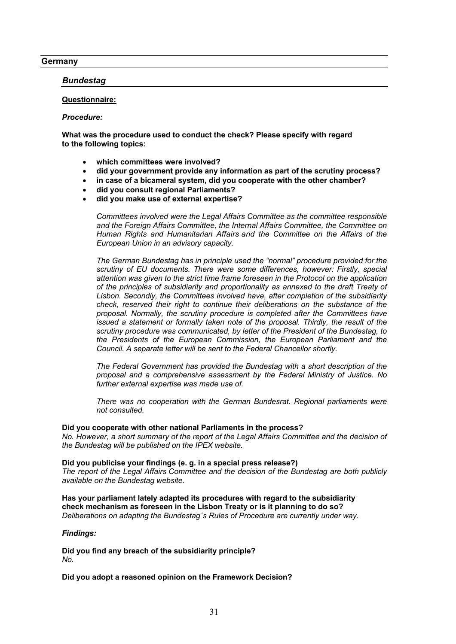#### **Germany**

## *Bundestag*

## **Questionnaire:**

#### *Procedure:*

**What was the procedure used to conduct the check? Please specify with regard to the following topics:**

- **which committees were involved?**
- **did your government provide any information as part of the scrutiny process?**
- **in case of a bicameral system, did you cooperate with the other chamber?**
- **did you consult regional Parliaments?**
- **did you make use of external expertise?**

*Committees involved were the Legal Affairs Committee as the committee responsible and the Foreign Affairs Committee, the Internal Affairs Committee, the Committee on Human Rights and Humanitarian Affairs and the Committee on the Affairs of the European Union in an advisory capacity.*

*The German Bundestag has in principle used the "normal" procedure provided for the scrutiny of EU documents. There were some differences, however: Firstly, special attention was given to the strict time frame foreseen in the Protocol on the application of the principles of subsidiarity and proportionality as annexed to the draft Treaty of Lisbon. Secondly, the Committees involved have, after completion of the subsidiarity check, reserved their right to continue their deliberations on the substance of the proposal. Normally, the scrutiny procedure is completed after the Committees have issued a statement or formally taken note of the proposal. Thirdly, the result of the scrutiny procedure was communicated, by letter of the President of the Bundestag, to the Presidents of the European Commission, the European Parliament and the Council. A separate letter will be sent to the Federal Chancellor shortly.*

*The Federal Government has provided the Bundestag with a short description of the proposal and a comprehensive assessment by the Federal Ministry of Justice. No further external expertise was made use of.*

*There was no cooperation with the German Bundesrat. Regional parliaments were not consulted.*

#### **Did you cooperate with other national Parliaments in the process?**

*No. However, a short summary of the report of the Legal Affairs Committee and the decision of the Bundestag will be published on the IPEX website.*

#### **Did you publicise your findings (e. g. in a special press release?)**

*The report of the Legal Affairs Committee and the decision of the Bundestag are both publicly available on the Bundestag website.*

**Has your parliament lately adapted its procedures with regard to the subsidiarity check mechanism as foreseen in the Lisbon Treaty or is it planning to do so?** *Deliberations on adapting the Bundestag´s Rules of Procedure are currently under way.*

#### *Findings:*

**Did you find any breach of the subsidiarity principle?** *No.*

#### **Did you adopt a reasoned opinion on the Framework Decision?**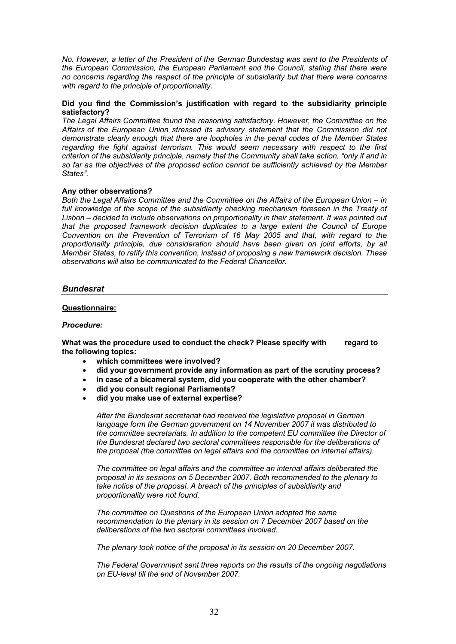*No. However, a letter of the President of the German Bundestag was sent to the Presidents of the European Commission, the European Parliament and the Council, stating that there were no concerns regarding the respect of the principle of subsidiarity but that there were concerns with regard to the principle of proportionality.*

#### **Did you find the Commission's justification with regard to the subsidiarity principle satisfactory?**

*The Legal Affairs Committee found the reasoning satisfactory. However, the Committee on the Affairs of the European Union stressed its advisory statement that the Commission did not demonstrate clearly enough that there are loopholes in the penal codes of the Member States regarding the fight against terrorism. This would seem necessary with respect to the first criterion of the subsidiarity principle, namely that the Community shall take action, "only if and in so far as the objectives of the proposed action cannot be sufficiently achieved by the Member States".*

#### **Any other observations?**

*Both the Legal Affairs Committee and the Committee on the Affairs of the European Union – in*  full knowledge of the scope of the subsidiarity checking mechanism foreseen in the Treaty of *Lisbon – decided to include observations on proportionality in their statement. It was pointed out that the proposed framework decision duplicates to a large extent the Council of Europe Convention on the Prevention of Terrorism of 16 May 2005 and that, with regard to the proportionality principle, due consideration should have been given on joint efforts, by all Member States, to ratify this convention, instead of proposing a new framework decision. These observations will also be communicated to the Federal Chancellor.*

## *Bundesrat*

#### **Questionnaire:**

#### *Procedure:*

**What was the procedure used to conduct the check? Please specify with regard to the following topics:**

- **which committees were involved?**
- **did your government provide any information as part of the scrutiny process?**
- **in case of a bicameral system, did you cooperate with the other chamber?**
- **did you consult regional Parliaments?**
- **did you make use of external expertise?**

*After the Bundesrat secretariat had received the legislative proposal in German language form the German government on 14 November 2007 it was distributed to the committee secretariats. In addition to the competent EU committee the Director of the Bundesrat declared two sectoral committees responsible for the deliberations of the proposal (the committee on legal affairs and the committee on internal affairs).*

*The committee on legal affairs and the committee an internal affairs deliberated the proposal in its sessions on 5 December 2007. Both recommended to the plenary to take notice of the proposal. A breach of the principles of subsidiarity and proportionality were not found.*

*The committee on Questions of the European Union adopted the same recommendation to the plenary in its session on 7 December 2007 based on the deliberations of the two sectoral committees involved.*

*The plenary took notice of the proposal in its session on 20 December 2007.*

*The Federal Government sent three reports on the results of the ongoing negotiations on EU-level till the end of November 2007.*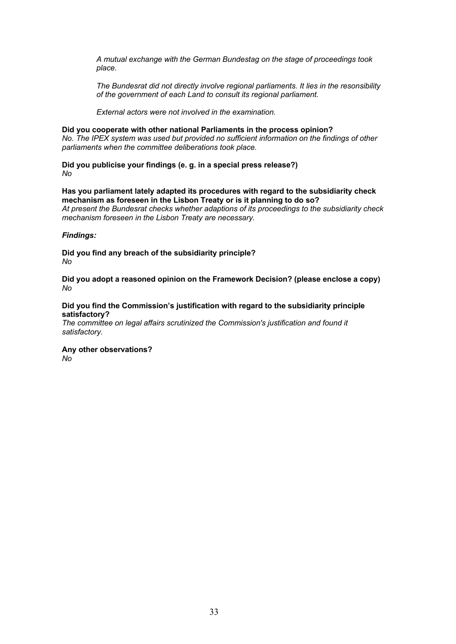*A mutual exchange with the German Bundestag on the stage of proceedings took place.*

*The Bundesrat did not directly involve regional parliaments. It lies in the resonsibility of the government of each Land to consult its regional parliament.*

*External actors were not involved in the examination.*

**Did you cooperate with other national Parliaments in the process opinion?** *No. The IPEX system was used but provided no sufficient information on the findings of other parliaments when the committee deliberations took place.*

**Did you publicise your findings (e. g. in a special press release?)** *No*

**Has you parliament lately adapted its procedures with regard to the subsidiarity check mechanism as foreseen in the Lisbon Treaty or is it planning to do so?** *At present the Bundesrat checks whether adaptions of its proceedings to the subsidiarity check mechanism foreseen in the Lisbon Treaty are necessary.*

## *Findings:*

**Did you find any breach of the subsidiarity principle?** *No*

**Did you adopt a reasoned opinion on the Framework Decision? (please enclose a copy)** *No*

## **Did you find the Commission's justification with regard to the subsidiarity principle satisfactory?**

*The committee on legal affairs scrutinized the Commission's justification and found it satisfactory.*

**Any other observations?** *No*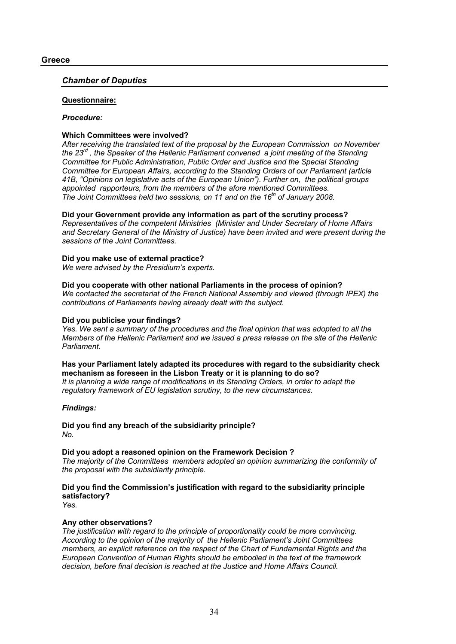### *Chamber of Deputies*

## **Questionnaire:**

#### *Procedure:*

## **Which Committees were involved?**

*After receiving the translated text of the proposal by the European Commission on November the 23rd , the Speaker of the Hellenic Parliament convened a joint meeting of the Standing Committee for Public Administration, Public Order and Justice and the Special Standing Committee for European Affairs, according to the Standing Orders of our Parliament (article 41B, "Opinions on legislative acts of the European Union"). Further on, the political groups appointed rapporteurs, from the members of the afore mentioned Committees. The Joint Committees held two sessions, on 11 and on the 16th of January 2008.*

## **Did your Government provide any information as part of the scrutiny process?**

*Representatives of the competent Ministries (Minister and Under Secretary of Home Affairs and Secretary General of the Ministry of Justice) have been invited and were present during the sessions of the Joint Committees.* 

## **Did you make use of external practice?**

*We were advised by the Presidium's experts.*

## **Did you cooperate with other national Parliaments in the process of opinion?**

*We contacted the secretariat of the French National Assembly and viewed (through IPEX) the contributions of Parliaments having already dealt with the subject.*

## **Did you publicise your findings?**

*Yes. We sent a summary of the procedures and the final opinion that was adopted to all the Members of the Hellenic Parliament and we issued a press release on the site of the Hellenic Parliament.*

#### **Has your Parliament lately adapted its procedures with regard to the subsidiarity check mechanism as foreseen in the Lisbon Treaty or it is planning to do so?**

*It is planning a wide range of modifications in its Standing Orders, in order to adapt the regulatory framework of EU legislation scrutiny, to the new circumstances.*

## *Findings:*

**Did you find any breach of the subsidiarity principle?** *No.*

## **Did you adopt a reasoned opinion on the Framework Decision ?**

*The majority of the Committees members adopted an opinion summarizing the conformity of the proposal with the subsidiarity principle.*

## **Did you find the Commission's justification with regard to the subsidiarity principle satisfactory?**

*Yes.*

## **Any other observations?**

*The justification with regard to the principle of proportionality could be more convincing. According to the opinion of the majority of the Hellenic Parliament's Joint Committees members, an explicit reference on the respect of the Chart of Fundamental Rights and the European Convention of Human Rights should be embodied in the text of the framework decision, before final decision is reached at the Justice and Home Affairs Council.*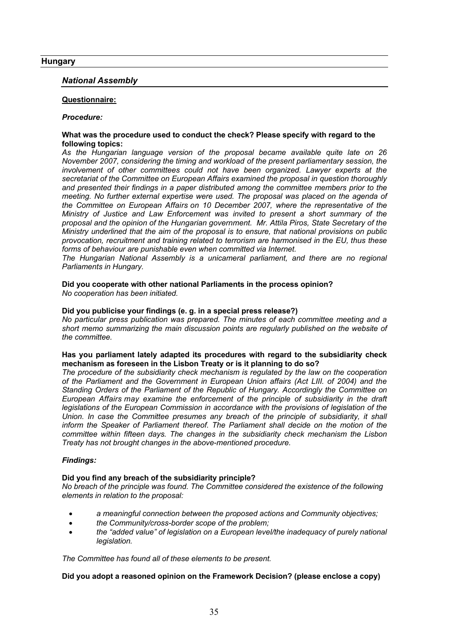## **Hungary**

#### *National Assembly*

#### **Questionnaire:**

#### *Procedure:*

#### **What was the procedure used to conduct the check? Please specify with regard to the following topics:**

*As the Hungarian language version of the proposal became available quite late on 26 November 2007, considering the timing and workload of the present parliamentary session, the involvement of other committees could not have been organized. Lawyer experts at the secretariat of the Committee on European Affairs examined the proposal in question thoroughly and presented their findings in a paper distributed among the committee members prior to the meeting. No further external expertise were used. The proposal was placed on the agenda of the Committee on European Affairs on 10 December 2007, where the representative of the Ministry of Justice and Law Enforcement was invited to present a short summary of the proposal and the opinion of the Hungarian government. Mr. Attila Piros, State Secretary of the Ministry underlined that the aim of the proposal is to ensure, that national provisions on public provocation, recruitment and training related to terrorism are harmonised in the EU, thus these forms of behaviour are punishable even when committed via Internet.*

*The Hungarian National Assembly is a unicameral parliament, and there are no regional Parliaments in Hungary.*

#### **Did you cooperate with other national Parliaments in the process opinion?** *No cooperation has been initiated.*

#### **Did you publicise your findings (e. g. in a special press release?)**

*No particular press publication was prepared. The minutes of each committee meeting and a short memo summarizing the main discussion points are regularly published on the website of the committee.*

## **Has you parliament lately adapted its procedures with regard to the subsidiarity check mechanism as foreseen in the Lisbon Treaty or is it planning to do so?**

*The procedure of the subsidiarity check mechanism is regulated by the law on the cooperation of the Parliament and the Government in European Union affairs (Act LIII. of 2004) and the Standing Orders of the Parliament of the Republic of Hungary. Accordingly the Committee on European Affairs may examine the enforcement of the principle of subsidiarity in the draft legislations of the European Commission in accordance with the provisions of legislation of the Union. In case the Committee presumes any breach of the principle of subsidiarity, it shall inform the Speaker of Parliament thereof. The Parliament shall decide on the motion of the committee within fifteen days. The changes in the subsidiarity check mechanism the Lisbon Treaty has not brought changes in the above-mentioned procedure.*

#### *Findings:*

#### **Did you find any breach of the subsidiarity principle?**

*No breach of the principle was found. The Committee considered the existence of the following elements in relation to the proposal:*

- *a meaningful connection between the proposed actions and Community objectives;*
- *the Community/cross-border scope of the problem;*
- *the "added value" of legislation on a European level/the inadequacy of purely national legislation.*

*The Committee has found all of these elements to be present.*

## **Did you adopt a reasoned opinion on the Framework Decision? (please enclose a copy)**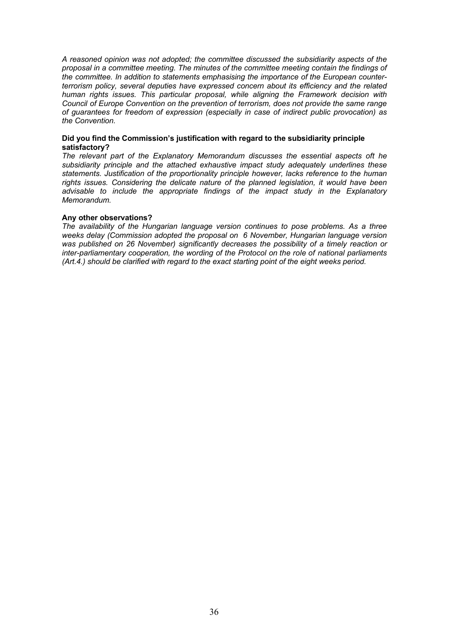*A reasoned opinion was not adopted; the committee discussed the subsidiarity aspects of the proposal in a committee meeting. The minutes of the committee meeting contain the findings of the committee. In addition to statements emphasising the importance of the European counterterrorism policy, several deputies have expressed concern about its efficiency and the related human rights issues. This particular proposal, while aligning the Framework decision with Council of Europe Convention on the prevention of terrorism, does not provide the same range of guarantees for freedom of expression (especially in case of indirect public provocation) as the Convention.* 

#### **Did you find the Commission's justification with regard to the subsidiarity principle satisfactory?**

*The relevant part of the Explanatory Memorandum discusses the essential aspects oft he subsidiarity principle and the attached exhaustive impact study adequately underlines these statements. Justification of the proportionality principle however, lacks reference to the human rights issues. Considering the delicate nature of the planned legislation, it would have been advisable to include the appropriate findings of the impact study in the Explanatory Memorandum.*

#### **Any other observations?**

*The availability of the Hungarian language version continues to pose problems. As a three weeks delay (Commission adopted the proposal on 6 November, Hungarian language version was published on 26 November) significantly decreases the possibility of a timely reaction or inter-parliamentary cooperation, the wording of the Protocol on the role of national parliaments (Art.4.) should be clarified with regard to the exact starting point of the eight weeks period.*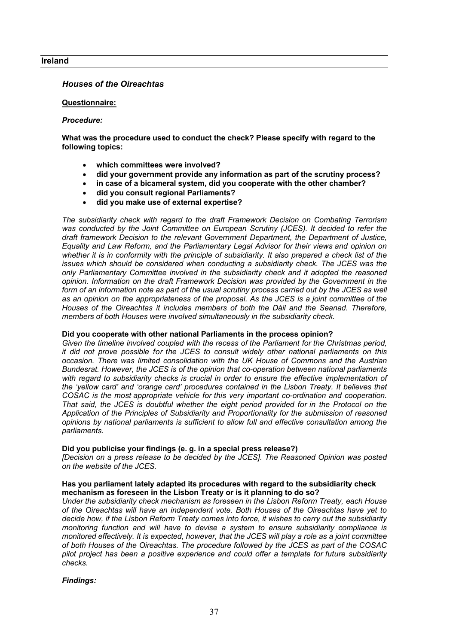### **Ireland**

## *Houses of the Oireachtas*

### **Questionnaire:**

#### *Procedure:*

**What was the procedure used to conduct the check? Please specify with regard to the following topics:**

- **which committees were involved?**
- **did your government provide any information as part of the scrutiny process?**
- **in case of a bicameral system, did you cooperate with the other chamber?**
- **did you consult regional Parliaments?**
- **did you make use of external expertise?**

*The subsidiarity check with regard to the draft Framework Decision on Combating Terrorism*  was conducted by the Joint Committee on European Scrutiny (JCES). It decided to refer the *draft framework Decision to the relevant Government Department, the Department of Justice, Equality and Law Reform, and the Parliamentary Legal Advisor for their views and opinion on whether it is in conformity with the principle of subsidiarity. It also prepared a check list of the issues which should be considered when conducting a subsidiarity check. The JCES was the only Parliamentary Committee involved in the subsidiarity check and it adopted the reasoned opinion. Information on the draft Framework Decision was provided by the Government in the*  form of an information note as part of the usual scrutiny process carried out by the JCES as well *as an opinion on the appropriateness of the proposal. As the JCES is a joint committee of the Houses of the Oireachtas it includes members of both the Dáil and the Seanad. Therefore, members of both Houses were involved simultaneously in the subsidiarity check.* 

### **Did you cooperate with other national Parliaments in the process opinion?**

*Given the timeline involved coupled with the recess of the Parliament for the Christmas period, it did not prove possible for the JCES to consult widely other national parliaments on this occasion. There was limited consolidation with the UK House of Commons and the Austrian Bundesrat. However, the JCES is of the opinion that co-operation between national parliaments*  with regard to subsidiarity checks is crucial in order to ensure the effective implementation of *the 'yellow card' and 'orange card' procedures contained in the Lisbon Treaty. It believes that COSAC is the most appropriate vehicle for this very important co-ordination and cooperation. That said, the JCES is doubtful whether the eight period provided for in the Protocol on the Application of the Principles of Subsidiarity and Proportionality for the submission of reasoned opinions by national parliaments is sufficient to allow full and effective consultation among the parliaments.* 

#### **Did you publicise your findings (e. g. in a special press release?)**

*[Decision on a press release to be decided by the JCES]. The Reasoned Opinion was posted on the website of the JCES.* 

#### **Has you parliament lately adapted its procedures with regard to the subsidiarity check mechanism as foreseen in the Lisbon Treaty or is it planning to do so?**

*Under the subsidiarity check mechanism as foreseen in the Lisbon Reform Treaty, each House of the Oireachtas will have an independent vote. Both Houses of the Oireachtas have yet to decide how, if the Lisbon Reform Treaty comes into force, it wishes to carry out the subsidiarity monitoring function and will have to devise a system to ensure subsidiarity compliance is monitored effectively. It is expected, however, that the JCES will play a role as a joint committee of both Houses of the Oireachtas. The procedure followed by the JCES as part of the COSAC pilot project has been a positive experience and could offer a template for future subsidiarity checks.* 

## *Findings:*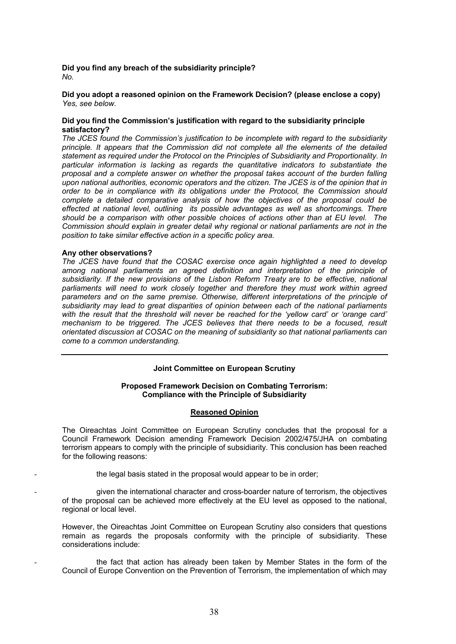### **Did you find any breach of the subsidiarity principle?** *No.*

**Did you adopt a reasoned opinion on the Framework Decision? (please enclose a copy)** *Yes, see below.*

#### **Did you find the Commission's justification with regard to the subsidiarity principle satisfactory?**

*The JCES found the Commission's justification to be incomplete with regard to the subsidiarity principle. It appears that the Commission did not complete all the elements of the detailed statement as required under the Protocol on the Principles of Subsidiarity and Proportionality. In particular information is lacking as regards the quantitative indicators to substantiate the proposal and a complete answer on whether the proposal takes account of the burden falling upon national authorities, economic operators and the citizen. The JCES is of the opinion that in order to be in compliance with its obligations under the Protocol, the Commission should complete a detailed comparative analysis of how the objectives of the proposal could be effected at national level, outlining its possible advantages as well as shortcomings. There should be a comparison with other possible choices of actions other than at EU level. The Commission should explain in greater detail why regional or national parliaments are not in the position to take similar effective action in a specific policy area.* 

#### **Any other observations?**

*The JCES have found that the COSAC exercise once again highlighted a need to develop among national parliaments an agreed definition and interpretation of the principle of subsidiarity. If the new provisions of the Lisbon Reform Treaty are to be effective, national parliaments will need to work closely together and therefore they must work within agreed parameters and on the same premise. Otherwise, different interpretations of the principle of subsidiarity may lead to great disparities of opinion between each of the national parliaments*  with the result that the threshold will never be reached for the 'yellow card' or 'orange card' *mechanism to be triggered. The JCES believes that there needs to be a focused, result orientated discussion at COSAC on the meaning of subsidiarity so that national parliaments can come to a common understanding.* 

#### **Joint Committee on European Scrutiny**

#### **Proposed Framework Decision on Combating Terrorism: Compliance with the Principle of Subsidiarity**

#### **Reasoned Opinion**

The Oireachtas Joint Committee on European Scrutiny concludes that the proposal for a Council Framework Decision amending Framework Decision 2002/475/JHA on combating terrorism appears to comply with the principle of subsidiarity. This conclusion has been reached for the following reasons:

the legal basis stated in the proposal would appear to be in order;

- given the international character and cross-boarder nature of terrorism, the objectives of the proposal can be achieved more effectively at the EU level as opposed to the national, regional or local level.

However, the Oireachtas Joint Committee on European Scrutiny also considers that questions remain as regards the proposals conformity with the principle of subsidiarity. These considerations include:

the fact that action has already been taken by Member States in the form of the Council of Europe Convention on the Prevention of Terrorism, the implementation of which may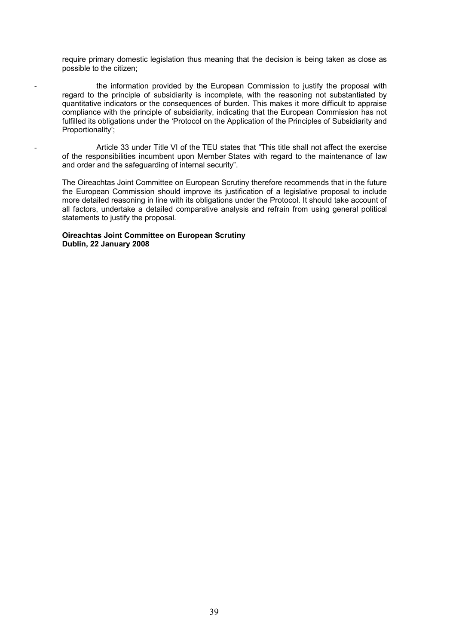require primary domestic legislation thus meaning that the decision is being taken as close as possible to the citizen;

the information provided by the European Commission to justify the proposal with regard to the principle of subsidiarity is incomplete, with the reasoning not substantiated by quantitative indicators or the consequences of burden. This makes it more difficult to appraise compliance with the principle of subsidiarity, indicating that the European Commission has not fulfilled its obligations under the 'Protocol on the Application of the Principles of Subsidiarity and Proportionality';

Article 33 under Title VI of the TEU states that "This title shall not affect the exercise of the responsibilities incumbent upon Member States with regard to the maintenance of law and order and the safeguarding of internal security".

The Oireachtas Joint Committee on European Scrutiny therefore recommends that in the future the European Commission should improve its justification of a legislative proposal to include more detailed reasoning in line with its obligations under the Protocol. It should take account of all factors, undertake a detailed comparative analysis and refrain from using general political statements to justify the proposal.

#### **Oireachtas Joint Committee on European Scrutiny Dublin, 22 January 2008**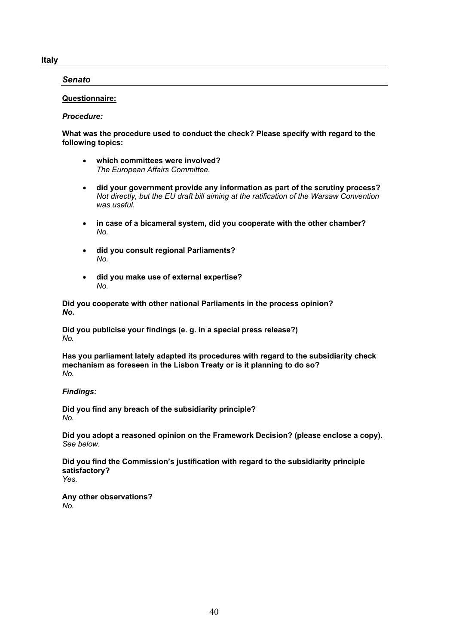### **Italy**

## *Senato*

## **Questionnaire:**

### *Procedure:*

### **What was the procedure used to conduct the check? Please specify with regard to the following topics:**

- **which committees were involved?** *The European Affairs Committee.*
- **did your government provide any information as part of the scrutiny process?** *Not directly, but the EU draft bill aiming at the ratification of the Warsaw Convention was useful.*
- **in case of a bicameral system, did you cooperate with the other chamber?** *No.*
- **did you consult regional Parliaments?** *No.*
- **did you make use of external expertise?** *No.*

**Did you cooperate with other national Parliaments in the process opinion?** *No.*

**Did you publicise your findings (e. g. in a special press release?)** *No.*

**Has you parliament lately adapted its procedures with regard to the subsidiarity check mechanism as foreseen in the Lisbon Treaty or is it planning to do so?** *No.*

## *Findings:*

**Did you find any breach of the subsidiarity principle?** *No.*

**Did you adopt a reasoned opinion on the Framework Decision? (please enclose a copy).** *See below.*

**Did you find the Commission's justification with regard to the subsidiarity principle satisfactory?** *Yes.*

**Any other observations?** *No.*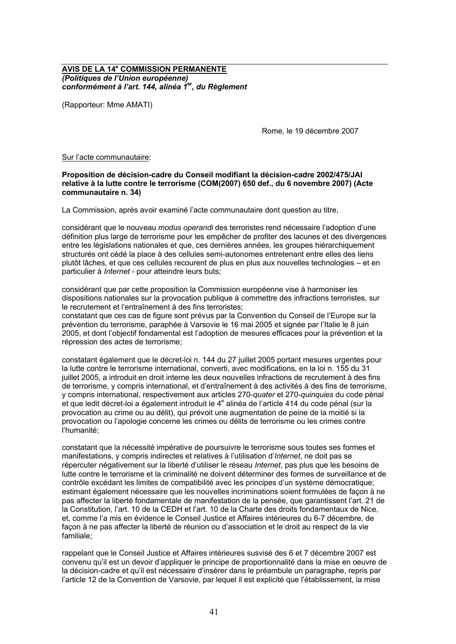### **AVIS DE LA 14<sup>e</sup> COMMISSION PERMANENTE** *(Politiques de l'Union européenne) conformément à l'art. 144, alinéa 1er, du Règlement*

(Rapporteur: Mme AMATI)

Rome, le 19 décembre 2007

#### Sur l'acte communautaire:

**Proposition de décision-cadre du Conseil modifiant la décision-cadre 2002/475/JAI relative à la lutte contre le terrorisme (COM(2007) 650 def., du 6 novembre 2007) (Acte communautaire n. 34)**

La Commission, après avoir examiné l'acte communautaire dont question au titre,

considérant que le nouveau *modus operandi* des terroristes rend nécessaire l'adoption d'une définition plus large de terrorisme pour les empêcher de profiter des lacunes et des divergences entre les législations nationales et que, ces dernières années, les groupes hiérarchiquement structurés ont cédé la place à des cellules semi-autonomes entretenant entre elles des liens plutôt lâches, et que ces cellules recourent de plus en plus aux nouvelles technologies – et en particulier à *Internet* - pour atteindre leurs buts;

considérant que par cette proposition la Commission européenne vise à harmoniser les dispositions nationales sur la provocation publique à commettre des infractions terroristes, sur le recrutement et l'entraînement à des fins terroristes;

constatant que ces cas de figure sont prévus par la Convention du Conseil de l'Europe sur la prévention du terrorisme, paraphée à Varsovie le 16 mai 2005 et signée par l'Italie le 8 juin 2005, et dont l'objectif fondamental est l'adoption de mesures efficaces pour la prévention et la répression des actes de terrorisme;

constatant également que le décret-loi n. 144 du 27 juillet 2005 portant mesures urgentes pour la lutte contre le terrorisme international, converti, avec modifications, en la loi n. 155 du 31 juillet 2005, a introduit en droit interne les deux nouvelles infractions de recrutement à des fins de terrorisme, y compris international, et d'entraînement à des activités à des fins de terrorisme, y compris international, respectivement aux articles 270-*quater* et 270-*quinquies* du code pénal et que ledit décret-loi a également introduit le 4<sup>e</sup> alinéa de l'article 414 du code pénal (sur la provocation au crime ou au délit), qui prévoit une augmentation de peine de la moitié si la provocation ou l'apologie concerne les crimes ou délits de terrorisme ou les crimes contre l'humanité;

constatant que la nécessité impérative de poursuivre le terrorisme sous toutes ses formes et manifestations, y compris indirectes et relatives à l'utilisation d'*Internet*, ne doit pas se répercuter négativement sur la liberté d'utiliser le réseau *Internet*, pas plus que les besoins de lutte contre le terrorisme et la criminalité ne doivent déterminer des formes de surveillance et de contrôle excédant les limites de compatibilité avec les principes d'un système démocratique; estimant également nécessaire que les nouvelles incriminations soient formulées de façon à ne pas affecter la liberté fondamentale de manifestation de la pensée, que garantissent l'art. 21 de la Constitution, l'art. 10 de la CEDH et l'art. 10 de la Charte des droits fondamentaux de Nice, et, comme l'a mis en évidence le Conseil Justice et Affaires intérieures du 6-7 décembre, de façon à ne pas affecter la liberté de réunion ou d'association et le droit au respect de la vie familiale;

rappelant que le Conseil Justice et Affaires intérieures susvisé des 6 et 7 décembre 2007 est convenu qu'il est un devoir d'appliquer le principe de proportionnalité dans la mise en oeuvre de la décision-cadre et qu'il est nécessaire d'insérer dans le préambule un paragraphe, repris par l'article 12 de la Convention de Varsovie, par lequel il est explicité que l'établissement, la mise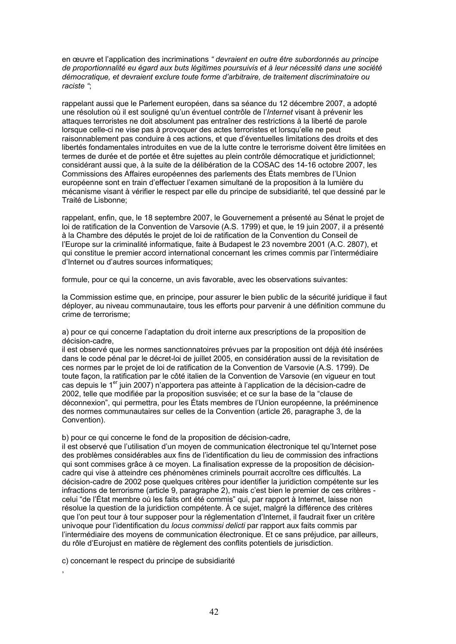en œuvre et l'application des incriminations *" devraient en outre être subordonnés au principe de proportionnalité eu égard aux buts légitimes poursuivis et à leur nécessité dans une société démocratique, et devraient exclure toute forme d'arbitraire, de traitement discriminatoire ou raciste "*;

rappelant aussi que le Parlement européen, dans sa séance du 12 décembre 2007, a adopté une résolution où il est souligné qu'un éventuel contrôle de l'*Internet* visant à prévenir les attaques terroristes ne doit absolument pas entraîner des restrictions à la liberté de parole lorsque celle-ci ne vise pas à provoquer des actes terroristes et lorsqu'elle ne peut raisonnablement pas conduire à ces actions, et que d'éventuelles limitations des droits et des libertés fondamentales introduites en vue de la lutte contre le terrorisme doivent être limitées en termes de durée et de portée et être sujettes au plein contrôle démocratique et juridictionnel; considérant aussi que, à la suite de la délibération de la COSAC des 14-16 octobre 2007, les Commissions des Affaires européennes des parlements des États membres de l'Union européenne sont en train d'effectuer l'examen simultané de la proposition à la lumière du mécanisme visant à vérifier le respect par elle du principe de subsidiarité, tel que dessiné par le Traité de Lisbonne;

rappelant, enfin, que, le 18 septembre 2007, le Gouvernement a présenté au Sénat le projet de loi de ratification de la Convention de Varsovie (A.S. 1799) et que, le 19 juin 2007, il a présenté à la Chambre des députés le projet de loi de ratification de la Convention du Conseil de l'Europe sur la criminalité informatique, faite à Budapest le 23 novembre 2001 (A.C. 2807), et qui constitue le premier accord international concernant les crimes commis par l'intermédiaire d'Internet ou d'autres sources informatiques;

formule, pour ce qui la concerne, un avis favorable, avec les observations suivantes:

la Commission estime que, en principe, pour assurer le bien public de la sécurité juridique il faut déployer, au niveau communautaire, tous les efforts pour parvenir à une définition commune du crime de terrorisme;

a) pour ce qui concerne l'adaptation du droit interne aux prescriptions de la proposition de décision-cadre,

il est observé que les normes sanctionnatoires prévues par la proposition ont déjà été insérées dans le code pénal par le décret-loi de juillet 2005, en considération aussi de la revisitation de ces normes par le projet de loi de ratification de la Convention de Varsovie (A.S. 1799). De toute façon, la ratification par le côté italien de la Convention de Varsovie (en vigueur en tout cas depuis le 1<sup>er</sup> juin 2007) n'apportera pas atteinte à l'application de la décision-cadre de 2002, telle que modifiée par la proposition susvisée; et ce sur la base de la "clause de déconnexion", qui permettra, pour les États membres de l'Union européenne, la prééminence des normes communautaires sur celles de la Convention (article 26, paragraphe 3, de la Convention).

b) pour ce qui concerne le fond de la proposition de décision-cadre,

il est observé que l'utilisation d'un moyen de communication électronique tel qu'Internet pose des problèmes considérables aux fins de l'identification du lieu de commission des infractions qui sont commises grâce à ce moyen. La finalisation expresse de la proposition de décisioncadre qui vise à atteindre ces phénomènes criminels pourrait accroître ces difficultés. La décision-cadre de 2002 pose quelques critères pour identifier la juridiction compétente sur les infractions de terrorisme (article 9, paragraphe 2), mais c'est bien le premier de ces critères celui "de l'État membre où les faits ont été commis" qui, par rapport à Internet, laisse non résolue la question de la juridiction compétente. À ce sujet, malgré la différence des critères que l'on peut tour à tour supposer pour la réglementation d'Internet, il faudrait fixer un critère univoque pour l'identification du *locus commissi delicti* par rapport aux faits commis par l'intermédiaire des moyens de communication électronique. Et ce sans préjudice, par ailleurs, du rôle d'Eurojust en matière de règlement des conflits potentiels de jurisdiction.

c) concernant le respect du principe de subsidiarité

,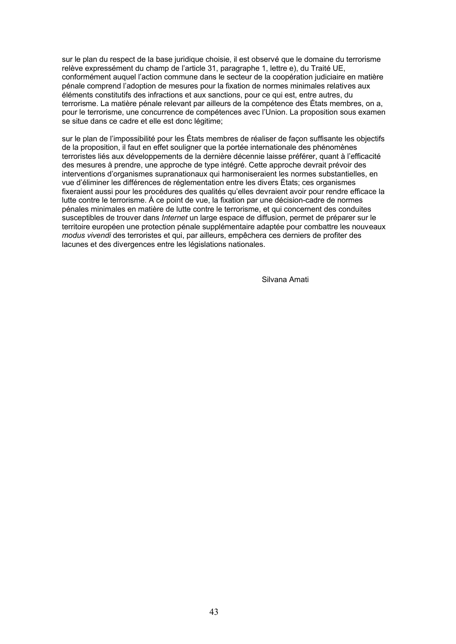sur le plan du respect de la base juridique choisie, il est observé que le domaine du terrorisme relève expressément du champ de l'article 31, paragraphe 1, lettre e), du Traité UE, conformément auquel l'action commune dans le secteur de la coopération judiciaire en matière pénale comprend l'adoption de mesures pour la fixation de normes minimales relatives aux éléments constitutifs des infractions et aux sanctions, pour ce qui est, entre autres, du terrorisme. La matière pénale relevant par ailleurs de la compétence des États membres, on a, pour le terrorisme, une concurrence de compétences avec l'Union. La proposition sous examen se situe dans ce cadre et elle est donc légitime;

sur le plan de l'impossibilité pour les États membres de réaliser de façon suffisante les objectifs de la proposition, il faut en effet souligner que la portée internationale des phénomènes terroristes liés aux développements de la dernière décennie laisse préférer, quant à l'efficacité des mesures à prendre, une approche de type intégré. Cette approche devrait prévoir des interventions d'organismes supranationaux qui harmoniseraient les normes substantielles, en vue d'éliminer les différences de réglementation entre les divers États; ces organismes fixeraient aussi pour les procédures des qualités qu'elles devraient avoir pour rendre efficace la lutte contre le terrorisme. À ce point de vue, la fixation par une décision-cadre de normes pénales minimales en matière de lutte contre le terrorisme, et qui concernent des conduites susceptibles de trouver dans *Internet* un large espace de diffusion, permet de préparer sur le territoire européen une protection pénale supplémentaire adaptée pour combattre les nouveaux *modus vivendi* des terroristes et qui, par ailleurs, empêchera ces derniers de profiter des lacunes et des divergences entre les législations nationales.

Silvana Amati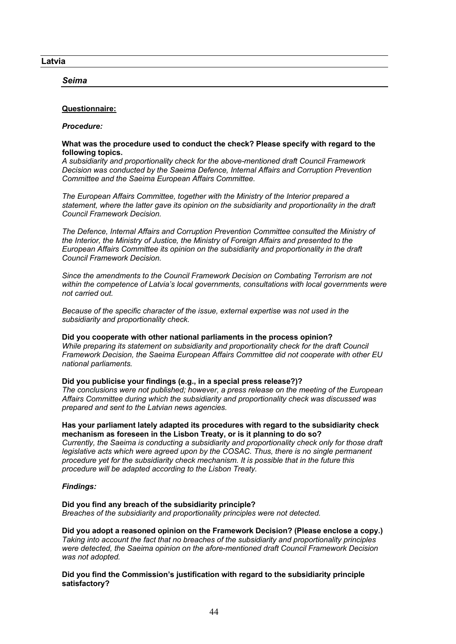**Latvia**

*Seima*

## **Questionnaire:**

*Procedure:*

### **What was the procedure used to conduct the check? Please specify with regard to the following topics.**

*A subsidiarity and proportionality check for the above-mentioned draft Council Framework Decision was conducted by the Saeima Defence, Internal Affairs and Corruption Prevention Committee and the Saeima European Affairs Committee.*

*The European Affairs Committee, together with the Ministry of the Interior prepared a statement, where the latter gave its opinion on the subsidiarity and proportionality in the draft Council Framework Decision.*

*The Defence, Internal Affairs and Corruption Prevention Committee consulted the Ministry of the Interior, the Ministry of Justice, the Ministry of Foreign Affairs and presented to the European Affairs Committee its opinion on the subsidiarity and proportionality in the draft Council Framework Decision.*

*Since the amendments to the Council Framework Decision on Combating Terrorism are not within the competence of Latvia's local governments, consultations with local governments were not carried out.*

*Because of the specific character of the issue, external expertise was not used in the subsidiarity and proportionality check.*

**Did you cooperate with other national parliaments in the process opinion?** *While preparing its statement on subsidiarity and proportionality check for the draft Council Framework Decision, the Saeima European Affairs Committee did not cooperate with other EU national parliaments.*

## **Did you publicise your findings (e.g., in a special press release?)?**

*The conclusions were not published; however, a press release on the meeting of the European Affairs Committee during which the subsidiarity and proportionality check was discussed was prepared and sent to the Latvian news agencies.*

### **Has your parliament lately adapted its procedures with regard to the subsidiarity check mechanism as foreseen in the Lisbon Treaty, or is it planning to do so?**

*Currently, the Saeima is conducting a subsidiarity and proportionality check only for those draft legislative acts which were agreed upon by the COSAC. Thus, there is no single permanent procedure yet for the subsidiarity check mechanism. It is possible that in the future this procedure will be adapted according to the Lisbon Treaty.*

## *Findings:*

## **Did you find any breach of the subsidiarity principle?**

*Breaches of the subsidiarity and proportionality principles were not detected.*

**Did you adopt a reasoned opinion on the Framework Decision? (Please enclose a copy.)** *Taking into account the fact that no breaches of the subsidiarity and proportionality principles were detected, the Saeima opinion on the afore-mentioned draft Council Framework Decision was not adopted.*

**Did you find the Commission's justification with regard to the subsidiarity principle satisfactory?**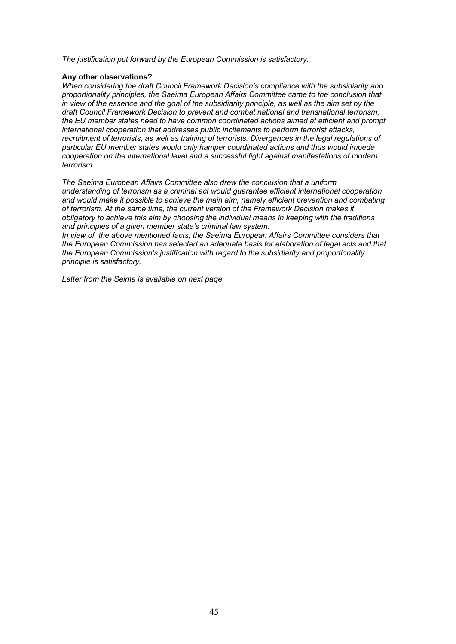*The justification put forward by the European Commission is satisfactory.*

### **Any other observations?**

*When considering the draft Council Framework Decision's compliance with the subsidiarity and proportionality principles, the Saeima European Affairs Committee came to the conclusion that*  in view of the essence and the goal of the subsidiarity principle, as well as the aim set by the *draft Council Framework Decision to prevent and combat national and transnational terrorism, the EU member states need to have common coordinated actions aimed at efficient and prompt international cooperation that addresses public incitements to perform terrorist attacks, recruitment of terrorists, as well as training of terrorists. Divergences in the legal regulations of particular EU member states would only hamper coordinated actions and thus would impede cooperation on the international level and a successful fight against manifestations of modern terrorism.*

*The Saeima European Affairs Committee also drew the conclusion that a uniform understanding of terrorism as a criminal act would guarantee efficient international cooperation and would make it possible to achieve the main aim, namely efficient prevention and combating of terrorism. At the same time, the current version of the Framework Decision makes it obligatory to achieve this aim by choosing the individual means in keeping with the traditions and principles of a given member state's criminal law system.*

*In view of the above mentioned facts, the Saeima European Affairs Committee considers that the European Commission has selected an adequate basis for elaboration of legal acts and that the European Commission's justification with regard to the subsidiarity and proportionality principle is satisfactory.*

*Letter from the Seima is available on next page*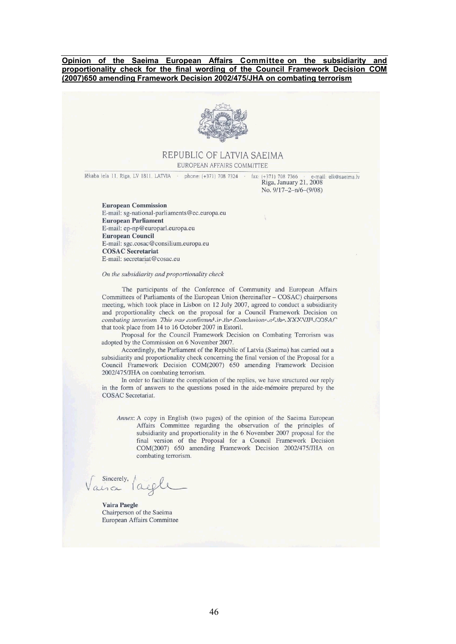**Opinion of the Saeima European Affairs Committee on the subsidiarity and proportionality check for the final wording of the Council Framework Decision COM (2007)650 amending Framework Decision 2002/475/JHA on combating terrorism**



### REPUBLIC OF LATVIA SAEIMA EUROPEAN AFFAIRS COMMITTEE

Jēkaba iela 11, Rīga, LV 1811, LATVIA phone: (+371) 708 7324 fax: (+371) 708 7366 e-mail: elk@saeima.lv Riga, January 21, 2008 No. 9/17-2-n/6-(9/08)

**European Commission** E-mail: sg-national-parliaments@ec.europa.eu **European Parliament** E-mail: ep-np@europarl.europa.eu **European Council** E-mail: sgc.cosac@consilium.europa.eu **COSAC** Secretariat E-mail: secretariat@cosac.eu

#### On the subsidiarity and proportionality check

The participants of the Conference of Community and European Affairs Committees of Parliaments of the European Union (hereinafter - COSAC) chairpersons meeting, which took place in Lisbon on 12 July 2007, agreed to conduct a subsidiarity and proportionality check on the proposal for a Council Framework Decision on combating terrorism This was confirmed in the Conclusions of the XXXVIII COSAC that took place from 14 to 16 October 2007 in Estoril.

Proposal for the Council Framework Decision on Combating Terrorism was adopted by the Commission on 6 November 2007.

Accordingly, the Parliament of the Republic of Latvia (Saeima) has carried out a subsidiarity and proportionality check concerning the final version of the Proposal for a Council Framework Decision COM(2007) 650 amending Framework Decision 2002/475/JHA on combating terrorism.

In order to facilitate the compilation of the replies, we have structured our reply in the form of answers to the questions posed in the aide-mémoire prepared by the COSAC Secretariat.

Annex: A copy in English (two pages) of the opinion of the Saeima European Affairs Committee regarding the observation of the principles of subsidiarity and proportionality in the 6 November 2007 proposal for the final version of the Proposal for a Council Framework Decision COM(2007) 650 amending Framework Decision 2002/475/JHA on combating terrorism.

Sincerely

**Vaira Paegle** Chairperson of the Saeima European Affairs Committee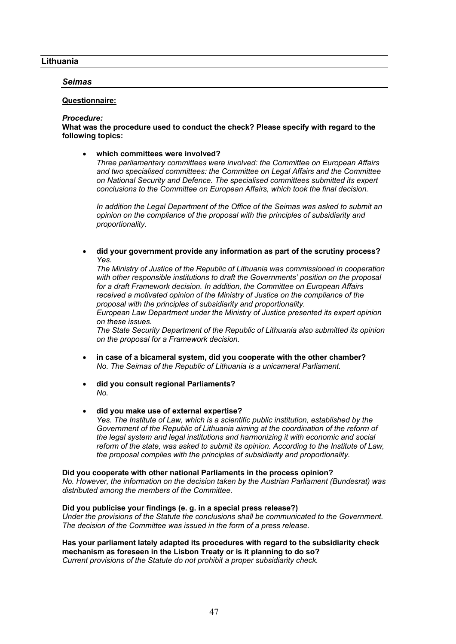### **Lithuania**

### *Seimas*

### **Questionnaire:**

#### *Procedure:*

**What was the procedure used to conduct the check? Please specify with regard to the following topics:**

 **which committees were involved?** *Three parliamentary committees were involved: the Committee on European Affairs and two specialised committees: the Committee on Legal Affairs and the Committee on National Security and Defence. The specialised committees submitted its expert conclusions to the Committee on European Affairs, which took the final decision.* 

*In addition the Legal Department of the Office of the Seimas was asked to submit an opinion on the compliance of the proposal with the principles of subsidiarity and proportionality.* 

 **did your government provide any information as part of the scrutiny process?** *Yes.*

*The Ministry of Justice of the Republic of Lithuania was commissioned in cooperation with other responsible institutions to draft the Governments' position on the proposal for a draft Framework decision. In addition, the Committee on European Affairs received a motivated opinion of the Ministry of Justice on the compliance of the proposal with the principles of subsidiarity and proportionality.*

*European Law Department under the Ministry of Justice presented its expert opinion on these issues.*

*The State Security Department of the Republic of Lithuania also submitted its opinion on the proposal for a Framework decision.* 

- **in case of a bicameral system, did you cooperate with the other chamber?** *No. The Seimas of the Republic of Lithuania is a unicameral Parliament.*
- **did you consult regional Parliaments?** *No.*
- **did you make use of external expertise?** *Yes. The Institute of Law, which is a scientific public institution, established by the*  Government of the Republic of Lithuania aiming at the coordination of the reform of *the legal system and legal institutions and harmonizing it with economic and social reform of the state, was asked to submit its opinion. According to the Institute of Law, the proposal complies with the principles of subsidiarity and proportionality.*

**Did you cooperate with other national Parliaments in the process opinion?** *No. However, the information on the decision taken by the Austrian Parliament (Bundesrat) was distributed among the members of the Committee.* 

#### **Did you publicise your findings (e. g. in a special press release?)**

*Under the provisions of the Statute the conclusions shall be communicated to the Government. The decision of the Committee was issued in the form of a press release.* 

**Has your parliament lately adapted its procedures with regard to the subsidiarity check mechanism as foreseen in the Lisbon Treaty or is it planning to do so?** *Current provisions of the Statute do not prohibit a proper subsidiarity check.*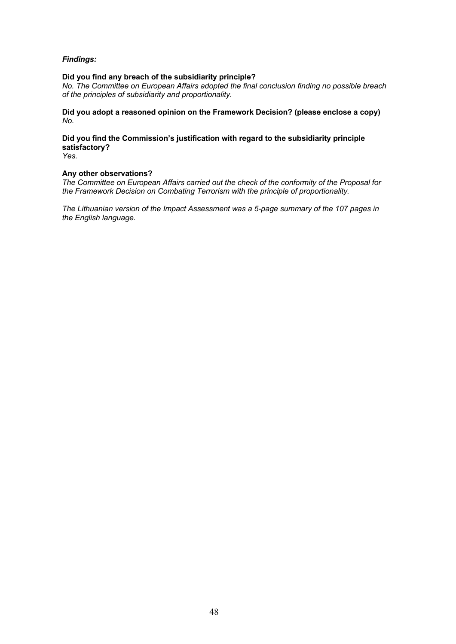## *Findings:*

## **Did you find any breach of the subsidiarity principle?**

*No. The Committee on European Affairs adopted the final conclusion finding no possible breach of the principles of subsidiarity and proportionality.* 

**Did you adopt a reasoned opinion on the Framework Decision? (please enclose a copy)** *No.* 

**Did you find the Commission's justification with regard to the subsidiarity principle satisfactory?**

*Yes.* 

### **Any other observations?**

*The Committee on European Affairs carried out the check of the conformity of the Proposal for the Framework Decision on Combating Terrorism with the principle of proportionality.* 

*The Lithuanian version of the Impact Assessment was a 5-page summary of the 107 pages in the English language.*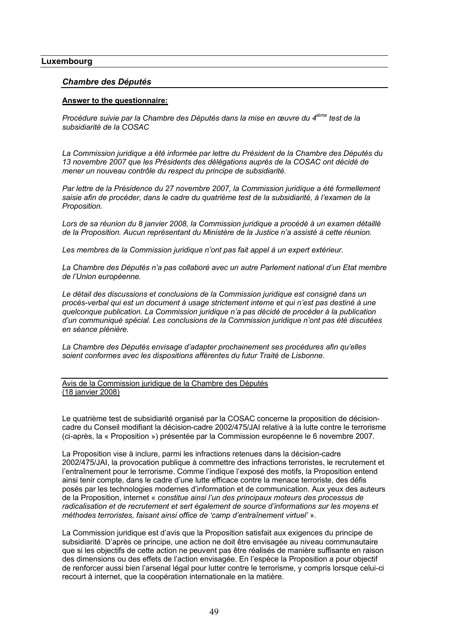### **Luxembourg**

### *Chambre des Députés*

#### **Answer to the questionnaire:**

*Procédure suivie par la Chambre des Députés dans la mise en œuvre du 4ième test de la subsidiarité de la COSAC* 

*La Commission juridique a été informée par lettre du Président de la Chambre des Députés du 13 novembre 2007 que les Présidents des délégations auprès de la COSAC ont décidé de mener un nouveau contrôle du respect du principe de subsidiarité.*

*Par lettre de la Présidence du 27 novembre 2007, la Commission juridique a été formellement saisie afin de procéder, dans le cadre du quatrième test de la subsidiarité, à l'examen de la Proposition.*

*Lors de sa réunion du 8 janvier 2008, la Commission juridique a procédé à un examen détaillé de la Proposition. Aucun représentant du Ministère de la Justice n'a assisté à cette réunion.*

*Les membres de la Commission juridique n'ont pas fait appel à un expert extérieur.*

*La Chambre des Députés n'a pas collaboré avec un autre Parlement national d'un Etat membre de l'Union européenne.*

*Le détail des discussions et conclusions de la Commission juridique est consigné dans un procès-verbal qui est un document à usage strictement interne et qui n'est pas destiné à une quelconque publication. La Commission juridique n'a pas décidé de procéder à la publication d'un communiqué spécial. Les conclusions de la Commission juridique n'ont pas été discutées en séance plénière.*

*La Chambre des Députés envisage d'adapter prochainement ses procédures afin qu'elles soient conformes avec les dispositions afférentes du futur Traité de Lisbonne.*

Avis de la Commission juridique de la Chambre des Députés (18 janvier 2008)

Le quatrième test de subsidiarité organisé par la COSAC concerne la proposition de décisioncadre du Conseil modifiant la décision-cadre 2002/475/JAI relative à la lutte contre le terrorisme (ci-après, la « Proposition ») présentée par la Commission européenne le 6 novembre 2007.

La Proposition vise à inclure, parmi les infractions retenues dans la décision-cadre 2002/475/JAI, la provocation publique à commettre des infractions terroristes, le recrutement et l'entraînement pour le terrorisme. Comme l'indique l'exposé des motifs, la Proposition entend ainsi tenir compte, dans le cadre d'une lutte efficace contre la menace terroriste, des défis posés par les technologies modernes d'information et de communication. Aux yeux des auteurs de la Proposition, internet « *constitue ainsi l'un des principaux moteurs des processus de*  radicalisation et de recrutement et sert également de source d'informations sur les moyens et *méthodes terroristes, faisant ainsi office de 'camp d'entraînement virtuel'* ».

La Commission juridique est d'avis que la Proposition satisfait aux exigences du principe de subsidiarité. D'après ce principe, une action ne doit être envisagée au niveau communautaire que si les objectifs de cette action ne peuvent pas être réalisés de manière suffisante en raison des dimensions ou des effets de l'action envisagée. En l'espèce la Proposition a pour objectif de renforcer aussi bien l'arsenal légal pour lutter contre le terrorisme, y compris lorsque celui-ci recourt à internet, que la coopération internationale en la matière.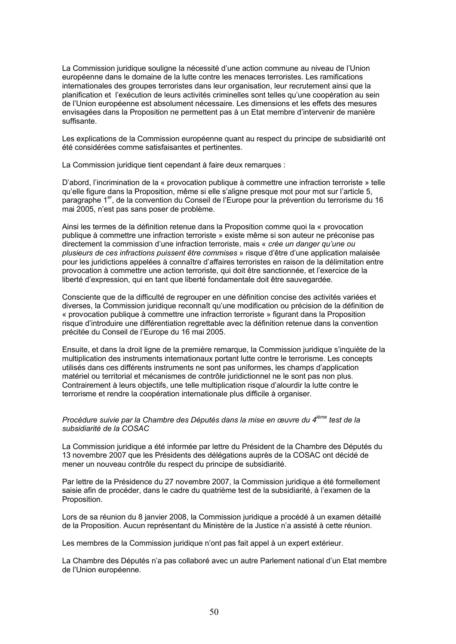La Commission juridique souligne la nécessité d'une action commune au niveau de l'Union européenne dans le domaine de la lutte contre les menaces terroristes. Les ramifications internationales des groupes terroristes dans leur organisation, leur recrutement ainsi que la planification et l'exécution de leurs activités criminelles sont telles qu'une coopération au sein de l'Union européenne est absolument nécessaire. Les dimensions et les effets des mesures envisagées dans la Proposition ne permettent pas à un Etat membre d'intervenir de manière suffisante.

Les explications de la Commission européenne quant au respect du principe de subsidiarité ont été considérées comme satisfaisantes et pertinentes.

La Commission juridique tient cependant à faire deux remarques :

D'abord, l'incrimination de la « provocation publique à commettre une infraction terroriste » telle qu'elle figure dans la Proposition, même si elle s'aligne presque mot pour mot sur l'article 5, paragraphe 1er, de la convention du Conseil de l'Europe pour la prévention du terrorisme du 16 mai 2005, n'est pas sans poser de problème.

Ainsi les termes de la définition retenue dans la Proposition comme quoi la « provocation publique à commettre une infraction terroriste » existe même si son auteur ne préconise pas directement la commission d'une infraction terroriste, mais « *crée un danger qu'une ou plusieurs de ces infractions puissent être commises* » risque d'être d'une application malaisée pour les juridictions appelées à connaître d'affaires terroristes en raison de la délimitation entre provocation à commettre une action terroriste, qui doit être sanctionnée, et l'exercice de la liberté d'expression, qui en tant que liberté fondamentale doit être sauvegardée.

Consciente que de la difficulté de regrouper en une définition concise des activités variées et diverses, la Commission juridique reconnaît qu'une modification ou précision de la définition de « provocation publique à commettre une infraction terroriste » figurant dans la Proposition risque d'introduire une différentiation regrettable avec la définition retenue dans la convention précitée du Conseil de l'Europe du 16 mai 2005.

Ensuite, et dans la droit ligne de la première remarque, la Commission juridique s'inquiète de la multiplication des instruments internationaux portant lutte contre le terrorisme. Les concepts utilisés dans ces différents instruments ne sont pas uniformes, les champs d'application matériel ou territorial et mécanismes de contrôle juridictionnel ne le sont pas non plus. Contrairement à leurs objectifs, une telle multiplication risque d'alourdir la lutte contre le terrorisme et rendre la coopération internationale plus difficile à organiser.

#### *Procédure suivie par la Chambre des Députés dans la mise en œuvre du 4ième test de la subsidiarité de la COSAC*

La Commission juridique a été informée par lettre du Président de la Chambre des Députés du 13 novembre 2007 que les Présidents des délégations auprès de la COSAC ont décidé de mener un nouveau contrôle du respect du principe de subsidiarité.

Par lettre de la Présidence du 27 novembre 2007, la Commission juridique a été formellement saisie afin de procéder, dans le cadre du quatrième test de la subsidiarité, à l'examen de la Proposition.

Lors de sa réunion du 8 janvier 2008, la Commission juridique a procédé à un examen détaillé de la Proposition. Aucun représentant du Ministère de la Justice n'a assisté à cette réunion.

Les membres de la Commission juridique n'ont pas fait appel à un expert extérieur.

La Chambre des Députés n'a pas collaboré avec un autre Parlement national d'un Etat membre de l'Union européenne.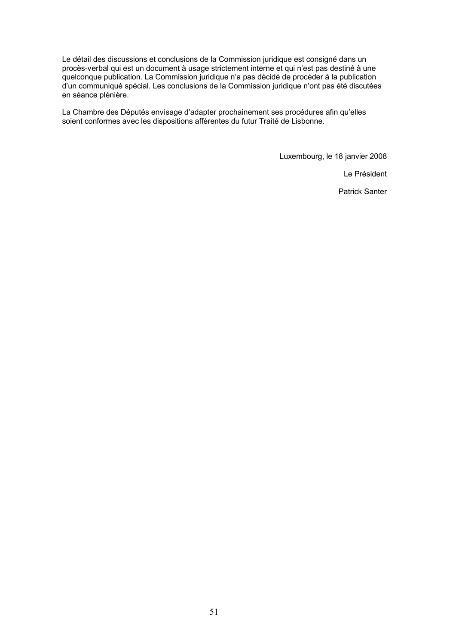Le détail des discussions et conclusions de la Commission juridique est consigné dans un procès-verbal qui est un document à usage strictement interne et qui n'est pas destiné à une quelconque publication. La Commission juridique n'a pas décidé de procéder à la publication d'un communiqué spécial. Les conclusions de la Commission juridique n'ont pas été discutées en séance plénière.

La Chambre des Députés envisage d'adapter prochainement ses procédures afin qu'elles soient conformes avec les dispositions afférentes du futur Traité de Lisbonne.

Luxembourg, le 18 janvier 2008

Le Président

Patrick Santer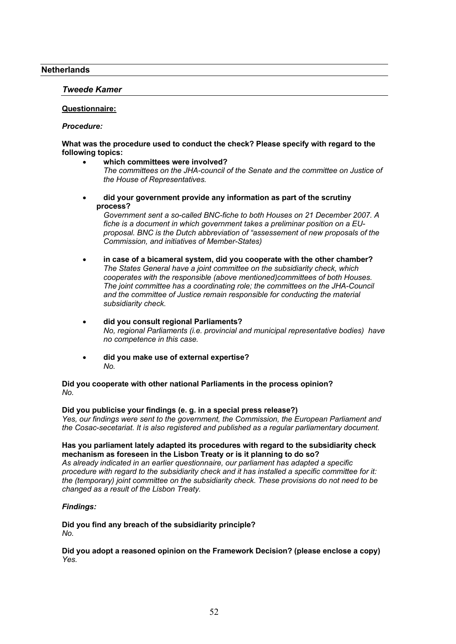## **Netherlands**

## *Tweede Kamer*

### **Questionnaire:**

### *Procedure:*

### **What was the procedure used to conduct the check? Please specify with regard to the following topics:**

- **which committees were involved?** *The committees on the JHA-council of the Senate and the committee on Justice of the House of Representatives.*
- **did your government provide any information as part of the scrutiny process?**

*Government sent a so-called BNC-fiche to both Houses on 21 December 2007. A fiche is a document in which government takes a preliminar position on a EUproposal. BNC is the Dutch abbreviation of "assessement of new proposals of the Commission, and initiatives of Member-States)*

- **in case of a bicameral system, did you cooperate with the other chamber?** *The States General have a joint committee on the subsidiarity check, which cooperates with the responsible (above mentioned)committees of both Houses. The joint committee has a coordinating role; the committees on the JHA-Council and the committee of Justice remain responsible for conducting the material subsidiarity check.*
- **did you consult regional Parliaments?** *No, regional Parliaments (i.e. provincial and municipal representative bodies) have no competence in this case.*
- **did you make use of external expertise?** *No.*

#### **Did you cooperate with other national Parliaments in the process opinion?** *No.*

#### **Did you publicise your findings (e. g. in a special press release?)**

*Yes, our findings were sent to the government, the Commission, the European Parliament and the Cosac-secetariat. It is also registered and published as a regular parliamentary document.*

### **Has you parliament lately adapted its procedures with regard to the subsidiarity check mechanism as foreseen in the Lisbon Treaty or is it planning to do so?**

*As already indicated in an earlier questionnaire, our parliament has adapted a specific procedure with regard to the subsidiarity check and it has installed a specific committee for it: the (temporary) joint committee on the subsidiarity check. These provisions do not need to be changed as a result of the Lisbon Treaty.* 

## *Findings:*

**Did you find any breach of the subsidiarity principle?** *No.*

**Did you adopt a reasoned opinion on the Framework Decision? (please enclose a copy)** *Yes.*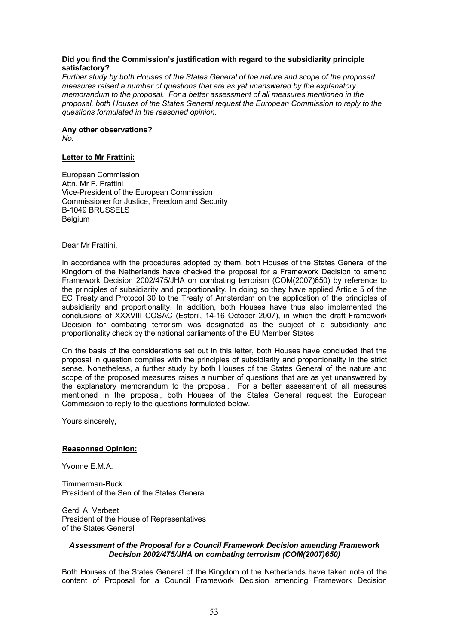### **Did you find the Commission's justification with regard to the subsidiarity principle satisfactory?**

*Further study by both Houses of the States General of the nature and scope of the proposed measures raised a number of questions that are as yet unanswered by the explanatory memorandum to the proposal. For a better assessment of all measures mentioned in the proposal, both Houses of the States General request the European Commission to reply to the questions formulated in the reasoned opinion.*

**Any other observations?** *No.*

## **Letter to Mr Frattini:**

European Commission Attn. Mr F. Frattini Vice-President of the European Commission Commissioner for Justice, Freedom and Security B-1049 BRUSSELS Belgium

Dear Mr Frattini,

In accordance with the procedures adopted by them, both Houses of the States General of the Kingdom of the Netherlands have checked the proposal for a Framework Decision to amend Framework Decision 2002/475/JHA on combating terrorism (COM(2007)650) by reference to the principles of subsidiarity and proportionality. In doing so they have applied Article 5 of the EC Treaty and Protocol 30 to the Treaty of Amsterdam on the application of the principles of subsidiarity and proportionality. In addition, both Houses have thus also implemented the conclusions of XXXVIII COSAC (Estoril, 14-16 October 2007), in which the draft Framework Decision for combating terrorism was designated as the subject of a subsidiarity and proportionality check by the national parliaments of the EU Member States.

On the basis of the considerations set out in this letter, both Houses have concluded that the proposal in question complies with the principles of subsidiarity and proportionality in the strict sense. Nonetheless, a further study by both Houses of the States General of the nature and scope of the proposed measures raises a number of questions that are as yet unanswered by the explanatory memorandum to the proposal. For a better assessment of all measures mentioned in the proposal, both Houses of the States General request the European Commission to reply to the questions formulated below.

Yours sincerely,

#### **Reasonned Opinion:**

Yvonne F M A

Timmerman-Buck President of the Sen of the States General

Gerdi A. Verbeet President of the House of Representatives of the States General

#### *Assessment of the Proposal for a Council Framework Decision amending Framework Decision 2002/475/JHA on combating terrorism (COM(2007)650)*

Both Houses of the States General of the Kingdom of the Netherlands have taken note of the content of Proposal for a Council Framework Decision amending Framework Decision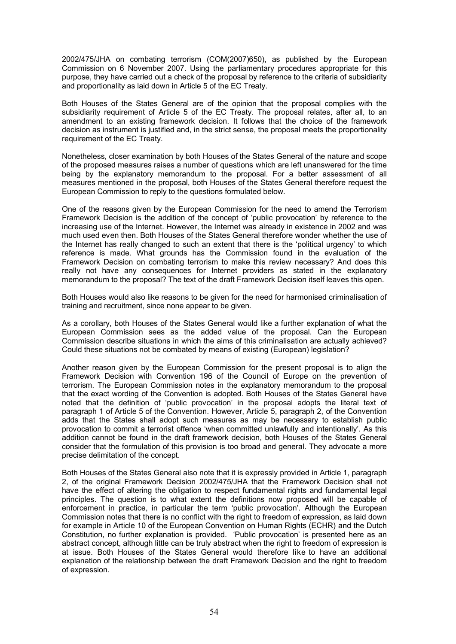2002/475/JHA on combating terrorism (COM(2007)650), as published by the European Commission on 6 November 2007. Using the parliamentary procedures appropriate for this purpose, they have carried out a check of the proposal by reference to the criteria of subsidiarity and proportionality as laid down in Article 5 of the EC Treaty.

Both Houses of the States General are of the opinion that the proposal complies with the subsidiarity requirement of Article 5 of the EC Treaty. The proposal relates, after all, to an amendment to an existing framework decision. It follows that the choice of the framework decision as instrument is justified and, in the strict sense, the proposal meets the proportionality requirement of the EC Treaty.

Nonetheless, closer examination by both Houses of the States General of the nature and scope of the proposed measures raises a number of questions which are left unanswered for the time being by the explanatory memorandum to the proposal. For a better assessment of all measures mentioned in the proposal, both Houses of the States General therefore request the European Commission to reply to the questions formulated below.

One of the reasons given by the European Commission for the need to amend the Terrorism Framework Decision is the addition of the concept of 'public provocation' by reference to the increasing use of the Internet. However, the Internet was already in existence in 2002 and was much used even then. Both Houses of the States General therefore wonder whether the use of the Internet has really changed to such an extent that there is the 'political urgency' to which reference is made. What grounds has the Commission found in the evaluation of the Framework Decision on combating terrorism to make this review necessary? And does this really not have any consequences for Internet providers as stated in the explanatory memorandum to the proposal? The text of the draft Framework Decision itself leaves this open.

Both Houses would also like reasons to be given for the need for harmonised criminalisation of training and recruitment, since none appear to be given.

As a corollary, both Houses of the States General would like a further explanation of what the European Commission sees as the added value of the proposal. Can the European Commission describe situations in which the aims of this criminalisation are actually achieved? Could these situations not be combated by means of existing (European) legislation?

Another reason given by the European Commission for the present proposal is to align the Framework Decision with Convention 196 of the Council of Europe on the prevention of terrorism. The European Commission notes in the explanatory memorandum to the proposal that the exact wording of the Convention is adopted. Both Houses of the States General have noted that the definition of 'public provocation' in the proposal adopts the literal text of paragraph 1 of Article 5 of the Convention. However, Article 5, paragraph 2, of the Convention adds that the States shall adopt such measures as may be necessary to establish public provocation to commit a terrorist offence 'when committed unlawfully and intentionally'. As this addition cannot be found in the draft framework decision, both Houses of the States General consider that the formulation of this provision is too broad and general. They advocate a more precise delimitation of the concept.

Both Houses of the States General also note that it is expressly provided in Article 1, paragraph 2, of the original Framework Decision 2002/475/JHA that the Framework Decision shall not have the effect of altering the obligation to respect fundamental rights and fundamental legal principles. The question is to what extent the definitions now proposed will be capable of enforcement in practice, in particular the term 'public provocation'. Although the European Commission notes that there is no conflict with the right to freedom of expression, as laid down for example in Article 10 of the European Convention on Human Rights (ECHR) and the Dutch Constitution, no further explanation is provided. 'Public provocation' is presented here as an abstract concept, although little can be truly abstract when the right to freedom of expression is at issue. Both Houses of the States General would therefore like to have an additional explanation of the relationship between the draft Framework Decision and the right to freedom of expression.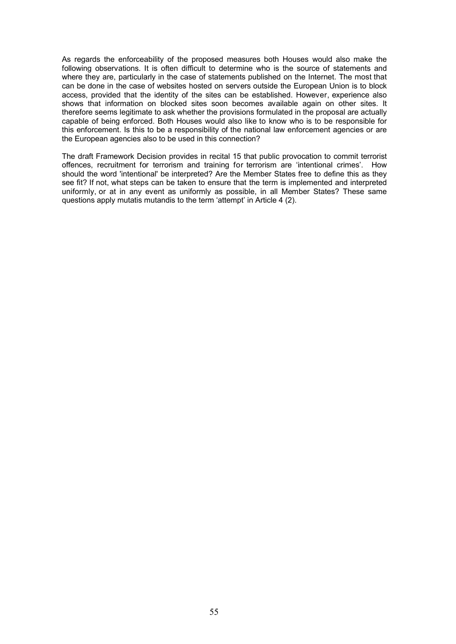As regards the enforceability of the proposed measures both Houses would also make the following observations. It is often difficult to determine who is the source of statements and where they are, particularly in the case of statements published on the Internet. The most that can be done in the case of websites hosted on servers outside the European Union is to block access, provided that the identity of the sites can be established. However, experience also shows that information on blocked sites soon becomes available again on other sites. It therefore seems legitimate to ask whether the provisions formulated in the proposal are actually capable of being enforced. Both Houses would also like to know who is to be responsible for this enforcement. Is this to be a responsibility of the national law enforcement agencies or are the European agencies also to be used in this connection?

The draft Framework Decision provides in recital 15 that public provocation to commit terrorist offences, recruitment for terrorism and training for terrorism are 'intentional crimes'. How should the word 'intentional' be interpreted? Are the Member States free to define this as they see fit? If not, what steps can be taken to ensure that the term is implemented and interpreted uniformly, or at in any event as uniformly as possible, in all Member States? These same questions apply mutatis mutandis to the term 'attempt' in Article 4 (2).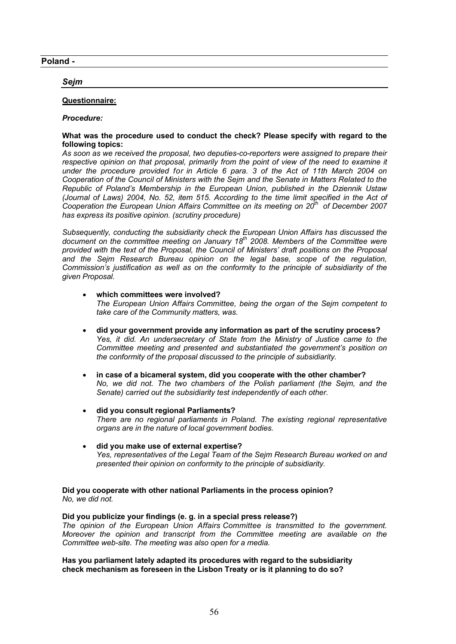## **Poland -**

## *Sejm*

### **Questionnaire:**

#### *Procedure:*

### **What was the procedure used to conduct the check? Please specify with regard to the following topics:**

*As soon as we received the proposal, two deputies-co-reporters were assigned to prepare their*  respective opinion on that proposal, primarily from the point of view of the need to examine it *under the procedure provided for in Article 6 para. 3 of the Act of 11th March 2004 on Cooperation of the Council of Ministers with the Sejm and the Senate in Matters Related to the Republic of Poland's Membership in the European Union, published in the Dziennik Ustaw (Journal of Laws) 2004, No. 52, item 515. According to the time limit specified in the Act of Cooperation the European Union Affairs Committee on its meeting on 20th of December 2007 has express its positive opinion. (scrutiny procedure)*

*Subsequently, conducting the subsidiarity check the European Union Affairs has discussed the document on the committee meeting on January 18th 2008. Members of the Committee were provided with the text of the Proposal, the Council of Ministers' draft positions on the Proposal and the Sejm Research Bureau opinion on the legal base, scope of the regulation, Commission's justification as well as on the conformity to the principle of subsidiarity of the given Proposal.*

- **which committees were involved?** *The European Union Affairs Committee, being the organ of the Sejm competent to take care of the Community matters, was.*
- **did your government provide any information as part of the scrutiny process?** *Yes, it did. An undersecretary of State from the Ministry of Justice came to the Committee meeting and presented and substantiated the government's position on the conformity of the proposal discussed to the principle of subsidiarity.*
- **in case of a bicameral system, did you cooperate with the other chamber?** *No, we did not. The two chambers of the Polish parliament (the Sejm, and the Senate) carried out the subsidiarity test independently of each other.*
- **did you consult regional Parliaments?** *There are no regional parliaments in Poland. The existing regional representative organs are in the nature of local government bodies.*
- **did you make use of external expertise?** *Yes, representatives of the Legal Team of the Sejm Research Bureau worked on and presented their opinion on conformity to the principle of subsidiarity.*

**Did you cooperate with other national Parliaments in the process opinion?** *No, we did not.*

#### **Did you publicize your findings (e. g. in a special press release?)**

*The opinion of the European Union Affairs Committee is transmitted to the government. Moreover the opinion and transcript from the Committee meeting are available on the Committee web-site. The meeting was also open for a media.*

**Has you parliament lately adapted its procedures with regard to the subsidiarity check mechanism as foreseen in the Lisbon Treaty or is it planning to do so?**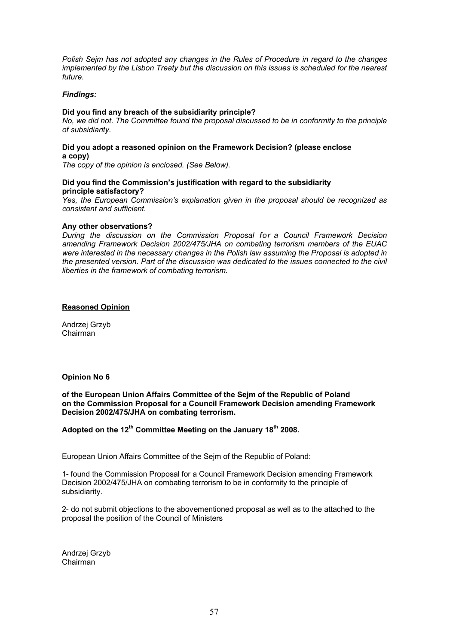*Polish Sejm has not adopted any changes in the Rules of Procedure in regard to the changes implemented by the Lisbon Treaty but the discussion on this issues is scheduled for the nearest future.*

### *Findings:*

### **Did you find any breach of the subsidiarity principle?**

*No, we did not. The Committee found the proposal discussed to be in conformity to the principle of subsidiarity.*

### **Did you adopt a reasoned opinion on the Framework Decision? (please enclose a copy)**

*The copy of the opinion is enclosed. (See Below).*

### **Did you find the Commission's justification with regard to the subsidiarity principle satisfactory?**

*Yes, the European Commission's explanation given in the proposal should be recognized as consistent and sufficient.*

### **Any other observations?**

*During the discussion on the Commission Proposal for a Council Framework Decision amending Framework Decision 2002/475/JHA on combating terrorism members of the EUAC were interested in the necessary changes in the Polish law assuming the Proposal is adopted in the presented version. Part of the discussion was dedicated to the issues connected to the civil liberties in the framework of combating terrorism.*

#### **Reasoned Opinion**

Andrzej Grzyb Chairman

#### **Opinion No 6**

**of the European Union Affairs Committee of the Sejm of the Republic of Poland on the Commission Proposal for a Council Framework Decision amending Framework Decision 2002/475/JHA on combating terrorism.**

## **Adopted on the 12th Committee Meeting on the January 18th 2008.**

European Union Affairs Committee of the Sejm of the Republic of Poland:

1- found the Commission Proposal for a Council Framework Decision amending Framework Decision 2002/475/JHA on combating terrorism to be in conformity to the principle of subsidiarity.

2- do not submit objections to the abovementioned proposal as well as to the attached to the proposal the position of the Council of Ministers

Andrzej Grzyb Chairman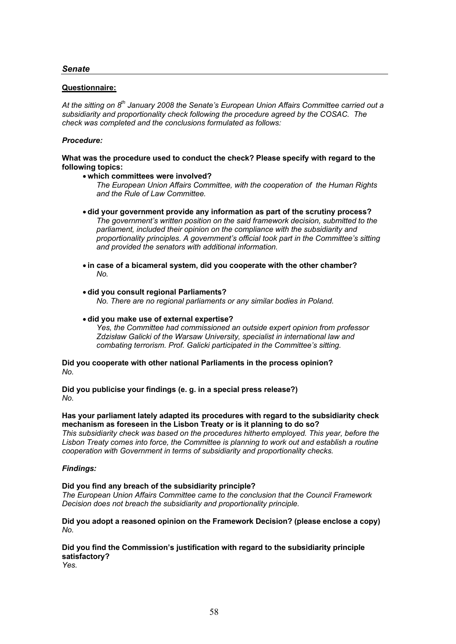### **Questionnaire:**

*At the sitting on 8th January 2008 the Senate's European Union Affairs Committee carried out a subsidiarity and proportionality check following the procedure agreed by the COSAC. The check was completed and the conclusions formulated as follows:*

### *Procedure:*

**What was the procedure used to conduct the check? Please specify with regard to the following topics:**

#### **which committees were involved?**

*The European Union Affairs Committee, with the cooperation of the Human Rights and the Rule of Law Committee.*

- **did your government provide any information as part of the scrutiny process?** *The government's written position on the said framework decision, submitted to the parliament, included their opinion on the compliance with the subsidiarity and proportionality principles. A government's official took part in the Committee's sitting and provided the senators with additional information.*
- **in case of a bicameral system, did you cooperate with the other chamber?** *No.*

#### **did you consult regional Parliaments?**

*No. There are no regional parliaments or any similar bodies in Poland.*

#### **did you make use of external expertise?**

*Yes, the Committee had commissioned an outside expert opinion from professor Zdzisław Galicki of the Warsaw University, specialist in international law and combating terrorism. Prof. Galicki participated in the Committee's sitting.*

**Did you cooperate with other national Parliaments in the process opinion?** *No.*

**Did you publicise your findings (e. g. in a special press release?)** *No.*

#### **Has your parliament lately adapted its procedures with regard to the subsidiarity check mechanism as foreseen in the Lisbon Treaty or is it planning to do so?**

*This subsidiarity check was based on the procedures hitherto employed. This year, before the Lisbon Treaty comes into force, the Committee is planning to work out and establish a routine cooperation with Government in terms of subsidiarity and proportionality checks.*

#### *Findings:*

#### **Did you find any breach of the subsidiarity principle?**

*The European Union Affairs Committee came to the conclusion that the Council Framework Decision does not breach the subsidiarity and proportionality principle.* 

#### **Did you adopt a reasoned opinion on the Framework Decision? (please enclose a copy)** *No.*

# **Did you find the Commission's justification with regard to the subsidiarity principle satisfactory?**

*Yes.*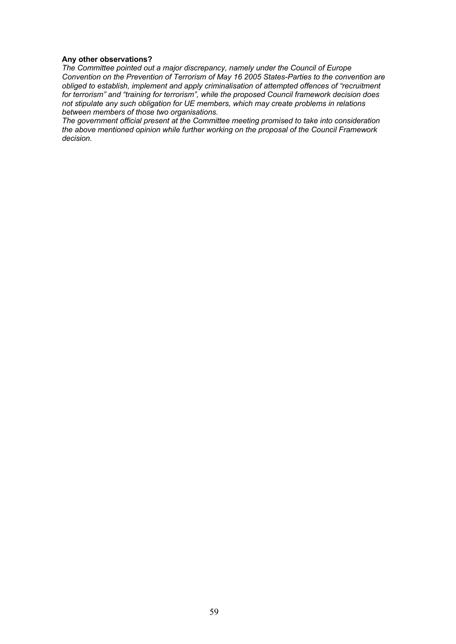### **Any other observations?**

*The Committee pointed out a major discrepancy, namely under the Council of Europe Convention on the Prevention of Terrorism of May 16 2005 States-Parties to the convention are obliged to establish, implement and apply criminalisation of attempted offences of "recruitment for terrorism" and "training for terrorism", while the proposed Council framework decision does not stipulate any such obligation for UE members, which may create problems in relations between members of those two organisations.* 

*The government official present at the Committee meeting promised to take into consideration the above mentioned opinion while further working on the proposal of the Council Framework decision.*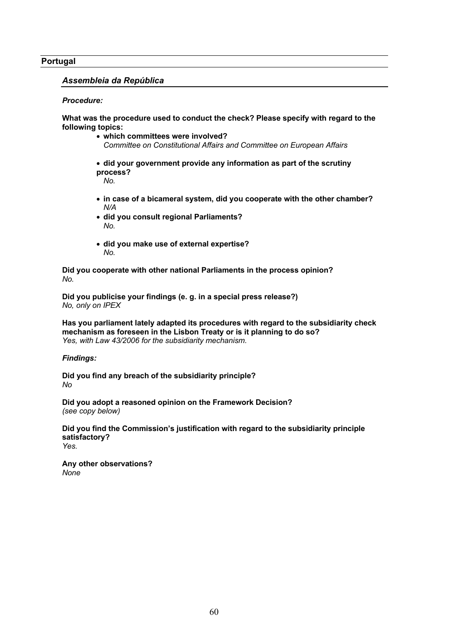### **Portugal**

### *Assembleia da República*

#### *Procedure:*

**What was the procedure used to conduct the check? Please specify with regard to the following topics:**

- **which committees were involved?**  *Committee on Constitutional Affairs and Committee on European Affairs*
- **did your government provide any information as part of the scrutiny process?**

*No.*

- **in case of a bicameral system, did you cooperate with the other chamber?** *N/A*
- **did you consult regional Parliaments?** *No.*
- **did you make use of external expertise?** *No.*

**Did you cooperate with other national Parliaments in the process opinion?** *No.*

**Did you publicise your findings (e. g. in a special press release?)** *No, only on IPEX*

**Has you parliament lately adapted its procedures with regard to the subsidiarity check mechanism as foreseen in the Lisbon Treaty or is it planning to do so?** *Yes, with Law 43/2006 for the subsidiarity mechanism.*

#### *Findings:*

**Did you find any breach of the subsidiarity principle?** *No*

**Did you adopt a reasoned opinion on the Framework Decision?**  *(see copy below)*

**Did you find the Commission's justification with regard to the subsidiarity principle satisfactory?** *Yes.*

**Any other observations?** *None*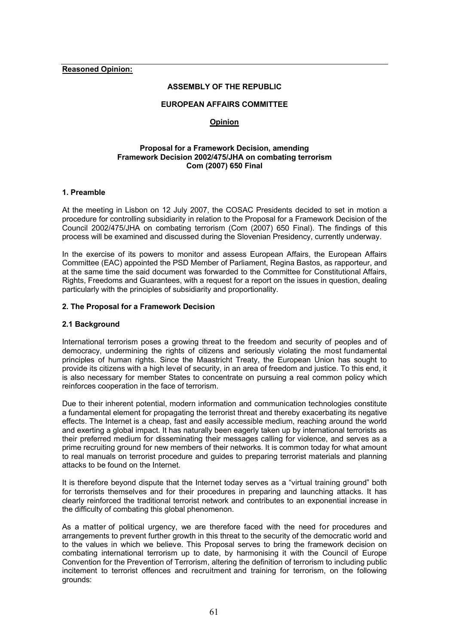**Reasoned Opinion:**

#### **ASSEMBLY OF THE REPUBLIC**

### **EUROPEAN AFFAIRS COMMITTEE**

### **Opinion**

#### **Proposal for a Framework Decision, amending Framework Decision 2002/475/JHA on combating terrorism Com (2007) 650 Final**

### **1. Preamble**

At the meeting in Lisbon on 12 July 2007, the COSAC Presidents decided to set in motion a procedure for controlling subsidiarity in relation to the Proposal for a Framework Decision of the Council 2002/475/JHA on combating terrorism (Com (2007) 650 Final). The findings of this process will be examined and discussed during the Slovenian Presidency, currently underway.

In the exercise of its powers to monitor and assess European Affairs, the European Affairs Committee (EAC) appointed the PSD Member of Parliament, Regina Bastos, as rapporteur, and at the same time the said document was forwarded to the Committee for Constitutional Affairs, Rights, Freedoms and Guarantees, with a request for a report on the issues in question, dealing particularly with the principles of subsidiarity and proportionality.

#### **2. The Proposal for a Framework Decision**

#### **2.1 Background**

International terrorism poses a growing threat to the freedom and security of peoples and of democracy, undermining the rights of citizens and seriously violating the most fundamental principles of human rights. Since the Maastricht Treaty, the European Union has sought to provide its citizens with a high level of security, in an area of freedom and justice. To this end, it is also necessary for member States to concentrate on pursuing a real common policy which reinforces cooperation in the face of terrorism.

Due to their inherent potential, modern information and communication technologies constitute a fundamental element for propagating the terrorist threat and thereby exacerbating its negative effects. The Internet is a cheap, fast and easily accessible medium, reaching around the world and exerting a global impact. It has naturally been eagerly taken up by international terrorists as their preferred medium for disseminating their messages calling for violence, and serves as a prime recruiting ground for new members of their networks. It is common today for what amount to real manuals on terrorist procedure and guides to preparing terrorist materials and planning attacks to be found on the Internet.

It is therefore beyond dispute that the Internet today serves as a "virtual training ground" both for terrorists themselves and for their procedures in preparing and launching attacks. It has clearly reinforced the traditional terrorist network and contributes to an exponential increase in the difficulty of combating this global phenomenon.

As a matter of political urgency, we are therefore faced with the need for procedures and arrangements to prevent further growth in this threat to the security of the democratic world and to the values in which we believe. This Proposal serves to bring the framework decision on combating international terrorism up to date, by harmonising it with the Council of Europe Convention for the Prevention of Terrorism, altering the definition of terrorism to including public incitement to terrorist offences and recruitment and training for terrorism, on the following grounds: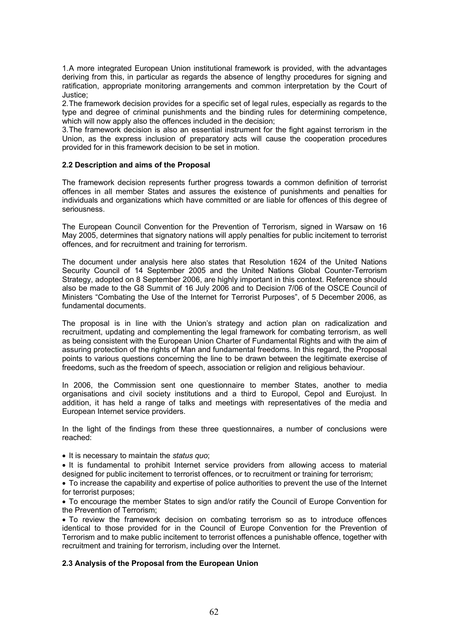1.A more integrated European Union institutional framework is provided, with the advantages deriving from this, in particular as regards the absence of lengthy procedures for signing and ratification, appropriate monitoring arrangements and common interpretation by the Court of Justice;

2.The framework decision provides for a specific set of legal rules, especially as regards to the type and degree of criminal punishments and the binding rules for determining competence, which will now apply also the offences included in the decision;

3.The framework decision is also an essential instrument for the fight against terrorism in the Union, as the express inclusion of preparatory acts will cause the cooperation procedures provided for in this framework decision to be set in motion.

### **2.2 Description and aims of the Proposal**

The framework decision represents further progress towards a common definition of terrorist offences in all member States and assures the existence of punishments and penalties for individuals and organizations which have committed or are liable for offences of this degree of seriousness.

The European Council Convention for the Prevention of Terrorism, signed in Warsaw on 16 May 2005, determines that signatory nations will apply penalties for public incitement to terrorist offences, and for recruitment and training for terrorism.

The document under analysis here also states that Resolution 1624 of the United Nations Security Council of 14 September 2005 and the United Nations Global Counter-Terrorism Strategy, adopted on 8 September 2006, are highly important in this context. Reference should also be made to the G8 Summit of 16 July 2006 and to Decision 7/06 of the OSCE Council of Ministers "Combating the Use of the Internet for Terrorist Purposes", of 5 December 2006, as fundamental documents.

The proposal is in line with the Union's strategy and action plan on radicalization and recruitment, updating and complementing the legal framework for combating terrorism, as well as being consistent with the European Union Charter of Fundamental Rights and with the aim of assuring protection of the rights of Man and fundamental freedoms. In this regard, the Proposal points to various questions concerning the line to be drawn between the legitimate exercise of freedoms, such as the freedom of speech, association or religion and religious behaviour.

In 2006, the Commission sent one questionnaire to member States, another to media organisations and civil society institutions and a third to Europol, Cepol and Eurojust. In addition, it has held a range of talks and meetings with representatives of the media and European Internet service providers.

In the light of the findings from these three questionnaires, a number of conclusions were reached:

It is necessary to maintain the *status quo*;

. It is fundamental to prohibit Internet service providers from allowing access to material designed for public incitement to terrorist offences, or to recruitment or training for terrorism;

 To increase the capability and expertise of police authorities to prevent the use of the Internet for terrorist purposes;

 To encourage the member States to sign and/or ratify the Council of Europe Convention for the Prevention of Terrorism;

 To review the framework decision on combating terrorism so as to introduce offences identical to those provided for in the Council of Europe Convention for the Prevention of Terrorism and to make public incitement to terrorist offences a punishable offence, together with recruitment and training for terrorism, including over the Internet.

## **2.3 Analysis of the Proposal from the European Union**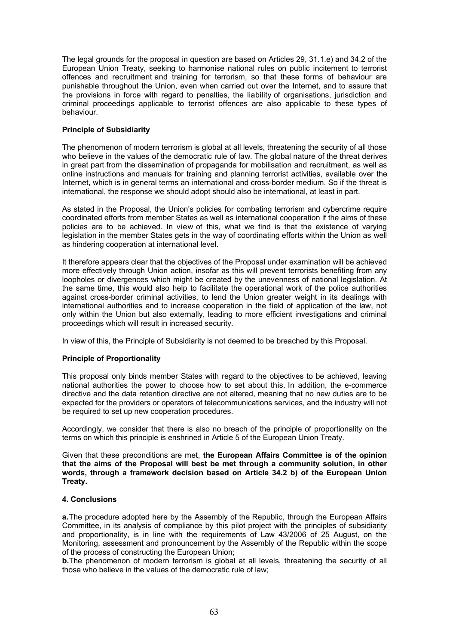The legal grounds for the proposal in question are based on Articles 29, 31.1.e) and 34.2 of the European Union Treaty, seeking to harmonise national rules on public incitement to terrorist offences and recruitment and training for terrorism, so that these forms of behaviour are punishable throughout the Union, even when carried out over the Internet, and to assure that the provisions in force with regard to penalties, the liability of organisations, jurisdiction and criminal proceedings applicable to terrorist offences are also applicable to these types of behaviour.

## **Principle of Subsidiarity**

The phenomenon of modern terrorism is global at all levels, threatening the security of all those who believe in the values of the democratic rule of law. The global nature of the threat derives in great part from the dissemination of propaganda for mobilisation and recruitment, as well as online instructions and manuals for training and planning terrorist activities, available over the Internet, which is in general terms an international and cross-border medium. So if the threat is international, the response we should adopt should also be international, at least in part.

As stated in the Proposal, the Union's policies for combating terrorism and cybercrime require coordinated efforts from member States as well as international cooperation if the aims of these policies are to be achieved. In view of this, what we find is that the existence of varying legislation in the member States gets in the way of coordinating efforts within the Union as well as hindering cooperation at international level.

It therefore appears clear that the objectives of the Proposal under examination will be achieved more effectively through Union action, insofar as this will prevent terrorists benefiting from any loopholes or divergences which might be created by the unevenness of national legislation. At the same time, this would also help to facilitate the operational work of the police authorities against cross-border criminal activities, to lend the Union greater weight in its dealings with international authorities and to increase cooperation in the field of application of the law, not only within the Union but also externally, leading to more efficient investigations and criminal proceedings which will result in increased security.

In view of this, the Principle of Subsidiarity is not deemed to be breached by this Proposal.

## **Principle of Proportionality**

This proposal only binds member States with regard to the objectives to be achieved, leaving national authorities the power to choose how to set about this. In addition, the e-commerce directive and the data retention directive are not altered, meaning that no new duties are to be expected for the providers or operators of telecommunications services, and the industry will not be required to set up new cooperation procedures.

Accordingly, we consider that there is also no breach of the principle of proportionality on the terms on which this principle is enshrined in Article 5 of the European Union Treaty.

Given that these preconditions are met, **the European Affairs Committee is of the opinion that the aims of the Proposal will best be met through a community solution, in other words, through a framework decision based on Article 34.2 b) of the European Union Treaty.**

### **4. Conclusions**

**a.**The procedure adopted here by the Assembly of the Republic, through the European Affairs Committee, in its analysis of compliance by this pilot project with the principles of subsidiarity and proportionality, is in line with the requirements of Law 43/2006 of 25 August, on the Monitoring, assessment and pronouncement by the Assembly of the Republic within the scope of the process of constructing the European Union;

**b.**The phenomenon of modern terrorism is global at all levels, threatening the security of all those who believe in the values of the democratic rule of law;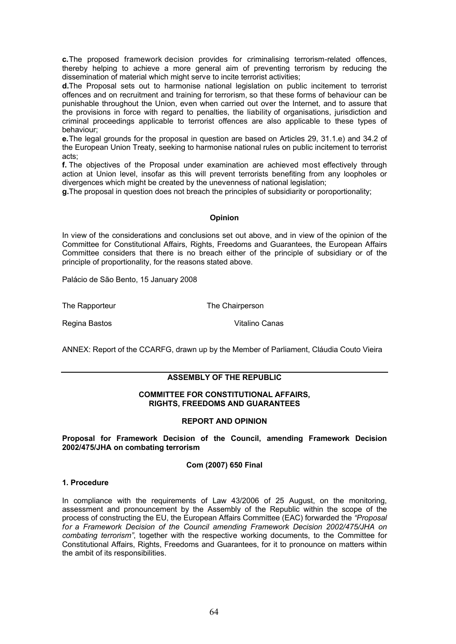**c.**The proposed framework decision provides for criminalising terrorism-related offences, thereby helping to achieve a more general aim of preventing terrorism by reducing the dissemination of material which might serve to incite terrorist activities;

**d.**The Proposal sets out to harmonise national legislation on public incitement to terrorist offences and on recruitment and training for terrorism, so that these forms of behaviour can be punishable throughout the Union, even when carried out over the Internet, and to assure that the provisions in force with regard to penalties, the liability of organisations, jurisdiction and criminal proceedings applicable to terrorist offences are also applicable to these types of behaviour;

**e.**The legal grounds for the proposal in question are based on Articles 29, 31.1.e) and 34.2 of the European Union Treaty, seeking to harmonise national rules on public incitement to terrorist acts;

**f.** The objectives of the Proposal under examination are achieved most effectively through action at Union level, insofar as this will prevent terrorists benefiting from any loopholes or divergences which might be created by the unevenness of national legislation;

**g.**The proposal in question does not breach the principles of subsidiarity or poroportionality;

## **Opinion**

In view of the considerations and conclusions set out above, and in view of the opinion of the Committee for Constitutional Affairs, Rights, Freedoms and Guarantees, the European Affairs Committee considers that there is no breach either of the principle of subsidiary or of the principle of proportionality, for the reasons stated above.

Palácio de São Bento, 15 January 2008

The Rapporteur The Chairperson

Regina Bastos **Vitalino Canas** 

ANNEX: Report of the CCARFG, drawn up by the Member of Parliament, Cláudia Couto Vieira

## **ASSEMBLY OF THE REPUBLIC**

#### **COMMITTEE FOR CONSTITUTIONAL AFFAIRS, RIGHTS, FREEDOMS AND GUARANTEES**

#### **REPORT AND OPINION**

**Proposal for Framework Decision of the Council, amending Framework Decision 2002/475/JHA on combating terrorism**

## **Com (2007) 650 Final**

## **1. Procedure**

In compliance with the requirements of Law 43/2006 of 25 August, on the monitoring, assessment and pronouncement by the Assembly of the Republic within the scope of the process of constructing the EU, the European Affairs Committee (EAC) forwarded the *"Proposal for a Framework Decision of the Council amending Framework Decision 2002/475/JHA on combating terrorism"*, together with the respective working documents, to the Committee for Constitutional Affairs, Rights, Freedoms and Guarantees, for it to pronounce on matters within the ambit of its responsibilities.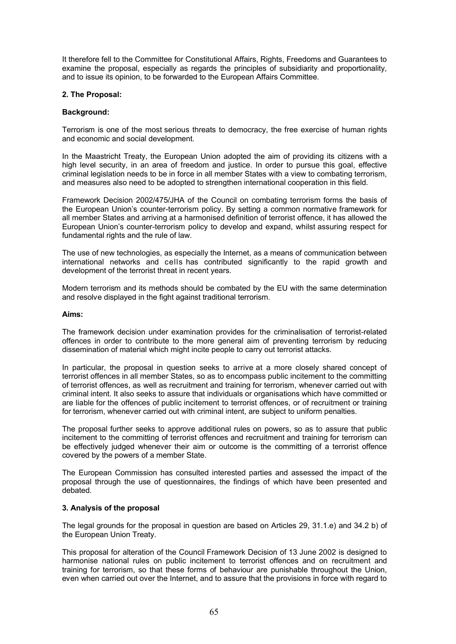It therefore fell to the Committee for Constitutional Affairs, Rights, Freedoms and Guarantees to examine the proposal, especially as regards the principles of subsidiarity and proportionality, and to issue its opinion, to be forwarded to the European Affairs Committee.

### **2. The Proposal:**

### **Background:**

Terrorism is one of the most serious threats to democracy, the free exercise of human rights and economic and social development.

In the Maastricht Treaty, the European Union adopted the aim of providing its citizens with a high level security, in an area of freedom and justice. In order to pursue this goal, effective criminal legislation needs to be in force in all member States with a view to combating terrorism, and measures also need to be adopted to strengthen international cooperation in this field.

Framework Decision 2002/475/JHA of the Council on combating terrorism forms the basis of the European Union's counter-terrorism policy. By setting a common normative framework for all member States and arriving at a harmonised definition of terrorist offence, it has allowed the European Union's counter-terrorism policy to develop and expand, whilst assuring respect for fundamental rights and the rule of law.

The use of new technologies, as especially the Internet, as a means of communication between international networks and cells has contributed significantly to the rapid growth and development of the terrorist threat in recent years.

Modern terrorism and its methods should be combated by the EU with the same determination and resolve displayed in the fight against traditional terrorism.

### **Aims:**

The framework decision under examination provides for the criminalisation of terrorist-related offences in order to contribute to the more general aim of preventing terrorism by reducing dissemination of material which might incite people to carry out terrorist attacks.

In particular, the proposal in question seeks to arrive at a more closely shared concept of terrorist offences in all member States, so as to encompass public incitement to the committing of terrorist offences, as well as recruitment and training for terrorism, whenever carried out with criminal intent. It also seeks to assure that individuals or organisations which have committed or are liable for the offences of public incitement to terrorist offences, or of recruitment or training for terrorism, whenever carried out with criminal intent, are subject to uniform penalties.

The proposal further seeks to approve additional rules on powers, so as to assure that public incitement to the committing of terrorist offences and recruitment and training for terrorism can be effectively judged whenever their aim or outcome is the committing of a terrorist offence covered by the powers of a member State.

The European Commission has consulted interested parties and assessed the impact of the proposal through the use of questionnaires, the findings of which have been presented and debated.

## **3. Analysis of the proposal**

The legal grounds for the proposal in question are based on Articles 29, 31.1.e) and 34.2 b) of the European Union Treaty.

This proposal for alteration of the Council Framework Decision of 13 June 2002 is designed to harmonise national rules on public incitement to terrorist offences and on recruitment and training for terrorism, so that these forms of behaviour are punishable throughout the Union, even when carried out over the Internet, and to assure that the provisions in force with regard to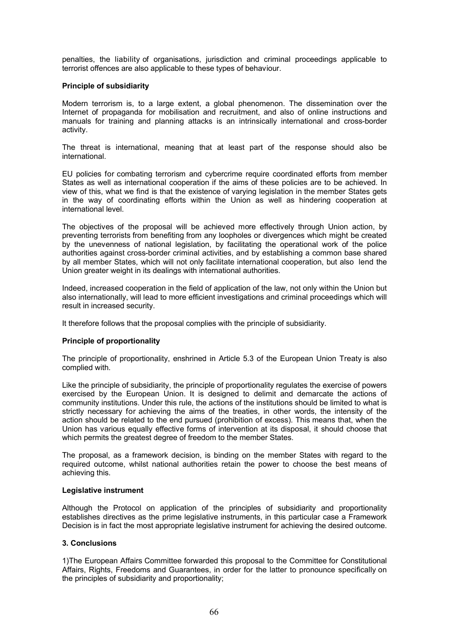penalties, the liability of organisations, jurisdiction and criminal proceedings applicable to terrorist offences are also applicable to these types of behaviour.

### **Principle of subsidiarity**

Modern terrorism is, to a large extent, a global phenomenon. The dissemination over the Internet of propaganda for mobilisation and recruitment, and also of online instructions and manuals for training and planning attacks is an intrinsically international and cross-border activity.

The threat is international, meaning that at least part of the response should also be international.

EU policies for combating terrorism and cybercrime require coordinated efforts from member States as well as international cooperation if the aims of these policies are to be achieved. In view of this, what we find is that the existence of varying legislation in the member States gets in the way of coordinating efforts within the Union as well as hindering cooperation at international level.

The objectives of the proposal will be achieved more effectively through Union action, by preventing terrorists from benefiting from any loopholes or divergences which might be created by the unevenness of national legislation, by facilitating the operational work of the police authorities against cross-border criminal activities, and by establishing a common base shared by all member States, which will not only facilitate international cooperation, but also lend the Union greater weight in its dealings with international authorities.

Indeed, increased cooperation in the field of application of the law, not only within the Union but also internationally, will lead to more efficient investigations and criminal proceedings which will result in increased security.

It therefore follows that the proposal complies with the principle of subsidiarity.

## **Principle of proportionality**

The principle of proportionality, enshrined in Article 5.3 of the European Union Treaty is also complied with.

Like the principle of subsidiarity, the principle of proportionality regulates the exercise of powers exercised by the European Union. It is designed to delimit and demarcate the actions of community institutions. Under this rule, the actions of the institutions should be limited to what is strictly necessary for achieving the aims of the treaties, in other words, the intensity of the action should be related to the end pursued (prohibition of excess). This means that, when the Union has various equally effective forms of intervention at its disposal, it should choose that which permits the greatest degree of freedom to the member States.

The proposal, as a framework decision, is binding on the member States with regard to the required outcome, whilst national authorities retain the power to choose the best means of achieving this.

#### **Legislative instrument**

Although the Protocol on application of the principles of subsidiarity and proportionality establishes directives as the prime legislative instruments, in this particular case a Framework Decision is in fact the most appropriate legislative instrument for achieving the desired outcome.

## **3. Conclusions**

1)The European Affairs Committee forwarded this proposal to the Committee for Constitutional Affairs, Rights, Freedoms and Guarantees, in order for the latter to pronounce specifically on the principles of subsidiarity and proportionality;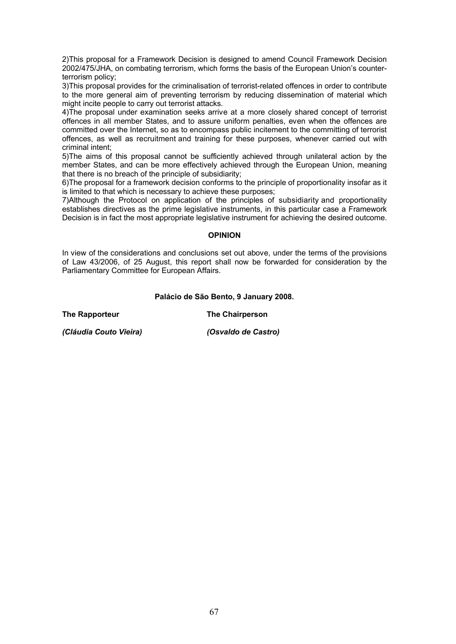2)This proposal for a Framework Decision is designed to amend Council Framework Decision 2002/475/JHA, on combating terrorism, which forms the basis of the European Union's counterterrorism policy;

3)This proposal provides for the criminalisation of terrorist-related offences in order to contribute to the more general aim of preventing terrorism by reducing dissemination of material which might incite people to carry out terrorist attacks.

4)The proposal under examination seeks arrive at a more closely shared concept of terrorist offences in all member States, and to assure uniform penalties, even when the offences are committed over the Internet, so as to encompass public incitement to the committing of terrorist offences, as well as recruitment and training for these purposes, whenever carried out with criminal intent;

5)The aims of this proposal cannot be sufficiently achieved through unilateral action by the member States, and can be more effectively achieved through the European Union, meaning that there is no breach of the principle of subsidiarity;

6)The proposal for a framework decision conforms to the principle of proportionality insofar as it is limited to that which is necessary to achieve these purposes;

7)Although the Protocol on application of the principles of subsidiarity and proportionality establishes directives as the prime legislative instruments, in this particular case a Framework Decision is in fact the most appropriate legislative instrument for achieving the desired outcome.

### **OPINION**

In view of the considerations and conclusions set out above, under the terms of the provisions of Law 43/2006, of 25 August, this report shall now be forwarded for consideration by the Parliamentary Committee for European Affairs.

### **Palácio de São Bento, 9 January 2008.**

**The Rapporteur The Chairperson**

*(Cláudia Couto Vieira) (Osvaldo de Castro)*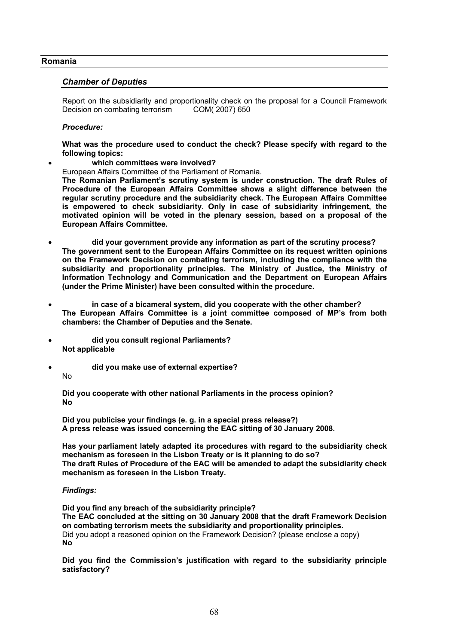### **Romania**

### *Chamber of Deputies*

Report on the subsidiarity and proportionality check on the proposal for a Council Framework Decision on combating terrorism COM( 2007) 650

#### *Procedure:*

**What was the procedure used to conduct the check? Please specify with regard to the following topics:**

- **which committees were involved?**
- European Affairs Committee of the Parliament of Romania.

**The Romanian Parliament's scrutiny system is under construction. The draft Rules of Procedure of the European Affairs Committee shows a slight difference between the regular scrutiny procedure and the subsidiarity check. The European Affairs Committee is empowered to check subsidiarity. Only in case of subsidiarity infringement, the motivated opinion will be voted in the plenary session, based on a proposal of the European Affairs Committee.**

- **did your government provide any information as part of the scrutiny process? The government sent to the European Affairs Committee on its request written opinions on the Framework Decision on combating terrorism, including the compliance with the subsidiarity and proportionality principles. The Ministry of Justice, the Ministry of Information Technology and Communication and the Department on European Affairs (under the Prime Minister) have been consulted within the procedure.**
- **in case of a bicameral system, did you cooperate with the other chamber? The European Affairs Committee is a joint committee composed of MP's from both chambers: the Chamber of Deputies and the Senate.**
- **did you consult regional Parliaments? Not applicable**
- **did you make use of external expertise?**
	- No

**Did you cooperate with other national Parliaments in the process opinion? No**

**Did you publicise your findings (e. g. in a special press release?) A press release was issued concerning the EAC sitting of 30 January 2008.**

**Has your parliament lately adapted its procedures with regard to the subsidiarity check mechanism as foreseen in the Lisbon Treaty or is it planning to do so? The draft Rules of Procedure of the EAC will be amended to adapt the subsidiarity check mechanism as foreseen in the Lisbon Treaty.**

#### *Findings:*

**Did you find any breach of the subsidiarity principle? The EAC concluded at the sitting on 30 January 2008 that the draft Framework Decision on combating terrorism meets the subsidiarity and proportionality principles.** Did you adopt a reasoned opinion on the Framework Decision? (please enclose a copy) **No**

**Did you find the Commission's justification with regard to the subsidiarity principle satisfactory?**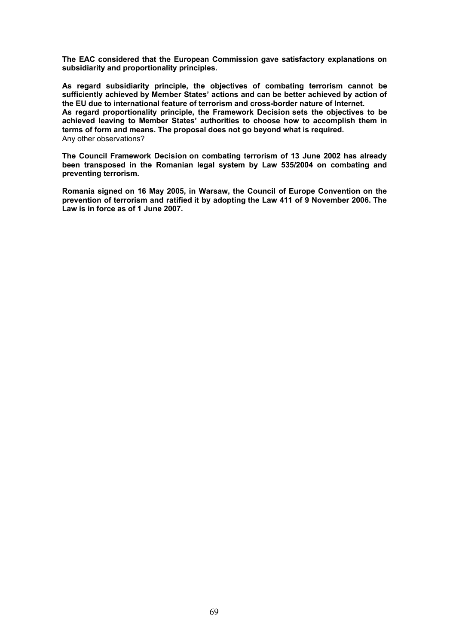**The EAC considered that the European Commission gave satisfactory explanations on subsidiarity and proportionality principles.** 

**As regard subsidiarity principle, the objectives of combating terrorism cannot be sufficiently achieved by Member States' actions and can be better achieved by action of the EU due to international feature of terrorism and cross-border nature of Internet. As regard proportionality principle, the Framework Decision sets the objectives to be achieved leaving to Member States' authorities to choose how to accomplish them in terms of form and means. The proposal does not go beyond what is required.** Any other observations?

**The Council Framework Decision on combating terrorism of 13 June 2002 has already been transposed in the Romanian legal system by Law 535/2004 on combating and preventing terrorism.** 

**Romania signed on 16 May 2005, in Warsaw, the Council of Europe Convention on the prevention of terrorism and ratified it by adopting the Law 411 of 9 November 2006. The Law is in force as of 1 June 2007.**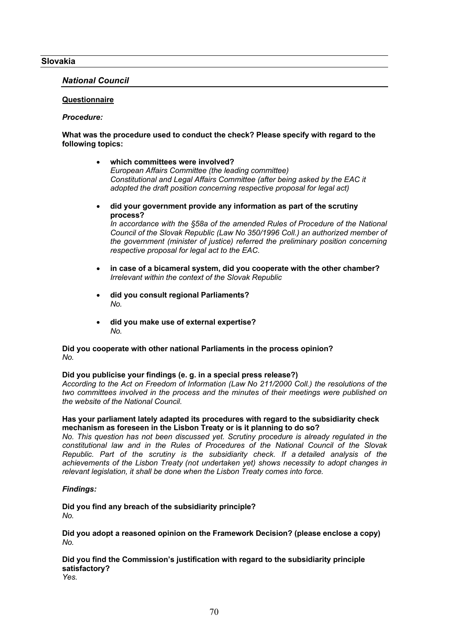### **Slovakia**

### *National Council*

### **Questionnaire**

#### *Procedure:*

### **What was the procedure used to conduct the check? Please specify with regard to the following topics:**

- **which committees were involved?** *European Affairs Committee (the leading committee) Constitutional and Legal Affairs Committee (after being asked by the EAC it adopted the draft position concerning respective proposal for legal act)*
- **did your government provide any information as part of the scrutiny process?**

*In accordance with the §58a of the amended Rules of Procedure of the National Council of the Slovak Republic (Law No 350/1996 Coll.) an authorized member of the government (minister of justice) referred the preliminary position concerning respective proposal for legal act to the EAC.*

- **in case of a bicameral system, did you cooperate with the other chamber?** *Irrelevant within the context of the Slovak Republic*
- **did you consult regional Parliaments?** *No.*
- **did you make use of external expertise?** *No.*

### **Did you cooperate with other national Parliaments in the process opinion?** *No.*

#### **Did you publicise your findings (e. g. in a special press release?)**

*According to the Act on Freedom of Information (Law No 211/2000 Coll.) the resolutions of the two committees involved in the process and the minutes of their meetings were published on the website of the National Council.*

### **Has your parliament lately adapted its procedures with regard to the subsidiarity check mechanism as foreseen in the Lisbon Treaty or is it planning to do so?**

*No. This question has not been discussed yet. Scrutiny procedure is already regulated in the constitutional law and in the Rules of Procedures of the National Council of the Slovak Republic. Part of the scrutiny is the subsidiarity check. If a detailed analysis of the achievements of the Lisbon Treaty (not undertaken yet) shows necessity to adopt changes in relevant legislation, it shall be done when the Lisbon Treaty comes into force.* 

#### *Findings:*

### **Did you find any breach of the subsidiarity principle?** *No.*

**Did you adopt a reasoned opinion on the Framework Decision? (please enclose a copy)** *No.*

# **Did you find the Commission's justification with regard to the subsidiarity principle satisfactory?**

*Yes.*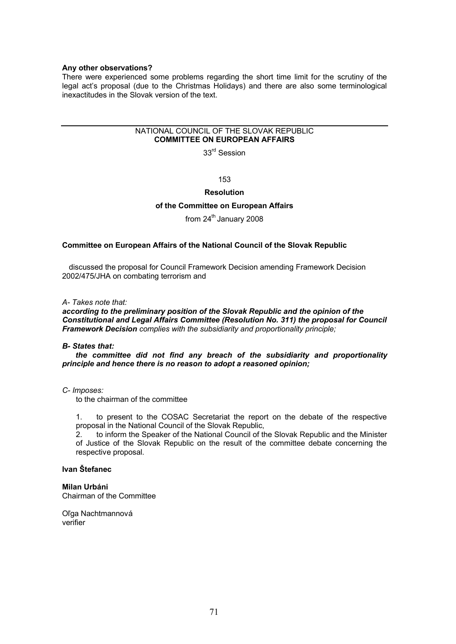#### **Any other observations?**

There were experienced some problems regarding the short time limit for the scrutiny of the legal act's proposal (due to the Christmas Holidays) and there are also some terminological inexactitudes in the Slovak version of the text.

#### NATIONAL COUNCIL OF THE SLOVAK REPUBLIC **COMMITTEE ON EUROPEAN AFFAIRS**

33<sup>rd</sup> Session

153

### **Resolution**

#### **of the Committee on European Affairs**

## from 24<sup>th</sup> January 2008

#### **Committee on European Affairs of the National Council of the Slovak Republic**

discussed the proposal for Council Framework Decision amending Framework Decision 2002/475/JHA on combating terrorism and

*A- Takes note that:*

*according to the preliminary position of the Slovak Republic and the opinion of the Constitutional and Legal Affairs Committee (Resolution No. 311) the proposal for Council Framework Decision complies with the subsidiarity and proportionality principle;*

#### *B- States that:*

*the committee did not find any breach of the subsidiarity and proportionality principle and hence there is no reason to adopt a reasoned opinion;*

*C- Imposes:*

to the chairman of the committee

1. to present to the COSAC Secretariat the report on the debate of the respective proposal in the National Council of the Slovak Republic,

2. to inform the Speaker of the National Council of the Slovak Republic and the Minister of Justice of the Slovak Republic on the result of the committee debate concerning the respective proposal.

## **Ivan Štefanec**

**Milan Urbáni** Chairman of the Committee

Oľga Nachtmannová verifier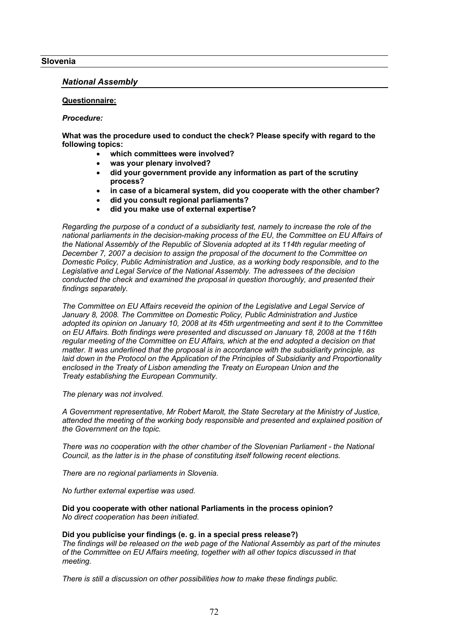### **Slovenia**

### *National Assembly*

### **Questionnaire:**

#### *Procedure:*

**What was the procedure used to conduct the check? Please specify with regard to the following topics:**

- **which committees were involved?**
- **was your plenary involved?**
- **did your government provide any information as part of the scrutiny process?**
- **in case of a bicameral system, did you cooperate with the other chamber?**
- **did you consult regional parliaments?**
- **did you make use of external expertise?**

*Regarding the purpose of a conduct of a subsidiarity test, namely to increase the role of the national parliaments in the decision-making process of the EU, the Committee on EU Affairs of the National Assembly of the Republic of Slovenia adopted at its 114th regular meeting of December 7, 2007 a decision to assign the proposal of the document to the Committee on Domestic Policy, Public Administration and Justice, as a working body responsible, and to the Legislative and Legal Service of the National Assembly. The adressees of the decision conducted the check and examined the proposal in question thoroughly, and presented their findings separately.*

*The Committee on EU Affairs receveid the opinion of the Legislative and Legal Service of January 8, 2008. The Committee on Domestic Policy, Public Administration and Justice adopted its opinion on January 10, 2008 at its 45th urgentmeeting and sent it to the Committee on EU Affairs. Both findings were presented and discussed on January 18, 2008 at the 116th regular meeting of the Committee on EU Affairs, which at the end adopted a decision on that matter. It was underlined that the proposal is in accordance with the subsidiarity principle, as laid down in the Protocol on the Application of the Principles of Subsidiarity and Proportionality enclosed in the Treaty of Lisbon amending the Treaty on European Union and the Treaty establishing the European Community.*

*The plenary was not involved.*

*A Government representative, Mr Robert Marolt, the State Secretary at the Ministry of Justice, attended the meeting of the working body responsible and presented and explained position of the Government on the topic.*

*There was no cooperation with the other chamber of the Slovenian Parliament - the National Council, as the latter is in the phase of constituting itself following recent elections.*

*There are no regional parliaments in Slovenia.*

*No further external expertise was used.*

**Did you cooperate with other national Parliaments in the process opinion?** *No direct cooperation has been initiated.*

#### **Did you publicise your findings (e. g. in a special press release?)**

*The findings will be released on the web page of the National Assembly as part of the minutes of the Committee on EU Affairs meeting, together with all other topics discussed in that meeting.*

*There is still a discussion on other possibilities how to make these findings public.*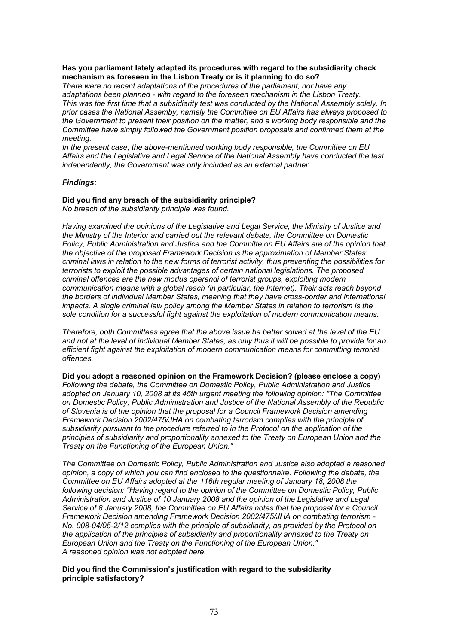#### **Has you parliament lately adapted its procedures with regard to the subsidiarity check mechanism as foreseen in the Lisbon Treaty or is it planning to do so?**

*There were no recent adaptations of the procedures of the parliament, nor have any adaptations been planned - with regard to the foreseen mechanism in the Lisbon Treaty. This was the first time that a subsidiarity test was conducted by the National Assembly solely. In prior cases the National Assemby, namely the Committee on EU Affairs has always proposed to the Government to present their position on the matter, and a working body responsible and the Committee have simply followed the Government position proposals and confirmed them at the meeting.*

*In the present case, the above-mentioned working body responsible, the Committee on EU Affairs and the Legislative and Legal Service of the National Assembly have conducted the test independently, the Government was only included as an external partner.*

# *Findings:*

# **Did you find any breach of the subsidiarity principle?**

*No breach of the subsidiarity principle was found.*

*Having examined the opinions of the Legislative and Legal Service, the Ministry of Justice and the Ministry of the Interior and carried out the relevant debate, the Committee on Domestic Policy, Public Administration and Justice and the Committe on EU Affairs are of the opinion that the objective of the proposed Framework Decision is the approximation of Member States' criminal laws in relation to the new forms of terrorist activity, thus preventing the possibilities for terrorists to exploit the possible advantages of certain national legislations. The proposed criminal offences are the new modus operandi of terrorist groups, exploiting modern communication means with a global reach (in particular, the Internet). Their acts reach beyond the borders of individual Member States, meaning that they have cross-border and international impacts. A single criminal law policy among the Member States in relation to terrorism is the sole condition for a successful fight against the exploitation of modern communication means.*

*Therefore, both Committees agree that the above issue be better solved at the level of the EU and not at the level of individual Member States, as only thus it will be possible to provide for an efficient fight against the exploitation of modern communication means for committing terrorist offences.*

**Did you adopt a reasoned opinion on the Framework Decision? (please enclose a copy)** *Following the debate, the Committee on Domestic Policy, Public Administration and Justice adopted on January 10, 2008 at its 45th urgent meeting the following opinion: "The Committee on Domestic Policy, Public Administration and Justice of the National Assembly of the Republic of Slovenia is of the opinion that the proposal for a Council Framework Decision amending Framework Decision 2002/475/JHA on combating terrorism complies with the principle of subsidiarity pursuant to the procedure referred to in the Protocol on the application of the principles of subsidiarity and proportionality annexed to the Treaty on European Union and the Treaty on the Functioning of the European Union."*

*The Committee on Domestic Policy, Public Administration and Justice also adopted a reasoned opinion, a copy of which you can find enclosed to the questionnaire. Following the debate, the Committee on EU Affairs adopted at the 116th regular meeting of January 18, 2008 the following decision: "Having regard to the opinion of the Committee on Domestic Policy, Public Administration and Justice of 10 January 2008 and the opinion of the Legislative and Legal Service of 8 January 2008, the Committee on EU Affairs notes that the proposal for a Council Framework Decision amending Framework Decision 2002/475/JHA on combating terrorism - No. 008-04/05-2/12 complies with the principle of subsidiarity, as provided by the Protocol on the application of the principles of subsidiarity and proportionality annexed to the Treaty on European Union and the Treaty on the Functioning of the European Union." A reasoned opinion was not adopted here.*

# **Did you find the Commission's justification with regard to the subsidiarity principle satisfactory?**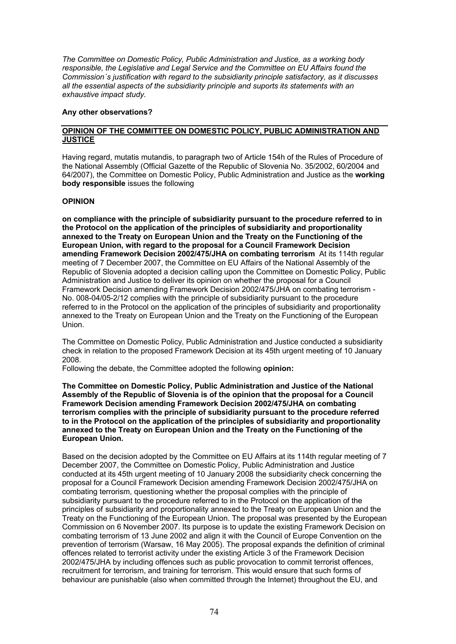*The Committee on Domestic Policy, Public Administration and Justice, as a working body responsible, the Legislative and Legal Service and the Committee on EU Affairs found the Commission´s justification with regard to the subsidiarity principle satisfactory, as it discusses all the essential aspects of the subsidiarity principle and suports its statements with an exhaustive impact study.*

# **Any other observations?**

# **OPINION OF THE COMMITTEE ON DOMESTIC POLICY, PUBLIC ADMINISTRATION AND JUSTICE**

Having regard, mutatis mutandis, to paragraph two of Article 154h of the Rules of Procedure of the National Assembly (Official Gazette of the Republic of Slovenia No. 35/2002, 60/2004 and 64/2007), the Committee on Domestic Policy, Public Administration and Justice as the **working body responsible** issues the following

# **OPINION**

**on compliance with the principle of subsidiarity pursuant to the procedure referred to in the Protocol on the application of the principles of subsidiarity and proportionality annexed to the Treaty on European Union and the Treaty on the Functioning of the European Union, with regard to the proposal for a Council Framework Decision amending Framework Decision 2002/475/JHA on combating terrorism** At its 114th regular meeting of 7 December 2007, the Committee on EU Affairs of the National Assembly of the Republic of Slovenia adopted a decision calling upon the Committee on Domestic Policy, Public Administration and Justice to deliver its opinion on whether the proposal for a Council Framework Decision amending Framework Decision 2002/475/JHA on combating terrorism - No. 008-04/05-2/12 complies with the principle of subsidiarity pursuant to the procedure referred to in the Protocol on the application of the principles of subsidiarity and proportionality annexed to the Treaty on European Union and the Treaty on the Functioning of the European Union.

The Committee on Domestic Policy, Public Administration and Justice conducted a subsidiarity check in relation to the proposed Framework Decision at its 45th urgent meeting of 10 January 2008.

Following the debate, the Committee adopted the following **opinion:**

**The Committee on Domestic Policy, Public Administration and Justice of the National Assembly of the Republic of Slovenia is of the opinion that the proposal for a Council Framework Decision amending Framework Decision 2002/475/JHA on combating terrorism complies with the principle of subsidiarity pursuant to the procedure referred to in the Protocol on the application of the principles of subsidiarity and proportionality annexed to the Treaty on European Union and the Treaty on the Functioning of the European Union.**

Based on the decision adopted by the Committee on EU Affairs at its 114th regular meeting of 7 December 2007, the Committee on Domestic Policy, Public Administration and Justice conducted at its 45th urgent meeting of 10 January 2008 the subsidiarity check concerning the proposal for a Council Framework Decision amending Framework Decision 2002/475/JHA on combating terrorism, questioning whether the proposal complies with the principle of subsidiarity pursuant to the procedure referred to in the Protocol on the application of the principles of subsidiarity and proportionality annexed to the Treaty on European Union and the Treaty on the Functioning of the European Union. The proposal was presented by the European Commission on 6 November 2007. Its purpose is to update the existing Framework Decision on combating terrorism of 13 June 2002 and align it with the Council of Europe Convention on the prevention of terrorism (Warsaw, 16 May 2005). The proposal expands the definition of criminal offences related to terrorist activity under the existing Article 3 of the Framework Decision 2002/475/JHA by including offences such as public provocation to commit terrorist offences, recruitment for terrorism, and training for terrorism. This would ensure that such forms of behaviour are punishable (also when committed through the Internet) throughout the EU, and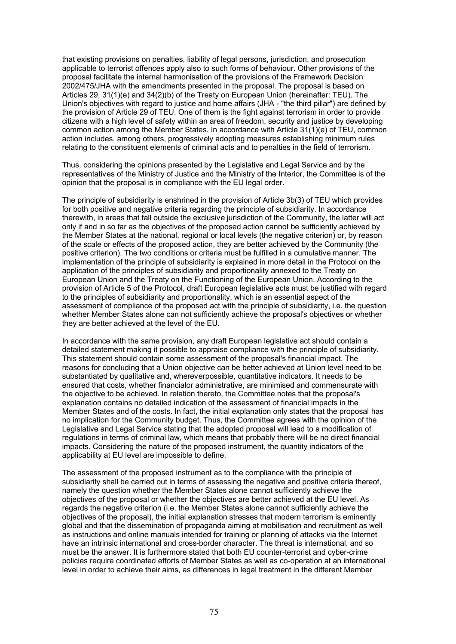that existing provisions on penalties, liability of legal persons, jurisdiction, and prosecution applicable to terrorist offences apply also to such forms of behaviour. Other provisions of the proposal facilitate the internal harmonisation of the provisions of the Framework Decision 2002/475/JHA with the amendments presented in the proposal. The proposal is based on Articles 29, 31(1)(e) and 34(2)(b) of the Treaty on European Union (hereinafter: TEU). The Union's objectives with regard to justice and home affairs (JHA - "the third pillar") are defined by the provision of Article 29 of TEU. One of them is the fight against terrorism in order to provide citizens with a high level of safety within an area of freedom, security and justice by developing common action among the Member States. In accordance with Article 31(1)(e) of TEU, common action includes, among others, progressively adopting measures establishing minimum rules relating to the constituent elements of criminal acts and to penalties in the field of terrorism.

Thus, considering the opinions presented by the Legislative and Legal Service and by the representatives of the Ministry of Justice and the Ministry of the Interior, the Committee is of the opinion that the proposal is in compliance with the EU legal order.

The principle of subsidiarity is enshrined in the provision of Article 3b(3) of TEU which provides for both positive and negative criteria regarding the principle of subsidiarity. In accordance therewith, in areas that fall outside the exclusive jurisdiction of the Community, the latter will act only if and in so far as the objectives of the proposed action cannot be sufficiently achieved by the Member States at the national, regional or local levels (the negative criterion) or, by reason of the scale or effects of the proposed action, they are better achieved by the Community (the positive criterion). The two conditions or criteria must be fulfilled in a cumulative manner. The implementation of the principle of subsidiarity is explained in more detail in the Protocol on the application of the principles of subsidiarity and proportionality annexed to the Treaty on European Union and the Treaty on the Functioning of the European Union. According to the provision of Article 5 of the Protocol, draft European legislative acts must be justified with regard to the principles of subsidiarity and proportionality, which is an essential aspect of the assessment of compliance of the proposed act with the principle of subsidiarity, i.e. the question whether Member States alone can not sufficiently achieve the proposal's objectives or whether they are better achieved at the level of the EU.

In accordance with the same provision, any draft European legislative act should contain a detailed statement making it possible to appraise compliance with the principle of subsidiarity. This statement should contain some assessment of the proposal's financial impact. The reasons for concluding that a Union objective can be better achieved at Union level need to be substantiated by qualitative and, whereverpossible, quantitative indicators. It needs to be ensured that costs, whether financialor administrative, are minimised and commensurate with the objective to be achieved. In relation thereto, the Committee notes that the proposal's explanation contains no detailed indication of the assessment of financial impacts in the Member States and of the costs. In fact, the initial explanation only states that the proposal has no implication for the Community budget. Thus, the Committee agrees with the opinion of the Legislative and Legal Service stating that the adopted proposal will lead to a modification of regulations in terms of criminal law, which means that probably there will be no direct financial impacts. Considering the nature of the proposed instrument, the quantity indicators of the applicability at EU level are impossible to define.

The assessment of the proposed instrument as to the compliance with the principle of subsidiarity shall be carried out in terms of assessing the negative and positive criteria thereof, namely the question whether the Member States alone cannot sufficiently achieve the objectives of the proposal or whether the objectives are better achieved at the EU level. As regards the negative criterion (i.e. the Member States alone cannot sufficiently achieve the objectives of the proposal), the initial explanation stresses that modern terrorism is eminently global and that the dissemination of propaganda aiming at mobilisation and recruitment as well as instructions and online manuals intended for training or planning of attacks via the Internet have an intrinsic international and cross-border character. The threat is international, and so must be the answer. It is furthermore stated that both EU counter-terrorist and cyber-crime policies require coordinated efforts of Member States as well as co-operation at an international level in order to achieve their aims, as differences in legal treatment in the different Member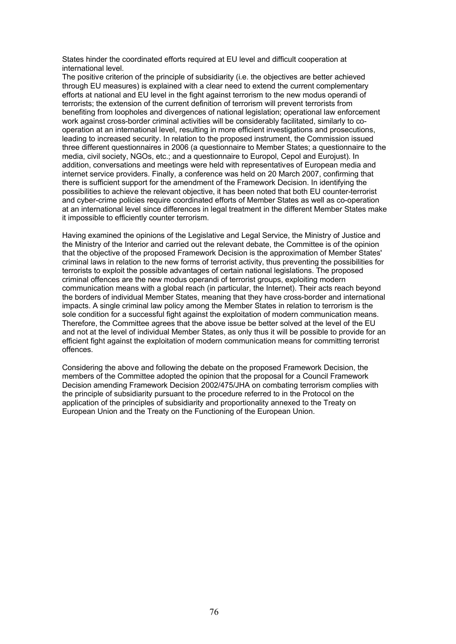States hinder the coordinated efforts required at EU level and difficult cooperation at international level.

The positive criterion of the principle of subsidiarity (i.e. the objectives are better achieved through EU measures) is explained with a clear need to extend the current complementary efforts at national and EU level in the fight against terrorism to the new modus operandi of terrorists; the extension of the current definition of terrorism will prevent terrorists from benefiting from loopholes and divergences of national legislation; operational law enforcement work against cross-border criminal activities will be considerably facilitated, similarly to cooperation at an international level, resulting in more efficient investigations and prosecutions, leading to increased security. In relation to the proposed instrument, the Commission issued three different questionnaires in 2006 (a questionnaire to Member States; a questionnaire to the media, civil society, NGOs, etc.; and a questionnaire to Europol, Cepol and Eurojust). In addition, conversations and meetings were held with representatives of European media and internet service providers. Finally, a conference was held on 20 March 2007, confirming that there is sufficient support for the amendment of the Framework Decision. In identifying the possibilities to achieve the relevant objective, it has been noted that both EU counter-terrorist and cyber-crime policies require coordinated efforts of Member States as well as co-operation at an international level since differences in legal treatment in the different Member States make it impossible to efficiently counter terrorism.

Having examined the opinions of the Legislative and Legal Service, the Ministry of Justice and the Ministry of the Interior and carried out the relevant debate, the Committee is of the opinion that the objective of the proposed Framework Decision is the approximation of Member States' criminal laws in relation to the new forms of terrorist activity, thus preventing the possibilities for terrorists to exploit the possible advantages of certain national legislations. The proposed criminal offences are the new modus operandi of terrorist groups, exploiting modern communication means with a global reach (in particular, the Internet). Their acts reach beyond the borders of individual Member States, meaning that they have cross-border and international impacts. A single criminal law policy among the Member States in relation to terrorism is the sole condition for a successful fight against the exploitation of modern communication means. Therefore, the Committee agrees that the above issue be better solved at the level of the EU and not at the level of individual Member States, as only thus it will be possible to provide for an efficient fight against the exploitation of modern communication means for committing terrorist offences.

Considering the above and following the debate on the proposed Framework Decision, the members of the Committee adopted the opinion that the proposal for a Council Framework Decision amending Framework Decision 2002/475/JHA on combating terrorism complies with the principle of subsidiarity pursuant to the procedure referred to in the Protocol on the application of the principles of subsidiarity and proportionality annexed to the Treaty on European Union and the Treaty on the Functioning of the European Union.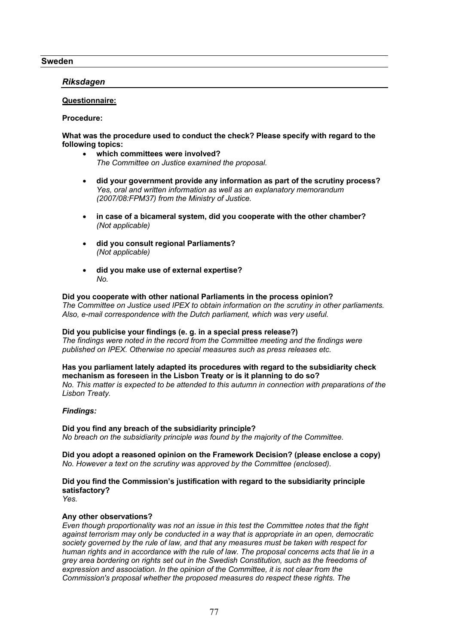# **Sweden**

# *Riksdagen*

# **Questionnaire:**

**Procedure:**

# **What was the procedure used to conduct the check? Please specify with regard to the following topics:**

- **which committees were involved?** *The Committee on Justice examined the proposal.*
- **did your government provide any information as part of the scrutiny process?** *Yes, oral and written information as well as an explanatory memorandum (2007/08:FPM37) from the Ministry of Justice.*
- **in case of a bicameral system, did you cooperate with the other chamber?** *(Not applicable)*
- **did you consult regional Parliaments?** *(Not applicable)*
- **did you make use of external expertise?** *No.*

# **Did you cooperate with other national Parliaments in the process opinion?**

*The Committee on Justice used IPEX to obtain information on the scrutiny in other parliaments. Also, e-mail correspondence with the Dutch parliament, which was very useful.*

#### **Did you publicise your findings (e. g. in a special press release?)** *The findings were noted in the record from the Committee meeting and the findings were published on IPEX. Otherwise no special measures such as press releases etc.*

**Has you parliament lately adapted its procedures with regard to the subsidiarity check mechanism as foreseen in the Lisbon Treaty or is it planning to do so?** *No. This matter is expected to be attended to this autumn in connection with preparations of the Lisbon Treaty.*

# *Findings:*

**Did you find any breach of the subsidiarity principle?** *No breach on the subsidiarity principle was found by the majority of the Committee.*

**Did you adopt a reasoned opinion on the Framework Decision? (please enclose a copy)** *No. However a text on the scrutiny was approved by the Committee (enclosed).*

# **Did you find the Commission's justification with regard to the subsidiarity principle satisfactory?**

*Yes.*

# **Any other observations?**

*Even though proportionality was not an issue in this test the Committee notes that the fight against terrorism may only be conducted in a way that is appropriate in an open, democratic society governed by the rule of law, and that any measures must be taken with respect for human rights and in accordance with the rule of law. The proposal concerns acts that lie in a grey area bordering on rights set out in the Swedish Constitution, such as the freedoms of expression and association. In the opinion of the Committee, it is not clear from the Commission's proposal whether the proposed measures do respect these rights. The*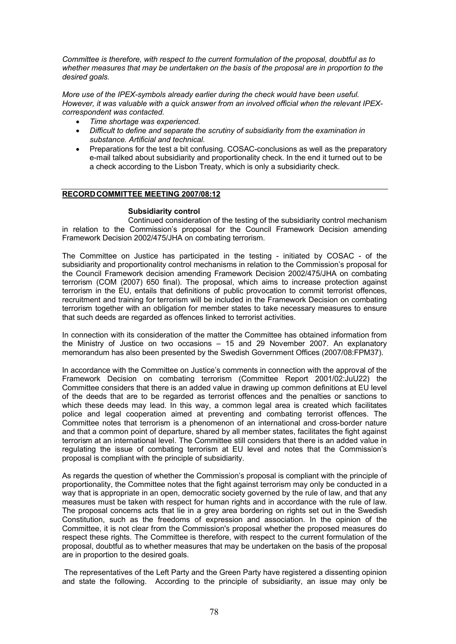*Committee is therefore, with respect to the current formulation of the proposal, doubtful as to whether measures that may be undertaken on the basis of the proposal are in proportion to the desired goals.*

*More use of the IPEX-symbols already earlier during the check would have been useful. However, it was valuable with a quick answer from an involved official when the relevant IPEXcorrespondent was contacted.*

- *Time shortage was experienced.*
- *Difficult to define and separate the scrutiny of subsidiarity from the examination in substance. Artificial and technical.*
- Preparations for the test a bit confusing. COSAC-conclusions as well as the preparatory e-mail talked about subsidiarity and proportionality check. In the end it turned out to be a check according to the Lisbon Treaty, which is only a subsidiarity check.

# **RECORDCOMMITTEE MEETING 2007/08:12**

# **Subsidiarity control**

Continued consideration of the testing of the subsidiarity control mechanism in relation to the Commission's proposal for the Council Framework Decision amending Framework Decision 2002/475/JHA on combating terrorism.

The Committee on Justice has participated in the testing - initiated by COSAC - of the subsidiarity and proportionality control mechanisms in relation to the Commission's proposal for the Council Framework decision amending Framework Decision 2002/475/JHA on combating terrorism (COM (2007) 650 final). The proposal, which aims to increase protection against terrorism in the EU, entails that definitions of public provocation to commit terrorist offences, recruitment and training for terrorism will be included in the Framework Decision on combating terrorism together with an obligation for member states to take necessary measures to ensure that such deeds are regarded as offences linked to terrorist activities.

In connection with its consideration of the matter the Committee has obtained information from the Ministry of Justice on two occasions – 15 and 29 November 2007. An explanatory memorandum has also been presented by the Swedish Government Offices (2007/08:FPM37).

In accordance with the Committee on Justice's comments in connection with the approval of the Framework Decision on combating terrorism (Committee Report 2001/02:JuU22) the Committee considers that there is an added value in drawing up common definitions at EU level of the deeds that are to be regarded as terrorist offences and the penalties or sanctions to which these deeds may lead. In this way, a common legal area is created which facilitates police and legal cooperation aimed at preventing and combating terrorist offences. The Committee notes that terrorism is a phenomenon of an international and cross-border nature and that a common point of departure, shared by all member states, facilitates the fight against terrorism at an international level. The Committee still considers that there is an added value in regulating the issue of combating terrorism at EU level and notes that the Commission's proposal is compliant with the principle of subsidiarity.

As regards the question of whether the Commission's proposal is compliant with the principle of proportionality, the Committee notes that the fight against terrorism may only be conducted in a way that is appropriate in an open, democratic society governed by the rule of law, and that any measures must be taken with respect for human rights and in accordance with the rule of law. The proposal concerns acts that lie in a grey area bordering on rights set out in the Swedish Constitution, such as the freedoms of expression and association. In the opinion of the Committee, it is not clear from the Commission's proposal whether the proposed measures do respect these rights. The Committee is therefore, with respect to the current formulation of the proposal, doubtful as to whether measures that may be undertaken on the basis of the proposal are in proportion to the desired goals.

The representatives of the Left Party and the Green Party have registered a dissenting opinion and state the following. According to the principle of subsidiarity, an issue may only be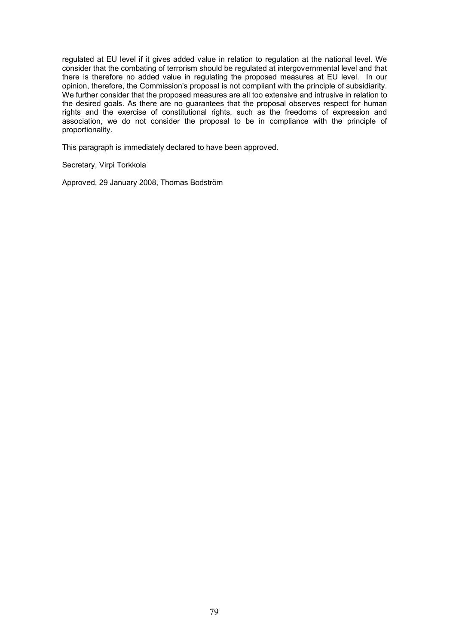regulated at EU level if it gives added value in relation to regulation at the national level. We consider that the combating of terrorism should be regulated at intergovernmental level and that there is therefore no added value in regulating the proposed measures at EU level. In our opinion, therefore, the Commission's proposal is not compliant with the principle of subsidiarity. We further consider that the proposed measures are all too extensive and intrusive in relation to the desired goals. As there are no guarantees that the proposal observes respect for human rights and the exercise of constitutional rights, such as the freedoms of expression and association, we do not consider the proposal to be in compliance with the principle of proportionality.

This paragraph is immediately declared to have been approved.

Secretary, Virpi Torkkola

Approved, 29 January 2008, Thomas Bodström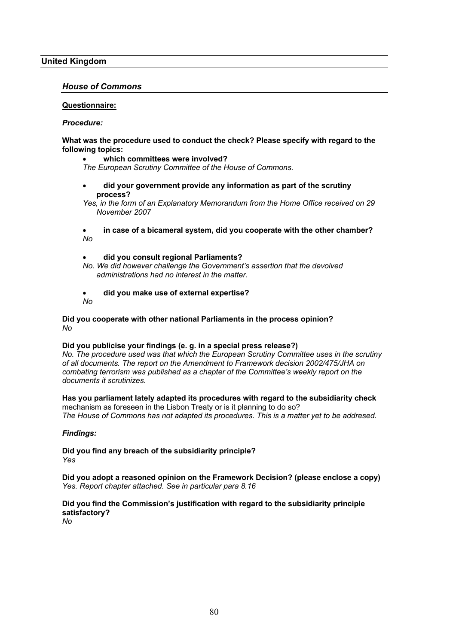# **United Kingdom**

# *House of Commons*

## **Questionnaire:**

## *Procedure:*

# **What was the procedure used to conduct the check? Please specify with regard to the following topics:**

### **which committees were involved?**

*The European Scrutiny Committee of the House of Commons.*

 **did your government provide any information as part of the scrutiny process?**

*Yes, in the form of an Explanatory Memorandum from the Home Office received on 29 November 2007*

 **in case of a bicameral system, did you cooperate with the other chamber?** *No*

## **did you consult regional Parliaments?**

*No. We did however challenge the Government's assertion that the devolved administrations had no interest in the matter.*

- **did you make use of external expertise?**
- *No*

# **Did you cooperate with other national Parliaments in the process opinion?** *No*

# **Did you publicise your findings (e. g. in a special press release?)**

*No. The procedure used was that which the European Scrutiny Committee uses in the scrutiny of all documents. The report on the Amendment to Framework decision 2002/475/JHA on combating terrorism was published as a chapter of the Committee's weekly report on the documents it scrutinizes.* 

#### **Has you parliament lately adapted its procedures with regard to the subsidiarity check** mechanism as foreseen in the Lisbon Treaty or is it planning to do so?

*The House of Commons has not adapted its procedures. This is a matter yet to be addresed.*

# *Findings:*

**Did you find any breach of the subsidiarity principle?** *Yes*

**Did you adopt a reasoned opinion on the Framework Decision? (please enclose a copy)** *Yes. Report chapter attached. See in particular para 8.16*

# **Did you find the Commission's justification with regard to the subsidiarity principle satisfactory?**

*No*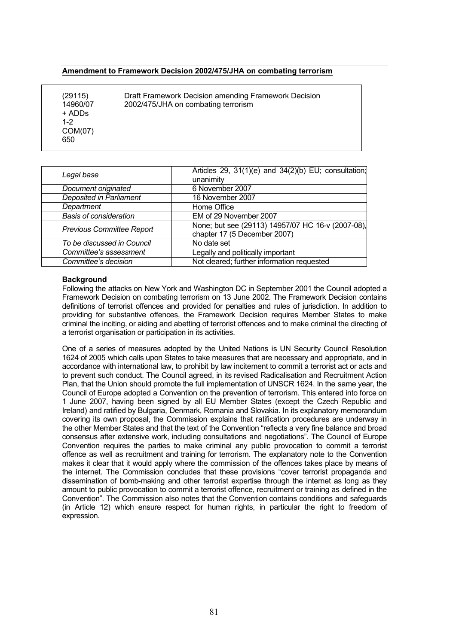# **Amendment to Framework Decision 2002/475/JHA on combating terrorism**

(29115) 14960/07 + ADDs 1-2 COM(07) 650

Draft Framework Decision amending Framework Decision 2002/475/JHA on combating terrorism

**Legal base Articles 29, 31(1)(e)** and 34(2)(b) EU; consultation; unanimity<br>6 November 2007 *Document originated Deposited in Parliament* 16 November 2007 **Department** Home Office<br> **Basis of consideration** EM of 29 Nov *Basis of consideration* EM of 29 November 2007 *Previous Committee Report* None; but see (29113) 14957/07 HC 16-v (2007-08), chapter 17 (5 December 2007) To be discussed in Council No date set *Committee's assessment* Legally and politically important **Committee's decision** Not cleared; further information requested

# **Background**

Following the attacks on New York and Washington DC in September 2001 the Council adopted a Framework Decision on combating terrorism on 13 June 2002. The Framework Decision contains definitions of terrorist offences and provided for penalties and rules of jurisdiction. In addition to providing for substantive offences, the Framework Decision requires Member States to make criminal the inciting, or aiding and abetting of terrorist offences and to make criminal the directing of a terrorist organisation or participation in its activities.

One of a series of measures adopted by the United Nations is UN Security Council Resolution 1624 of 2005 which calls upon States to take measures that are necessary and appropriate, and in accordance with international law, to prohibit by law incitement to commit a terrorist act or acts and to prevent such conduct. The Council agreed, in its revised Radicalisation and Recruitment Action Plan, that the Union should promote the full implementation of UNSCR 1624. In the same year, the Council of Europe adopted a Convention on the prevention of terrorism. This entered into force on 1 June 2007, having been signed by all EU Member States (except the Czech Republic and Ireland) and ratified by Bulgaria, Denmark, Romania and Slovakia. In its explanatory memorandum covering its own proposal, the Commission explains that ratification procedures are underway in the other Member States and that the text of the Convention "reflects a very fine balance and broad consensus after extensive work, including consultations and negotiations". The Council of Europe Convention requires the parties to make criminal any public provocation to commit a terrorist offence as well as recruitment and training for terrorism. The explanatory note to the Convention makes it clear that it would apply where the commission of the offences takes place by means of the internet. The Commission concludes that these provisions "cover terrorist propaganda and dissemination of bomb-making and other terrorist expertise through the internet as long as they amount to public provocation to commit a terrorist offence, recruitment or training as defined in the Convention". The Commission also notes that the Convention contains conditions and safeguards (in Article 12) which ensure respect for human rights, in particular the right to freedom of expression.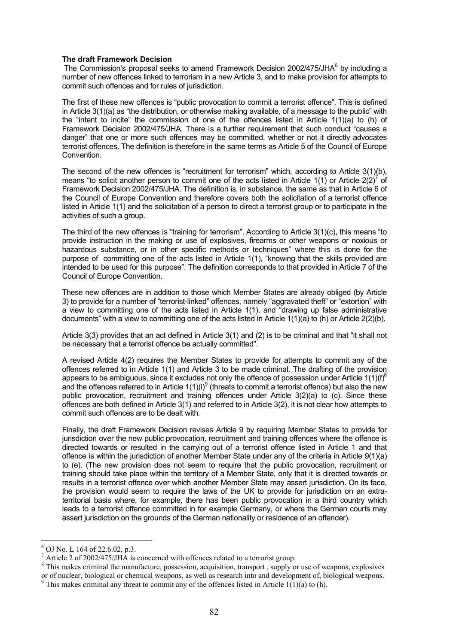#### **The draft Framework Decision**

The Commission's proposal seeks to amend Framework Decision 2002/475/JHA $^6$  by including a number of new offences linked to terrorism in a new Article 3, and to make provision for attempts to commit such offences and for rules of jurisdiction.

The first of these new offences is "public provocation to commit a terrorist offence". This is defined in Article 3(1)(a) as "the distribution, or otherwise making available, of a message to the public" with the "intent to incite" the commission of one of the offences listed in Article 1(1)(a) to (h) of Framework Decision 2002/475/JHA. There is a further requirement that such conduct "causes a danger" that one or more such offences may be committed, whether or not it directly advocates terrorist offences. The definition is therefore in the same terms as Article 5 of the Council of Europe Convention.

The second of the new offences is "recruitment for terrorism" which, according to Article 3(1)(b), means "to solicit another person to commit one of the acts listed in Article 1(1) or Article 2(2)<sup>7</sup> of Framework Decision 2002/475/JHA. The definition is, in substance, the same as that in Article 6 of the Council of Europe Convention and therefore covers both the solicitation of a terrorist offence listed in Article 1(1) and the solicitation of a person to direct a terrorist group or to participate in the activities of such a group.

The third of the new offences is "training for terrorism". According to Article 3(1)(c), this means "to provide instruction in the making or use of explosives, firearms or other weapons or noxious or hazardous substance, or in other specific methods or techniques" where this is done for the purpose of committing one of the acts listed in Article 1(1), "knowing that the skills provided are intended to be used for this purpose". The definition corresponds to that provided in Article 7 of the Council of Europe Convention.

These new offences are in addition to those which Member States are already obliged (by Article 3) to provide for a number of "terrorist-linked" offences, namely "aggravated theft" or "extortion" with a view to committing one of the acts listed in Article 1(1), and "drawing up false administrative documents" with a view to committing one of the acts listed in Article 1(1)(a) to (h) or Article 2(2)(b).

Article 3(3) provides that an act defined in Article 3(1) and (2) is to be criminal and that "it shall not be necessary that a terrorist offence be actually committed".

A revised Article 4(2) requires the Member States to provide for attempts to commit any of the offences referred to in Article 1(1) and Article 3 to be made criminal. The drafting of the provision appears to be ambiguous, since it excludes not only the offence of possession under Article  $1(1)(f)^8$ and the offences referred to in Article  $1(1)(i)^9$  (threats to commit a terrorist offence) but also the new public provocation, recruitment and training offences under Article 3(2)(a) to (c). Since these offences are both defined in Article 3(1) and referred to in Article 3(2), it is not clear how attempts to commit such offences are to be dealt with.

Finally, the draft Framework Decision revises Article 9 by requiring Member States to provide for jurisdiction over the new public provocation, recruitment and training offences where the offence is directed towards or resulted in the carrying out of a terrorist offence listed in Article 1 and that offence is within the jurisdiction of another Member State under any of the criteria in Article 9(1)(a) to (e). (The new provision does not seem to require that the public provocation, recruitment or training should take place within the territory of a Member State, only that it is directed towards or results in a terrorist offence over which another Member State may assert jurisdiction. On its face, the provision would seem to require the laws of the UK to provide for jurisdiction on an extraterritorial basis where, for example, there has been public provocation in a third country which leads to a terrorist offence committed in for example Germany, or where the German courts may assert jurisdiction on the grounds of the German nationality or residence of an offender).

<u>.</u>

<sup>6</sup> OJ No. L 164 of 22.6.02, p.3.

 $^7$  Article 2 of 2002/475/JHA is concerned with offences related to a terrorist group.

<sup>&</sup>lt;sup>8</sup> This makes criminal the manufacture, possession, acquisition, transport, supply or use of weapons, explosives or of nuclear, biological or chemical weapons, as well as research into and development of, biological weapons.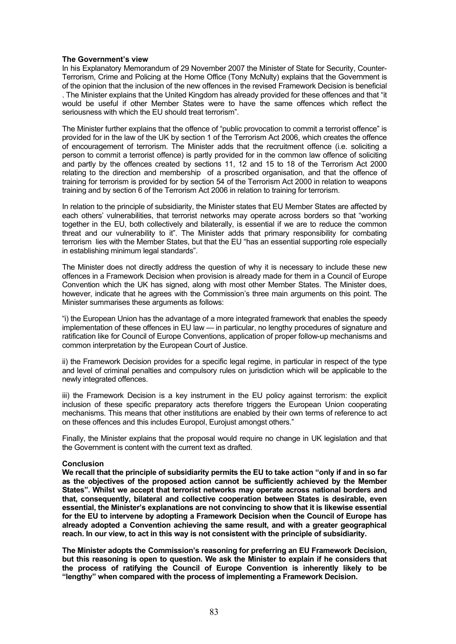## **The Government's view**

In his Explanatory Memorandum of 29 November 2007 the Minister of State for Security, Counter-Terrorism, Crime and Policing at the Home Office (Tony McNulty) explains that the Government is of the opinion that the inclusion of the new offences in the revised Framework Decision is beneficial . The Minister explains that the United Kingdom has already provided for these offences and that "it would be useful if other Member States were to have the same offences which reflect the seriousness with which the EU should treat terrorism".

The Minister further explains that the offence of "public provocation to commit a terrorist offence" is provided for in the law of the UK by section 1 of the Terrorism Act 2006, which creates the offence of encouragement of terrorism. The Minister adds that the recruitment offence (i.e. soliciting a person to commit a terrorist offence) is partly provided for in the common law offence of soliciting and partly by the offences created by sections 11, 12 and 15 to 18 of the Terrorism Act 2000 relating to the direction and membership of a proscribed organisation, and that the offence of training for terrorism is provided for by section 54 of the Terrorism Act 2000 in relation to weapons training and by section 6 of the Terrorism Act 2006 in relation to training for terrorism.

In relation to the principle of subsidiarity, the Minister states that EU Member States are affected by each others' vulnerabilities, that terrorist networks may operate across borders so that "working together in the EU, both collectively and bilaterally, is essential if we are to reduce the common threat and our vulnerability to it". The Minister adds that primary responsibility for combating terrorism lies with the Member States, but that the EU "has an essential supporting role especially in establishing minimum legal standards".

The Minister does not directly address the question of why it is necessary to include these new offences in a Framework Decision when provision is already made for them in a Council of Europe Convention which the UK has signed, along with most other Member States. The Minister does, however, indicate that he agrees with the Commission's three main arguments on this point. The Minister summarises these arguments as follows:

"i) the European Union has the advantage of a more integrated framework that enables the speedy implementation of these offences in EU law — in particular, no lengthy procedures of signature and ratification like for Council of Europe Conventions, application of proper follow-up mechanisms and common interpretation by the European Court of Justice.

ii) the Framework Decision provides for a specific legal regime, in particular in respect of the type and level of criminal penalties and compulsory rules on jurisdiction which will be applicable to the newly integrated offences.

iii) the Framework Decision is a key instrument in the EU policy against terrorism: the explicit inclusion of these specific preparatory acts therefore triggers the European Union cooperating mechanisms. This means that other institutions are enabled by their own terms of reference to act on these offences and this includes Europol, Eurojust amongst others."

Finally, the Minister explains that the proposal would require no change in UK legislation and that the Government is content with the current text as drafted.

### **Conclusion**

**We recall that the principle of subsidiarity permits the EU to take action "only if and in so far as the objectives of the proposed action cannot be sufficiently achieved by the Member States". Whilst we accept that terrorist networks may operate across national borders and that, consequently, bilateral and collective cooperation between States is desirable, even essential, the Minister's explanations are not convincing to show that it is likewise essential for the EU to intervene by adopting a Framework Decision when the Council of Europe has already adopted a Convention achieving the same result, and with a greater geographical reach. In our view, to act in this way is not consistent with the principle of subsidiarity.**

**The Minister adopts the Commission's reasoning for preferring an EU Framework Decision, but this reasoning is open to question. We ask the Minister to explain if he considers that the process of ratifying the Council of Europe Convention is inherently likely to be "lengthy" when compared with the process of implementing a Framework Decision.**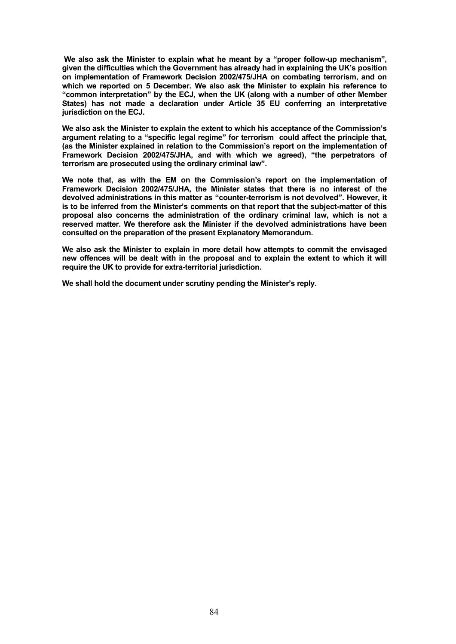**We also ask the Minister to explain what he meant by a "proper follow-up mechanism", given the difficulties which the Government has already had in explaining the UK's position on implementation of Framework Decision 2002/475/JHA on combating terrorism, and on which we reported on 5 December. We also ask the Minister to explain his reference to "common interpretation" by the ECJ, when the UK (along with a number of other Member States) has not made a declaration under Article 35 EU conferring an interpretative jurisdiction on the ECJ.**

**We also ask the Minister to explain the extent to which his acceptance of the Commission's argument relating to a "specific legal regime" for terrorism could affect the principle that, (as the Minister explained in relation to the Commission's report on the implementation of Framework Decision 2002/475/JHA, and with which we agreed), "the perpetrators of terrorism are prosecuted using the ordinary criminal law".** 

**We note that, as with the EM on the Commission's report on the implementation of Framework Decision 2002/475/JHA, the Minister states that there is no interest of the devolved administrations in this matter as "counter-terrorism is not devolved". However, it is to be inferred from the Minister's comments on that report that the subject-matter of this proposal also concerns the administration of the ordinary criminal law, which is not a reserved matter. We therefore ask the Minister if the devolved administrations have been consulted on the preparation of the present Explanatory Memorandum.**

**We also ask the Minister to explain in more detail how attempts to commit the envisaged new offences will be dealt with in the proposal and to explain the extent to which it will require the UK to provide for extra-territorial jurisdiction.**

**We shall hold the document under scrutiny pending the Minister's reply.**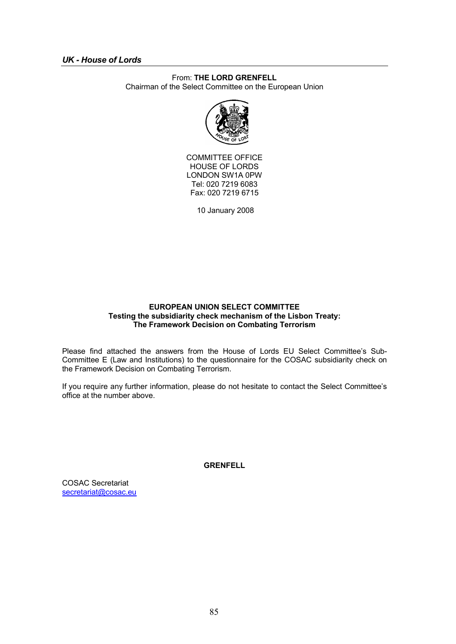# *UK - House of Lords*

# From: **THE LORD GRENFELL**

Chairman of the Select Committee on the European Union



COMMITTEE OFFICE HOUSE OF LORDS LONDON SW1A 0PW Tel: 020 7219 6083 Fax: 020 7219 6715

10 January 2008

## **EUROPEAN UNION SELECT COMMITTEE Testing the subsidiarity check mechanism of the Lisbon Treaty: The Framework Decision on Combating Terrorism**

Please find attached the answers from the House of Lords EU Select Committee's Sub-Committee E (Law and Institutions) to the questionnaire for the COSAC subsidiarity check on the Framework Decision on Combating Terrorism.

If you require any further information, please do not hesitate to contact the Select Committee's office at the number above.

**GRENFELL**

COSAC Secretariat secretariat@cosac.eu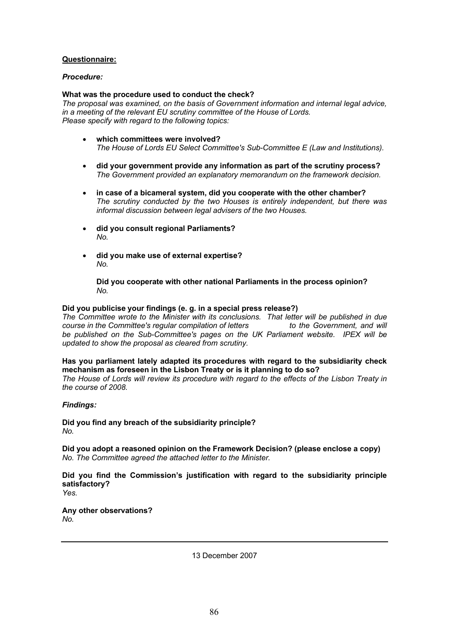# **Questionnaire:**

# *Procedure:*

## **What was the procedure used to conduct the check?**

*The proposal was examined, on the basis of Government information and internal legal advice, in a meeting of the relevant EU scrutiny committee of the House of Lords. Please specify with regard to the following topics:*

- **which committees were involved?** *The House of Lords EU Select Committee's Sub-Committee E (Law and Institutions).*
- **did your government provide any information as part of the scrutiny process?** *The Government provided an explanatory memorandum on the framework decision.*
- **in case of a bicameral system, did you cooperate with the other chamber?** *The scrutiny conducted by the two Houses is entirely independent, but there was informal discussion between legal advisers of the two Houses.*
- **did you consult regional Parliaments?** *No.*
- **did you make use of external expertise?** *No.*

**Did you cooperate with other national Parliaments in the process opinion?** *No.*

# **Did you publicise your findings (e. g. in a special press release?)**

*The Committee wrote to the Minister with its conclusions. That letter will be published in due course in the Committee's regular compilation of letters to the Government, and will be published on the Sub-Committee's pages on the UK Parliament website. IPEX will be updated to show the proposal as cleared from scrutiny.*

**Has you parliament lately adapted its procedures with regard to the subsidiarity check mechanism as foreseen in the Lisbon Treaty or is it planning to do so?**

*The House of Lords will review its procedure with regard to the effects of the Lisbon Treaty in the course of 2008.*

# *Findings:*

**Did you find any breach of the subsidiarity principle?** *No.*

**Did you adopt a reasoned opinion on the Framework Decision? (please enclose a copy)** *No. The Committee agreed the attached letter to the Minister.*

**Did you find the Commission's justification with regard to the subsidiarity principle satisfactory?** *Yes.*

**Any other observations?** *No.*

13 December 2007